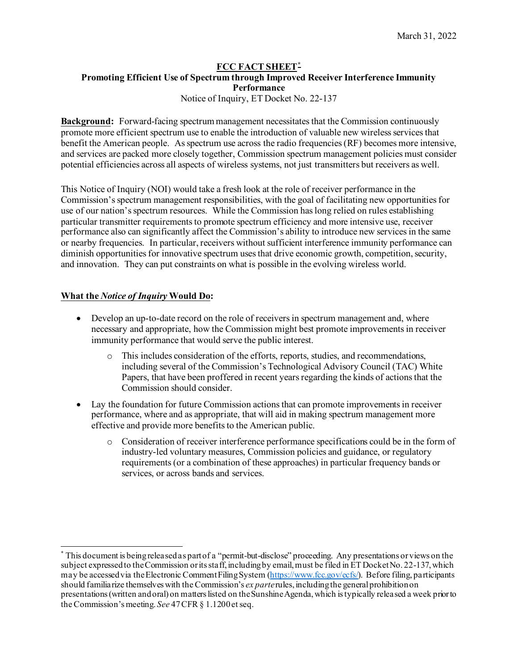# **FCC FACT SHEET[\\*](#page-0-0) Promoting Efficient Use of Spectrum through Improved Receiver Interference Immunity Performance**

Notice of Inquiry, ET Docket No. 22-137

**Background:** Forward-facing spectrum management necessitates that the Commission continuously promote more efficient spectrum use to enable the introduction of valuable new wireless services that benefit the American people. As spectrum use across the radio frequencies (RF) becomes more intensive, and services are packed more closely together, Commission spectrum management policies must consider potential efficiencies across all aspects of wireless systems, not just transmitters but receivers as well.

This Notice of Inquiry (NOI) would take a fresh look at the role of receiver performance in the Commission'sspectrum management responsibilities, with the goal of facilitating new opportunities for use of our nation's spectrum resources. While the Commission has long relied on rules establishing particular transmitter requirements to promote spectrum efficiency and more intensive use, receiver performance also can significantly affect the Commission's ability to introduce new services in the same or nearby frequencies. In particular, receivers without sufficient interference immunity performance can diminish opportunities for innovative spectrum uses that drive economic growth, competition, security, and innovation. They can put constraints on what is possible in the evolving wireless world.

## **What the** *Notice of Inquiry* **Would Do:**

- Develop an up-to-date record on the role of receivers in spectrum management and, where necessary and appropriate, how the Commission might best promote improvements in receiver immunity performance that would serve the public interest.
	- o This includes consideration of the efforts, reports, studies, and recommendations, including several of the Commission's Technological Advisory Council (TAC) White Papers, that have been proffered in recent years regarding the kinds of actions that the Commission should consider.
- Lay the foundation for future Commission actions that can promote improvements in receiver performance, where and as appropriate, that will aid in making spectrum management more effective and provide more benefits to the American public.
	- o Consideration of receiver interference performance specifications could be in the form of industry-led voluntary measures, Commission policies and guidance, or regulatory requirements (or a combination of these approaches) in particular frequency bands or services, or across bands and services.

<span id="page-0-0"></span><sup>\*</sup> This document is being released as part of a "permit-but-disclose" proceeding. Any presentations or views on the subject expressed to the Commission or its staff, including by email, must be filed in ET Docket No. 22-137, which may be accessed via the Electronic Comment Filing System [\(https://www.fcc.gov/ecfs/](https://www.fcc.gov/ecfs/)). Before filing, participants should familiarize themselves with the Commission's *ex parte*rules, including the general prohibition on presentations (written and oral) on matters listed on the Sunshine Agenda, which is typically released a week prior to the Commission's meeting. *See* 47 CFR § 1.1200 et seq.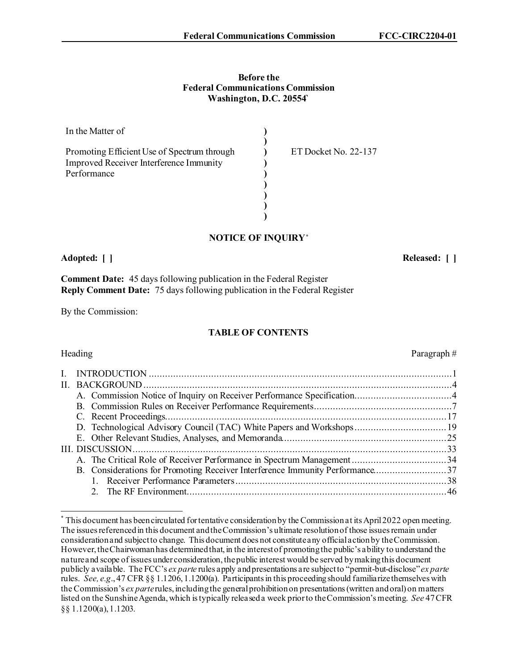#### **Before the Federal Communications Commission Washington, D.C. 20554`**

| In the Matter of                            |                      |  |
|---------------------------------------------|----------------------|--|
|                                             |                      |  |
| Promoting Efficient Use of Spectrum through | ET Docket No. 22-137 |  |
| Improved Receiver Interference Immunity     |                      |  |
| Performance                                 |                      |  |
|                                             |                      |  |
|                                             |                      |  |
|                                             |                      |  |
|                                             |                      |  |

## **NOTICE OF INQUIRY[\\*](#page-1-0)**

**Adopted: [ ] Released: [ ]**

Paragraph #

**Comment Date:** 45 days following publication in the Federal Register **Reply Comment Date:** 75 days following publication in the Federal Register

By the Commission:

## **TABLE OF CONTENTS**

| B. Considerations for Promoting Receiver Interference Immunity Performance37 |  |
|------------------------------------------------------------------------------|--|
|                                                                              |  |
|                                                                              |  |

<span id="page-1-0"></span><sup>\*</sup> This document has been circulated for tentative consideration by the Commission at its April2022 open meeting. The issues referenced in this document and the Commission's ultimate resolution of those issues remain under consideration and subject to change. This document does not constitute any official action by the Commission. However, the Chairwoman has determined that, in the interest of promoting the public's ability to understand the nature and scope of issues under consideration, the public interest would be served by making this document publicly available. The FCC's *ex parte* rules apply and presentations are subject to "permit-but-disclose" *ex parte* rules. *See, e.g*., 47 CFR §§ 1.1206, 1.1200(a). Participants in this proceeding should familiarize themselves with the Commission's *ex parte*rules, including the general prohibition on presentations (written and oral) on matters listed on the Sunshine Agenda, which is typically released a week prior to the Commission's meeting. *See* 47 CFR §§ 1.1200(a), 1.1203.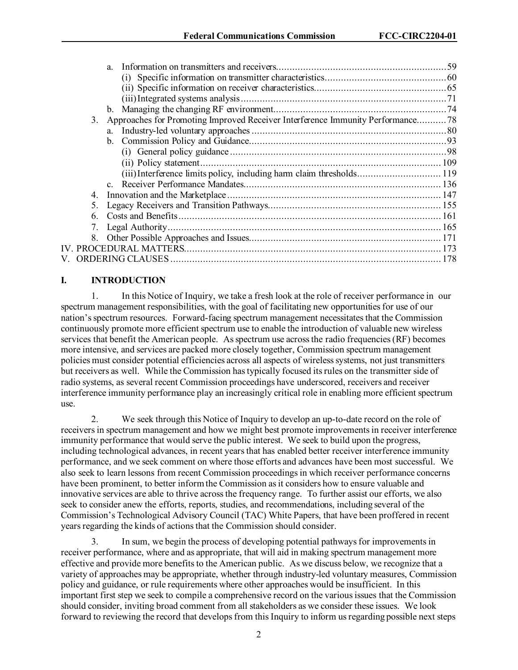|    | a.                                                                             |  |
|----|--------------------------------------------------------------------------------|--|
|    |                                                                                |  |
|    |                                                                                |  |
|    |                                                                                |  |
|    |                                                                                |  |
| 3. | Approaches for Promoting Improved Receiver Interference Immunity Performance78 |  |
|    |                                                                                |  |
|    |                                                                                |  |
|    |                                                                                |  |
|    |                                                                                |  |
|    | (iii) Interference limits policy, including harm claim thresholds 119          |  |
|    |                                                                                |  |
| 4. |                                                                                |  |
| 5. |                                                                                |  |
| 6. |                                                                                |  |
|    |                                                                                |  |
| 8. |                                                                                |  |
|    |                                                                                |  |
|    |                                                                                |  |
|    |                                                                                |  |

### **I. INTRODUCTION**

1. In this Notice of Inquiry, we take a fresh look at the role of receiver performance in our spectrum management responsibilities, with the goal of facilitating new opportunities for use of our nation's spectrum resources. Forward-facing spectrum management necessitates that the Commission continuously promote more efficient spectrum use to enable the introduction of valuable new wireless services that benefit the American people. As spectrum use across the radio frequencies(RF) becomes more intensive, and services are packed more closely together, Commission spectrum management policies must consider potential efficiencies across all aspects of wireless systems, not just transmitters but receivers as well. While the Commission has typically focused its rules on the transmitter side of radio systems, as several recent Commission proceedings have underscored, receivers and receiver interference immunity performance play an increasingly critical role in enabling more efficient spectrum use.

2. We seek through this Notice of Inquiry to develop an up-to-date record on the role of receivers in spectrum management and how we might best promote improvements in receiver interference immunity performance that would serve the public interest. We seek to build upon the progress, including technological advances, in recent years that has enabled better receiver interference immunity performance, and we seek comment on where those efforts and advances have been most successful. We also seek to learn lessons from recent Commission proceedingsin which receiver performance concerns have been prominent, to better inform the Commission as it considers how to ensure valuable and innovative services are able to thrive across the frequency range. To further assist our efforts, we also seek to consider anew the efforts, reports, studies, and recommendations, including several of the Commission's Technological Advisory Council (TAC) White Papers, that have been proffered in recent years regarding the kinds of actions that the Commission should consider.

3. In sum, we begin the process of developing potential pathways for improvementsin receiver performance, where and as appropriate, that will aid in making spectrum management more effective and provide more benefits to the American public. As we discuss below, we recognize that a variety of approaches may be appropriate, whether through industry-led voluntary measures, Commission policy and guidance, or rule requirements where other approaches would be insufficient. In this important first step we seek to compile a comprehensive record on the various issues that the Commission should consider, inviting broad comment from all stakeholders as we consider these issues. We look forward to reviewing the record that develops from this Inquiry to inform us regarding possible next steps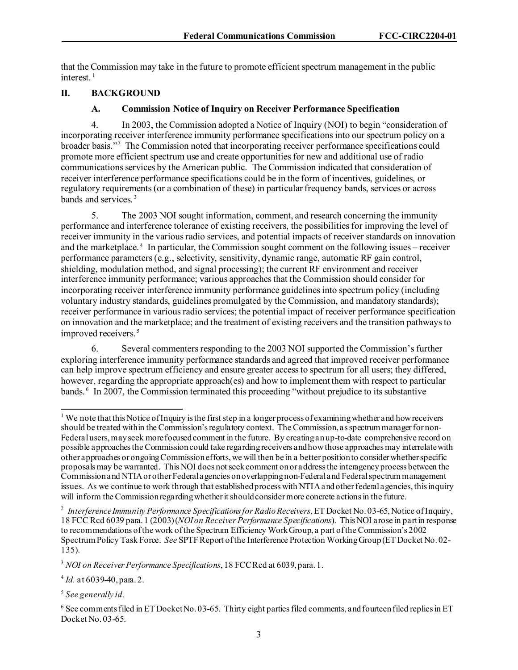that the Commission may take in the future to promote efficient spectrum management in the public interest. [1](#page-3-0)

### **II. BACKGROUND**

#### **A. Commission Notice of Inquiry on Receiver Performance Specification**

4. In 2003, the Commission adopted a Notice of Inquiry (NOI) to begin "consideration of incorporating receiver interference immunity performance specifications into our spectrum policy on a broader basis."[2](#page-3-1) The Commission noted that incorporating receiver performance specifications could promote more efficient spectrum use and create opportunities for new and additional use of radio communications services by the American public. The Commission indicated that consideration of receiver interference performance specifications could be in the form of incentives, guidelines, or regulatory requirements (or a combination of these) in particular frequency bands, services or across bands and services. [3](#page-3-2)

5. The 2003 NOI sought information, comment, and research concerning the immunity performance and interference tolerance of existing receivers, the possibilities for improving the level of receiver immunity in the various radio services, and potential impacts of receiver standards on innovation and the marketplace. [4](#page-3-3) In particular, the Commission sought comment on the following issues – receiver performance parameters (e.g., selectivity, sensitivity, dynamic range, automatic RF gain control, shielding, modulation method, and signal processing); the current RF environment and receiver interference immunity performance; various approaches that the Commission should consider for incorporating receiver interference immunity performance guidelinesinto spectrum policy (including voluntary industry standards, guidelines promulgated by the Commission, and mandatory standards); receiver performance in various radio services; the potential impact of receiver performance specification on innovation and the marketplace; and the treatment of existing receivers and the transition pathways to improved receivers.<sup>[5](#page-3-4)</sup>

6. Several commenters responding to the 2003 NOI supported the Commission's further exploring interference immunity performance standards and agreed that improved receiver performance can help improve spectrum efficiency and ensure greater access to spectrum for all users; they differed, however, regarding the appropriate approach(es) and how to implement them with respect to particular bands. [6](#page-3-5) In 2007, the Commission terminated this proceeding "without prejudice to its substantive

<span id="page-3-0"></span><sup>&</sup>lt;sup>1</sup> We note that this Notice of Inquiry is the first step in a longer process of examining whether and how receivers should be treated within the Commission's regulatory context. The Commission, as spectrum manager for non-Federal users, may seek more focused comment in the future. By creating an up-to-date comprehensive record on possible approaches the Commission could take regarding receivers and how those approaches may interrelate with other approaches or ongoing Commission efforts, we will then be in a better position to consider whether specific proposals may be warranted. This NOI does not seek comment on or address the interagency process between the Commission and NTIA or other Federal agencies on overlapping non-Federal and Federal spectrum management issues. As we continue to work through that established process with NTIA and other federal agencies, this inquiry will inform the Commission regarding whether it should consider more concrete actions in the future.

<span id="page-3-1"></span><sup>2</sup> *Interference Immunity Performance Specifications for Radio Receivers*, ET Docket No. 03-65, Notice of Inquiry, 18 FCC Rcd 6039 para. 1 (2003) (*NOI on Receiver Performance Specifications*). This NOI arose in part in response to recommendations of the work of the Spectrum Efficiency Work Group, a part of the Commission's 2002 Spectrum Policy Task Force. *See* SPTF Report of the Interference Protection Working Group (ET Docket No. 02- 135).

<span id="page-3-2"></span><sup>3</sup> *NOI on Receiver Performance Specifications*, 18 FCC Rcd at 6039, para. 1.

<span id="page-3-3"></span><sup>4</sup> *Id.* at 6039-40, para. 2.

<span id="page-3-4"></span><sup>5</sup> *See generally id.*

<span id="page-3-5"></span> $6$  See comments filed in ET Docket No. 03-65. Thirty eight parties filed comments, and fourteen filed replies in ET Docket No. 03-65.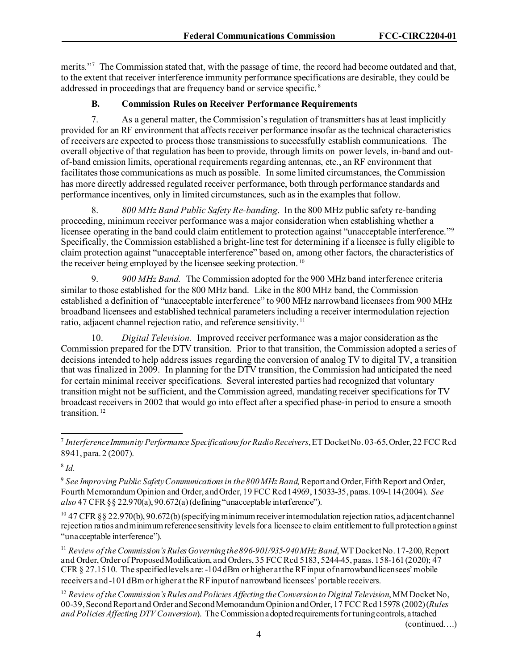merits."<sup>[7](#page-4-0)</sup> The Commission stated that, with the passage of time, the record had become outdated and that, to the extent that receiver interference immunity performance specifications are desirable, they could be addressed in proceedings that are frequency band or service specific. [8](#page-4-1)

## **B. Commission Rules on Receiver Performance Requirements**

7. As a general matter, the Commission's regulation of transmitters has at least implicitly provided for an RF environment that affects receiver performance insofar as the technical characteristics of receivers are expected to process those transmissionsto successfully establish communications. The overall objective of that regulation has been to provide, through limits on power levels, in-band and outof-band emission limits, operational requirements regarding antennas, etc., an RF environment that facilitates those communications as much as possible. In some limited circumstances, the Commission has more directly addressed regulated receiver performance, both through performance standards and performance incentives, only in limited circumstances, such as in the examples that follow.

8. *800 MHz Band Public Safety Re-banding*. In the 800 MHz public safety re-banding proceeding, minimum receiver performance was a major consideration when establishing whether a licensee operating in the band could claim entitlement to protection against "unacceptable interference."<sup>[9](#page-4-2)</sup> Specifically, the Commission established a bright-line test for determining if a licensee is fully eligible to claim protection against "unacceptable interference" based on, among other factors, the characteristics of the receiver being employed by the licensee seeking protection. [10](#page-4-3)

9. *900 MHz Band.* The Commission adopted for the 900 MHz band interference criteria similar to those established for the 800 MHz band. Like in the 800 MHz band, the Commission established a definition of "unacceptable interference" to 900 MHz narrowband licensees from 900 MHz broadband licensees and established technical parameters including a receiver intermodulation rejection ratio, adjacent channel rejection ratio, and reference sensitivity.<sup>[11](#page-4-4)</sup>

10. *Digital Television.* Improved receiver performance was a major consideration as the Commission prepared for the DTV transition. Prior to that transition, the Commission adopted a series of decisions intended to help address issues regarding the conversion of analog TV to digital TV, a transition that was finalized in 2009. In planning for the DTV transition, the Commission had anticipated the need for certain minimal receiver specifications. Several interested parties had recognized that voluntary transition might not be sufficient, and the Commission agreed, mandating receiver specifications for TV broadcast receivers in 2002 that would go into effect after a specified phase-in period to ensure a smooth transition.<sup>[12](#page-4-5)</sup>

<span id="page-4-1"></span><sup>8</sup> *Id.*

<span id="page-4-2"></span><sup>9</sup> *See Improving Public Safety Communications in the 800 MHz Band,* Report and Order, Fifth Report and Order, Fourth Memorandum Opinion and Order, and Order, 19 FCC Rcd 14969, 15033-35, paras. 109-114 (2004). *See also* 47 CFR §§ 22.970(a), 90.672(a) (defining "unacceptable interference").

<span id="page-4-3"></span> $^{10}$  47 CFR §§ 22.970(b), 90.672(b) (specifying minimum receiver intermodulation rejection ratios, adjacent channel rejection ratios and minimum reference sensitivity levels for a licensee to claim entitlement to full protection against "unacceptable interference").

<span id="page-4-4"></span><sup>11</sup> *Review of the Commission's Rules Governing the 896-901/935-940 MHz Band*, WT Docket No. 17-200, Report and Order, Order of Proposed Modification, and Orders, 35 FCC Rcd 5183, 5244-45, paras. 158-161 (2020); 47 CFR § 27.1510. The specified levels are: -104 dBm or higher at the RF input of narrowband licensees' mobile receivers and -101 dBm or higher at the RF input of narrowband licensees' portable receivers.

<span id="page-4-5"></span><sup>12</sup> *Review of the Commission's Rules and Policies Affecting the Conversion to Digital Television*, MM Docket No, 00-39, Second Report and Order and Second Memorandum Opinion and Order, 17 FCC Rcd 15978 (2002) (*Rules and Policies Affecting DTV Conversion*). The Commission adopted requirements for tuning controls, attached

(continued….)

<span id="page-4-0"></span><sup>7</sup> *Interference Immunity Performance Specifications for Radio Receivers*, ET Docket No. 03-65, Order, 22 FCC Rcd 8941, para. 2 (2007).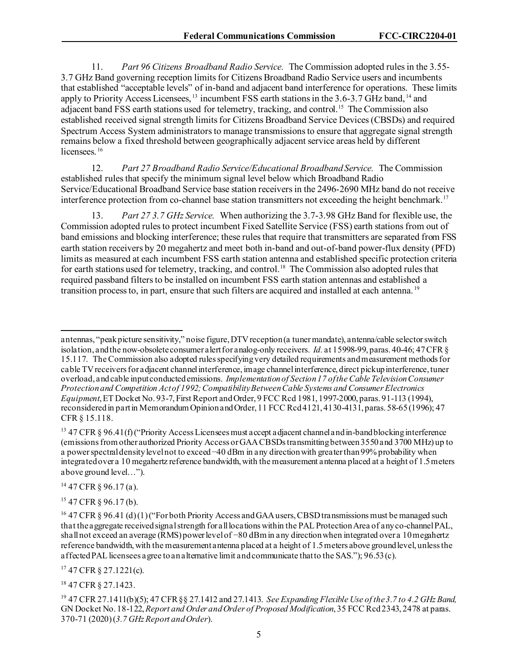11. *Part 96 Citizens Broadband Radio Service.* The Commission adopted rules in the 3.55- 3.7 GHz Band governing reception limits for Citizens Broadband Radio Service users and incumbents that established "acceptable levels" of in-band and adjacent band interference for operations. These limits apply to Priority Access Licensees, <sup>[13](#page-5-0)</sup> incumbent FSS earth stations in the 3.6-3.7 GHz band, <sup>[14](#page-5-1)</sup> and adjacent band FSS earth stations used for telemetry, tracking, and control.<sup>[15](#page-5-2)</sup> The Commission also established received signal strength limits for Citizens Broadband Service Devices (CBSDs) and required Spectrum Access System administrators to manage transmissions to ensure that aggregate signal strength remains below a fixed threshold between geographically adjacent service areas held by different licensees.<sup>[16](#page-5-3)</sup>

12. *Part 27 Broadband Radio Service/Educational Broadband Service.* The Commission established rules that specify the minimum signal level below which Broadband Radio Service/Educational Broadband Service base station receivers in the 2496-2690 MHz band do not receive interference protection from co-channel base station transmitters not exceeding the height benchmark.[17](#page-5-4)

13. *Part 27 3.7 GHz Service.* When authorizing the 3.7-3.98 GHz Band for flexible use, the Commission adopted rules to protect incumbent Fixed Satellite Service (FSS) earth stations from out of band emissions and blocking interference; these rules that require that transmitters are separated from FSS earth station receivers by 20 megahertz and meet both in-band and out-of-band power-flux density (PFD) limits as measured at each incumbent FSS earth station antenna and established specific protection criteria for earth stations used for telemetry, tracking, and control. [18](#page-5-5) The Commission also adopted rules that required passband filters to be installed on incumbent FSS earth station antennas and established a transition process to, in part, ensure that such filters are acquired and installed at each antenna. [19](#page-5-6)

<span id="page-5-1"></span> $14$  47 CFR  $\frac{6}{96.17}$  (a).

<span id="page-5-2"></span><sup>15</sup> 47 CFR § 96.17 (b).

<span id="page-5-4"></span> $17$  47 CFR  $\S$  27.1221(c).

<span id="page-5-5"></span><sup>18</sup> 47 CFR § 27.1423.

antennas, "peak picture sensitivity," noise figure, DTV reception (a tuner mandate), antenna/cable selector switch isolation, and the now-obsolete consumer alert for analog-only receivers. *Id.* at 15998-99, paras. 40-46; 47 CFR § 15.117. The Commission also adopted rules specifying very detailed requirements and measurement methods for cable TV receivers for adjacent channel interference, image channel interference, direct pickup interference, tuner overload, and cable input conducted emissions. *Implementation of Section 17 of the Cable TelevisionConsumer Protection and Competition Act of 1992; Compatibility BetweenCable Systems and Consumer Electronics Equipment*, ET Docket No. 93-7, First Report and Order, 9 FCC Rcd 1981, 1997-2000, paras. 91-113 (1994), reconsidered in part in Memorandum Opinion and Order, 11 FCC Rcd 4121, 4130-4131, paras. 58-65(1996); 47 CFR § 15.118.

<span id="page-5-0"></span><sup>&</sup>lt;sup>13</sup> 47 CFR § 96.41(f) ("Priority Access Licensees must accept adjacent channel and in-band blocking interference (emissions from other authorized Priority Access or GAA CBSDs transmitting between 3550 and 3700 MHz) up to a power spectral density level not to exceed −40 dBm in any direction with greater than 99% probability when integrated over a 10 megahertz reference bandwidth, with the measurement antenna placed at a height of 1.5 meters above ground level…").

<span id="page-5-3"></span><sup>&</sup>lt;sup>16</sup> 47 CFR § 96.41 (d) (1) ("For both Priority Access and GAA users, CBSD transmissions must be managed such that the aggregate received signal strength for all locations within the PAL Protection Area of any co-channel PAL, shall not exceed an average (RMS) power level of −80 dBm in any direction when integrated over a 10 megahertz reference bandwidth, with the measurement antenna placed at a height of 1.5 meters above ground level, unless the affected PAL licensees agree to an alternative limit and communicate that to the SAS."); 96.53 (c).

<span id="page-5-6"></span><sup>19</sup> 47 CFR 27.1411(b)(5); 47 CFR §§ 27.1412 and 27.1413. *See Expanding Flexible Use of the 3.7 to 4.2 GHz Band,*  GN Docket No. 18-122, *Report and Order and Order of Proposed Modification*, 35 FCC Rcd 2343, 2478 at paras. 370-71 (2020) (*3.7 GHz Report and Order*).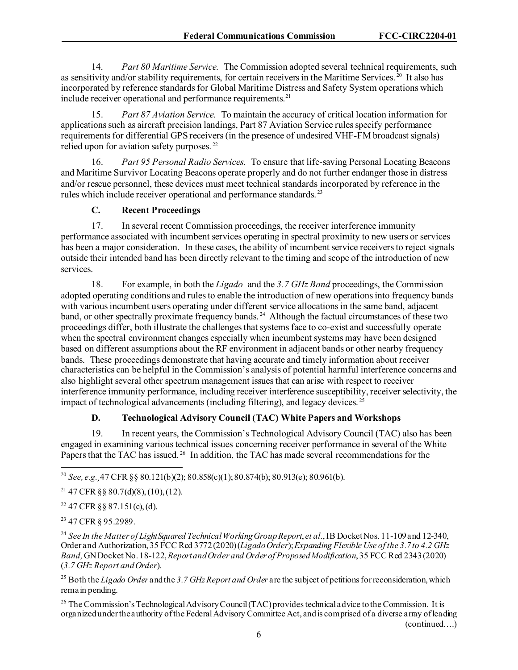14. *Part 80 Maritime Service.* The Commission adopted several technical requirements, such as sensitivity and/or stability requirements, for certain receivers in the Maritime Services.  $20$  It also has incorporated by reference standards for Global Maritime Distress and Safety System operations which include receiver operational and performance requirements.<sup>[21](#page-6-1)</sup>

15. *Part 87 Aviation Service.* To maintain the accuracy of critical location information for applications such as aircraft precision landings, Part 87 Aviation Service rules specify performance requirements for differential GPS receivers (in the presence of undesired VHF-FM broadcast signals) relied upon for aviation safety purposes. [22](#page-6-2) 

16. *Part 95 Personal Radio Services.* To ensure that life-saving Personal Locating Beacons and Maritime Survivor Locating Beacons operate properly and do not further endanger those in distress and/or rescue personnel, these devices must meet technical standards incorporated by reference in the rules which include receiver operational and performance standards. [23](#page-6-3)

## **C. Recent Proceedings**

17. In several recent Commission proceedings, the receiver interference immunity performance associated with incumbent services operating in spectral proximity to new users or services has been a major consideration. In these cases, the ability of incumbent service receivers to reject signals outside their intended band has been directly relevant to the timing and scope of the introduction of new services.

18. For example, in both the *Ligado* and the *3.7 GHz Band* proceedings, the Commission adopted operating conditions and rules to enable the introduction of new operationsinto frequency bands with various incumbent users operating under different service allocations in the same band, adjacent band, or other spectrally proximate frequency bands.<sup>24</sup> Although the factual circumstances of these two proceedings differ, both illustrate the challenges that systems face to co-exist and successfully operate when the spectral environment changes especially when incumbent systems may have been designed based on different assumptions about the RF environment in adjacent bands or other nearby frequency bands. These proceedings demonstrate that having accurate and timely information about receiver characteristics can be helpful in the Commission's analysis of potential harmful interference concerns and also highlight several other spectrum management issues that can arise with respect to receiver interference immunity performance, including receiver interference susceptibility, receiver selectivity, the impact of technological advancements (including filtering), and legacy devices.  $^{25}$  $^{25}$  $^{25}$ 

## **D. Technological Advisory Council (TAC) White Papers and Workshops**

19. In recent years, the Commission's Technological Advisory Council (TAC) also has been engaged in examining various technical issues concerning receiver performance in several of the White Papers that the TAC has issued.<sup>[26](#page-6-6)</sup> In addition, the TAC has made several recommendations for the

<span id="page-6-0"></span><sup>20</sup> *See, e.g.¸*47 CFR §§ 80.121(b)(2); 80.858(c)(1);80.874(b); 80.913(e); 80.961(b).

<span id="page-6-1"></span><sup>21</sup> 47 CFR §§ 80.7(d)(8), (10), (12).

<span id="page-6-2"></span> $22$  47 CFR §§ 87.151(c), (d).

<span id="page-6-3"></span><sup>23</sup> 47 CFR § 95.2989.

<span id="page-6-4"></span><sup>24</sup> See In the Matter of LightSquared Technical Working Group Report, et al., IB Docket Nos. 11-109 and 12-340, Order and Authorization, 35 FCC Rcd 3772 (2020) (*Ligado Order*); *Expanding Flexible Use of the 3.7 to 4.2 GHz Band,* GN Docket No. 18-122, *Report and Order and Order of Proposed Modification*, 35 FCC Rcd 2343 (2020) (*3.7 GHz Report and Order*).

<span id="page-6-5"></span><sup>25</sup> Both the *Ligado Order* and the *3.7 GHz Report and Order* are the subject of petitions for reconsideration, which remain pending.

<span id="page-6-6"></span><sup>26</sup> The Commission's Technological Advisory Council (TAC) provides technical advice to the Commission. It is organized under the authority of the Federal Advisory Committee Act, and is comprised of a diverse array of leading (continued….)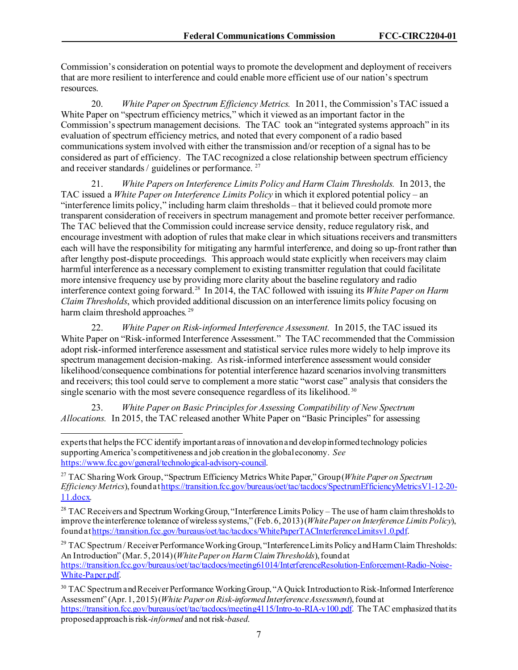Commission's consideration on potential ways to promote the development and deployment of receivers that are more resilient to interference and could enable more efficient use of our nation's spectrum resources.

20. *White Paper on Spectrum Efficiency Metrics.* In 2011, the Commission's TAC issued a White Paper on "spectrum efficiency metrics," which it viewed as an important factor in the Commission's spectrum management decisions. The TAC took an "integrated systems approach" in its evaluation of spectrum efficiency metrics, and noted that every component of a radio based communications system involved with either the transmission and/or reception of a signal has to be considered as part of efficiency. The TAC recognized a close relationship between spectrum efficiency and receiver standards / guidelines or performance.<sup>[27](#page-7-0)</sup>

21. *White Papers on Interference Limits Policy and Harm Claim Thresholds.* In 2013, the TAC issued a *White Paper on Interference Limits Policy* in which it explored potential policy – an "interference limits policy," including harm claim thresholds – that it believed could promote more transparent consideration of receivers in spectrum management and promote better receiver performance. The TAC believed that the Commission could increase service density, reduce regulatory risk, and encourage investment with adoption of rules that make clear in which situations receivers and transmitters each will have the responsibility for mitigating any harmful interference, and doing so up-front rather than after lengthy post-dispute proceedings. This approach would state explicitly when receivers may claim harmful interference as a necessary complement to existing transmitter regulation that could facilitate more intensive frequency use by providing more clarity about the baseline regulatory and radio interference context going forward.[28](#page-7-1) In 2014, the TAC followed with issuing its *White Paper on Harm Claim Thresholds*, which provided additional discussion on an interference limits policy focusing on harm claim threshold approaches*.* [29](#page-7-2) 

22. *White Paper on Risk-informed Interference Assessment.* In 2015, the TAC issued its White Paper on "Risk-informed Interference Assessment." The TAC recommended that the Commission adopt risk-informed interference assessment and statistical service rules more widely to help improve its spectrum management decision-making. As risk-informed interference assessment would consider likelihood/consequence combinations for potential interference hazard scenarios involving transmitters and receivers; this tool could serve to complement a more static "worst case" analysis that considers the single scenario with the most severe consequence regardless of its likelihood.<sup>30</sup>

23. *White Paper on Basic Principles for Assessing Compatibility of New Spectrum Allocations.* In 2015, the TAC released another White Paper on "Basic Principles" for assessing

experts that helps the FCC identify important areas of innovation and develop informed technology policies supporting America's competitiveness and job creation in the global economy. *See*  [https://www.fcc.gov/general/technological-advisory-council.](https://www.fcc.gov/general/technological-advisory-council)

<span id="page-7-0"></span><sup>27</sup> TAC Sharing Work Group, "Spectrum Efficiency Metrics White Paper," Group (*White Paper on Spectrum Efficiency Metrics*), found a[t https://transition.fcc.gov/bureaus/oet/tac/tacdocs/SpectrumEfficiencyMetricsV1-12-20-](https://transition.fcc.gov/bureaus/oet/tac/tacdocs/SpectrumEfficiencyMetricsV1-12-20-11.docx) [11.docx](https://transition.fcc.gov/bureaus/oet/tac/tacdocs/SpectrumEfficiencyMetricsV1-12-20-11.docx)*.* 

<span id="page-7-1"></span><sup>&</sup>lt;sup>28</sup> TAC Receivers and Spectrum Working Group, "Interference Limits Policy – The use of harm claim thresholds to improve the interference tolerance of wireless systems," (Feb. 6, 2013) (*White Paper on Interference Limits Policy*), found a[t https://transition.fcc.gov/bureaus/oet/tac/tacdocs/WhitePaperTACInterferenceLimitsv1.0.pdf](https://transition.fcc.gov/bureaus/oet/tac/tacdocs/WhitePaperTACInterferenceLimitsv1.0.pdf).

<span id="page-7-2"></span><sup>&</sup>lt;sup>29</sup> TAC Spectrum / Receiver Performance Working Group, "Interference Limits Policy and Harm Claim Thresholds: An Introduction" (Mar. 5, 2014) (*White Paper on Harm Claim Thresholds*), found at [https://transition.fcc.gov/bureaus/oet/tac/tacdocs/meeting61014/InterferenceResolution-Enforcement-Radio-Noise-](https://transition.fcc.gov/bureaus/oet/tac/tacdocs/meeting61014/InterferenceResolution-Enforcement-Radio-Noise-White-Paper.pdf)[White-Paper.pdf.](https://transition.fcc.gov/bureaus/oet/tac/tacdocs/meeting61014/InterferenceResolution-Enforcement-Radio-Noise-White-Paper.pdf)

<span id="page-7-3"></span><sup>&</sup>lt;sup>30</sup> TAC Spectrum and Receiver Performance Working Group, "A Quick Introduction to Risk-Informed Interference Assessment" (Apr. 1, 2015) (*White Paper on Risk-informed Interference Assessment*), found at <https://transition.fcc.gov/bureaus/oet/tac/tacdocs/meeting4115/Intro-to-RIA-v100.pdf>. The TAC emphasized that its proposed approach is risk-*informed* and not risk-*based*.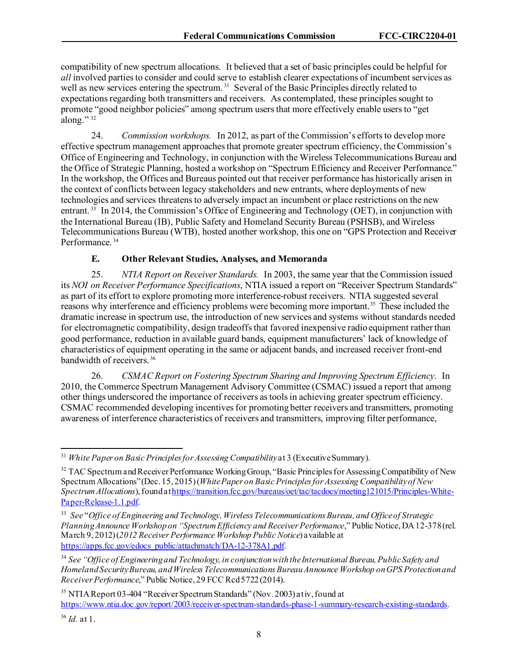compatibility of new spectrum allocations. It believed that a set of basic principles could be helpful for *all* involved parties to consider and could serve to establish clearer expectations of incumbent services as well as new services entering the spectrum.<sup>[31](#page-8-0)</sup> Several of the Basic Principles directly related to expectations regarding both transmitters and receivers. As contemplated, these principles sought to promote "good neighbor policies" among spectrum users that more effectively enable users to "get along."<sup>32</sup>

24. *Commission workshops.* In 2012, as part of the Commission's efforts to develop more effective spectrum management approaches that promote greater spectrum efficiency, the Commission's Office of Engineering and Technology, in conjunction with the Wireless Telecommunications Bureau and the Office of Strategic Planning, hosted a workshop on "Spectrum Efficiency and Receiver Performance." In the workshop, the Offices and Bureaus pointed out that receiver performance has historically arisen in the context of conflicts between legacy stakeholders and new entrants, where deployments of new technologies and services threatens to adversely impact an incumbent or place restrictions on the new entrant. [33](#page-8-2) In 2014, the Commission's Office of Engineering and Technology (OET), in conjunction with the International Bureau (IB), Public Safety and Homeland Security Bureau (PSHSB), and Wireless Telecommunications Bureau (WTB), hosted another workshop, this one on "GPS Protection and Receiver Performance. [34](#page-8-3)

## **E. Other Relevant Studies, Analyses, and Memoranda**

25. *NTIA Report on Receiver Standards.* In 2003, the same year that the Commission issued its *NOI on Receiver Performance Specifications*, NTIA issued a report on "Receiver Spectrum Standards" as part of its effort to explore promoting more interference-robust receivers. NTIA suggested several reasons why interference and efficiency problems were becoming more important.<sup>[35](#page-8-4)</sup> These included the dramatic increase in spectrum use, the introduction of new services and systems without standards needed for electromagnetic compatibility, design tradeoffs that favored inexpensive radio equipment rather than good performance, reduction in available guard bands, equipment manufacturers' lack of knowledge of characteristics of equipment operating in the same or adjacent bands, and increased receiver front-end bandwidth of receivers. [36](#page-8-5)

26. *CSMAC Report on Fostering Spectrum Sharing and Improving Spectrum Efficiency*. In 2010, the Commerce Spectrum Management Advisory Committee (CSMAC) issued a report that among other things underscored the importance of receivers as tools in achieving greater spectrum efficiency. CSMAC recommended developing incentives for promoting better receivers and transmitters, promoting awareness of interference characteristics of receivers and transmitters, improving filter performance,

<span id="page-8-0"></span><sup>31</sup> *White Paper on Basic Principles for Assessing Compatibility*at 3 (Executive Summary).

<span id="page-8-1"></span><sup>&</sup>lt;sup>32</sup> TAC Spectrum and Receiver Performance Working Group, "Basic Principles for Assessing Compatibility of New Spectrum Allocations" (Dec. 15, 2015) (*White Paper on Basic Principles for Assessing Compatibilityof New Spectrum Allocations*), found a[t https://transition.fcc.gov/bureaus/oet/tac/tacdocs/meeting121015/Principles-White-](https://transition.fcc.gov/bureaus/oet/tac/tacdocs/meeting121015/Principles-White-Paper-Release-1.1.pdf)[Paper-Release-1.1.pdf](https://transition.fcc.gov/bureaus/oet/tac/tacdocs/meeting121015/Principles-White-Paper-Release-1.1.pdf).

<span id="page-8-2"></span><sup>33</sup> *See* "*Office of Engineering and Technology, Wireless Telecommunications Bureau, and Office of Strategic Planning Announce Workshop on "Spectrum Efficiency and Receiver Performance*," Public Notice, DA 12-378 (rel. March 9, 2012) (*2012 Receiver Performance Workshop Public Notice*) available at [https://apps.fcc.gov/edocs\\_public/attachmatch/DA-12-378A1.pdf](https://apps.fcc.gov/edocs_public/attachmatch/DA-12-378A1.pdf).

<span id="page-8-3"></span><sup>34</sup> *See "Office of Engineering and Technology, in conjunction with the International Bureau, Public Safety and Homeland Security Bureau, and Wireless Telecommunications Bureau Announce Workshop on GPS Protection and Receiver Performance*," Public Notice, 29 FCC Rcd 5722 (2014).

<span id="page-8-4"></span><sup>&</sup>lt;sup>35</sup> NTIA Report 03-404 "Receiver Spectrum Standards" (Nov. 2003) at iv, found at [https://www.ntia.doc.gov/report/2003/receiver-spectrum-standards-phase-1-summary-research-existing-standards.](https://www.ntia.doc.gov/report/2003/receiver-spectrum-standards-phase-1-summary-research-existing-standards)

<span id="page-8-5"></span><sup>36</sup> *Id.* at 1.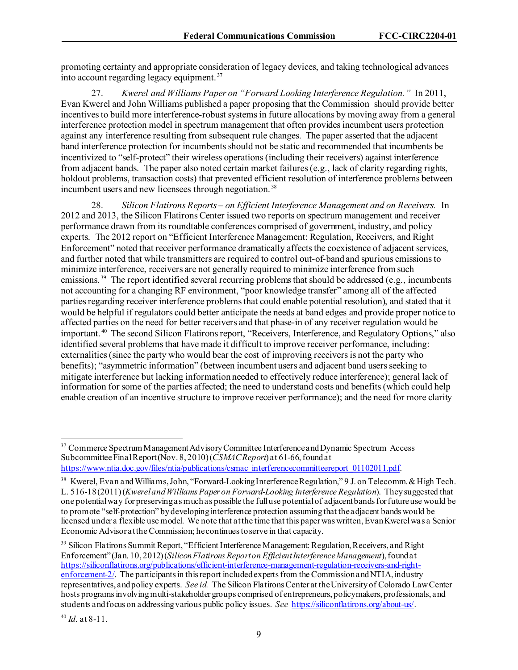promoting certainty and appropriate consideration of legacy devices, and taking technological advances into account regarding legacy equipment. [37](#page-9-0)

27. *Kwerel and Williams Paper on "Forward Looking Interference Regulation."* In 2011, Evan Kwerel and John Williams published a paper proposing that the Commission should provide better incentives to build more interference-robust systems in future allocations by moving away from a general interference protection model in spectrum management that often provides incumbent users protection against any interference resulting from subsequent rule changes. The paper asserted that the adjacent band interference protection for incumbents should not be static and recommended that incumbents be incentivized to "self-protect" their wireless operations (including their receivers) against interference from adjacent bands. The paper also noted certain market failures (e.g., lack of clarity regarding rights, holdout problems, transaction costs) that prevented efficient resolution of interference problems between incumbent users and new licensees through negotiation.<sup>[38](#page-9-1)</sup>

28. *Silicon Flatirons Reports – on Efficient Interference Management and on Receivers.* In 2012 and 2013, the Silicon Flatirons Center issued two reports on spectrum management and receiver performance drawn from its roundtable conferences comprised of government, industry, and policy experts. The 2012 report on "Efficient Interference Management: Regulation, Receivers, and Right Enforcement" noted that receiver performance dramatically affects the coexistence of adjacent services, and further noted that while transmitters are required to control out-of-band and spurious emissions to minimize interference, receivers are not generally required to minimize interference from such emissions.<sup>39</sup> The report identified several recurring problems that should be addressed (e.g., incumbents not accounting for a changing RF environment, "poor knowledge transfer" among all of the affected parties regarding receiver interference problems that could enable potential resolution), and stated that it would be helpful if regulators could better anticipate the needs at band edges and provide proper notice to affected parties on the need for better receivers and that phase-in of any receiver regulation would be important. [40](#page-9-3) The second Silicon Flatirons report, "Receivers, Interference, and Regulatory Options," also identified several problems that have made it difficult to improve receiver performance, including: externalities (since the party who would bear the cost of improving receivers is not the party who benefits); "asymmetric information" (between incumbent users and adjacent band users seeking to mitigate interference but lacking information needed to effectively reduce interference); general lack of information for some of the parties affected; the need to understand costs and benefits (which could help enable creation of an incentive structure to improve receiver performance); and the need for more clarity

<span id="page-9-0"></span><sup>&</sup>lt;sup>37</sup> Commerce Spectrum Management Advisory Committee Interference and Dynamic Spectrum Access Subcommittee Final Report (Nov. 8, 2010) (*CSMAC Report*) at 61-66, found at [https://www.ntia.doc.gov/files/ntia/publications/csmac\\_interferencecommitteereport\\_01102011.pdf](https://www.ntia.doc.gov/files/ntia/publications/csmac_interferencecommitteereport_01102011.pdf).

<span id="page-9-1"></span><sup>&</sup>lt;sup>38</sup> Kwerel, Evan and Williams, John, "Forward-Looking Interference Regulation," 9 J. on Telecomm. & High Tech. L. 516-18 (2011) (*Kwerel and Williams Paper on Forward-Looking Interference Regulation*). They suggested that one potential way for preserving as much as possible the full use potential of adjacent bands for future use would be to promote "self-protection" by developing interference protection assuming that the adjacent bands would be licensed under a flexible use model. We note that at the time that this paper was written, Evan Kwerel was a Senior Economic Advisor at the Commission; he continues to serve in that capacity.

<span id="page-9-2"></span><sup>&</sup>lt;sup>39</sup> Silicon Flatirons Summit Report, "Efficient Interference Management: Regulation, Receivers, and Right Enforcement" (Jan. 10, 2012) (*Silicon Flatirons Report on Efficient Interference Management*), found at [https://siliconflatirons.org/publications/efficient-interference-management-regulation-receivers-and-right](https://siliconflatirons.org/publications/efficient-interference-management-regulation-receivers-and-right-enforcement-2/)[enforcement-2/](https://siliconflatirons.org/publications/efficient-interference-management-regulation-receivers-and-right-enforcement-2/). The participants in this report included experts from the Commission and NTIA, industry representatives, and policy experts. *See id.* The Silicon Flatirons Center at the University of Colorado Law Center hosts programs involving multi-stakeholder groups comprised of entrepreneurs, policymakers, professionals, and students and focus on addressing various public policy issues. *See* <https://siliconflatirons.org/about-us/>.

<span id="page-9-3"></span><sup>40</sup> *Id.* at 8-11.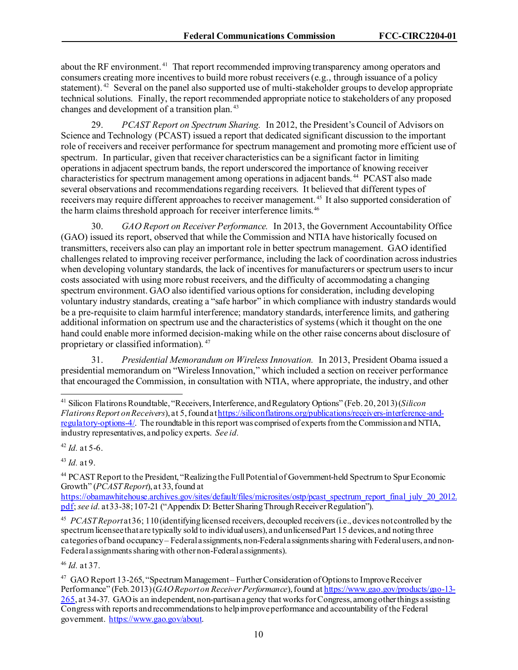about the RF environment.<sup>[41](#page-10-0)</sup> That report recommended improving transparency among operators and consumers creating more incentives to build more robust receivers(e.g., through issuance of a policy statement).<sup>42</sup> Several on the panel also supported use of multi-stakeholder groups to develop appropriate technical solutions. Finally, the report recommended appropriate notice to stakeholders of any proposed changes and development of a transition plan. [43](#page-10-2)

29. *PCAST Report on Spectrum Sharing.* In 2012, the President's Council of Advisors on Science and Technology (PCAST) issued a report that dedicated significant discussion to the important role of receivers and receiver performance for spectrum management and promoting more efficient use of spectrum. In particular, given that receiver characteristics can be a significant factor in limiting operations in adjacent spectrum bands, the report underscored the importance of knowing receiver characteristics for spectrum management among operations in adjacent bands. [44](#page-10-3) PCAST also made several observations and recommendations regarding receivers. It believed that different types of receivers may require different approaches to receiver management. [45](#page-10-4) It also supported consideration of the harm claims threshold approach for receiver interference limits.<sup>46</sup>

30. *GAO Report on Receiver Performance.* In 2013, the Government Accountability Office (GAO) issued its report, observed that while the Commission and NTIA have historically focused on transmitters, receivers also can play an important role in better spectrum management. GAO identified challengesrelated to improving receiver performance, including the lack of coordination across industries when developing voluntary standards, the lack of incentives for manufacturers or spectrum users to incur costs associated with using more robust receivers, and the difficulty of accommodating a changing spectrum environment. GAO also identified various options for consideration, including developing voluntary industry standards, creating a "safe harbor" in which compliance with industry standards would be a pre-requisite to claim harmful interference; mandatory standards, interference limits, and gathering additional information on spectrum use and the characteristics of systems (which it thought on the one hand could enable more informed decision-making while on the other raise concerns about disclosure of proprietary or classified information). [47](#page-10-6) 

31. *Presidential Memorandum on Wireless Innovation.* In 2013, President Obama issued a presidential memorandum on "Wireless Innovation," which included a section on receiver performance that encouraged the Commission, in consultation with NTIA, where appropriate, the industry, and other

<span id="page-10-1"></span> $42$  *Id.* at 5-6.

<span id="page-10-2"></span><sup>43</sup> *Id.* at 9.

<span id="page-10-3"></span><sup>44</sup> PCAST Report to the President, "Realizing the Full Potential of Government-held Spectrum to Spur Economic Growth" (*PCAST Report*), at 33, found at

[https://obamawhitehouse.archives.gov/sites/default/files/microsites/ostp/pcast\\_spectrum\\_report\\_final\\_july\\_20\\_2012.](https://obamawhitehouse.archives.gov/sites/default/files/microsites/ostp/pcast_spectrum_report_final_july_20_2012.pdf) [pdf;](https://obamawhitehouse.archives.gov/sites/default/files/microsites/ostp/pcast_spectrum_report_final_july_20_2012.pdf) *see id.* at 33-38; 107-21 ("Appendix D: Better Sharing Through Receiver Regulation").

<span id="page-10-4"></span>45 *PCAST Report*at 36; 110 (identifying licensed receivers, decoupled receivers (i.e., devices not controlled by the spectrum licensee that are typically sold to individual users), and unlicensed Part 15 devices, and noting three categories of band occupancy – Federal assignments, non-Federal assignments sharing with Federal users, and non-Federal assignments sharing with other non-Federal assignments).

<span id="page-10-5"></span><sup>46</sup> *Id.* at 37.

<span id="page-10-0"></span><sup>41</sup> Silicon Flatirons Roundtable, "Receivers, Interference, and Regulatory Options" (Feb. 20, 2013) (*Silicon Flatirons Report on Receivers*), at 5, found a[t https://siliconflatirons.org/publications/receivers-interference-and](https://siliconflatirons.org/publications/receivers-interference-and-regulatory-options-4/)[regulatory-options-4/](https://siliconflatirons.org/publications/receivers-interference-and-regulatory-options-4/). The roundtable in this report was comprised of experts from the Commission and NTIA, industry representatives, and policy experts. *See id.*

<span id="page-10-6"></span><sup>&</sup>lt;sup>47</sup> GAO Report 13-265, "Spectrum Management – Further Consideration of Options to Improve Receiver Performance" (Feb. 2013) (*GAO Report on Receiver Performance*), found a[t https://www.gao.gov/products/gao-13-](https://www.gao.gov/products/gao-13-265) [265,](https://www.gao.gov/products/gao-13-265) at 34-37. GAO is an independent, non-partisan agency that works for Congress, among other things assisting Congress with reports and recommendations to help improve performance and accountability of the Federal government.<https://www.gao.gov/about>.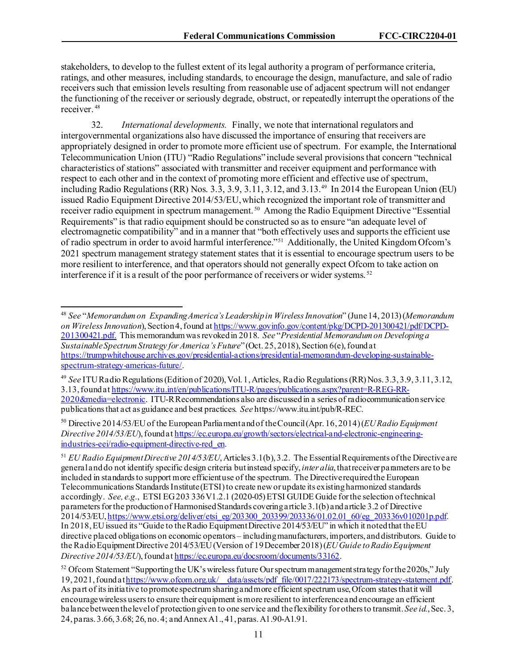stakeholders, to develop to the fullest extent of its legal authority a program of performance criteria, ratings, and other measures, including standards, to encourage the design, manufacture, and sale of radio receivers such that emission levels resulting from reasonable use of adjacent spectrum will not endanger the functioning of the receiver or seriously degrade, obstruct, or repeatedly interrupt the operations of the receiver. [48](#page-11-0)

32. *International developments.* Finally, we note that international regulators and intergovernmental organizations also have discussed the importance of ensuring that receivers are appropriately designed in order to promote more efficient use of spectrum. For example, the International Telecommunication Union (ITU) "Radio Regulations" include several provisions that concern "technical characteristics of stations" associated with transmitter and receiver equipment and performance with respect to each other and in the context of promoting more efficient and effective use of spectrum, including Radio Regulations (RR) Nos. 3.3, 3.9, 3.11, 3.12, and 3.13.[49](#page-11-1) In 2014 the European Union (EU) issued Radio Equipment Directive 2014/53/EU,which recognized the important role of transmitter and receiver radio equipment in spectrum management. [50](#page-11-2) Among the Radio Equipment Directive "Essential Requirements" is that radio equipment should be constructed so as to ensure "an adequate level of electromagnetic compatibility" and in a manner that "both effectively uses and supports the efficient use of radio spectrum in order to avoid harmful interference."[51](#page-11-3) Additionally, the United Kingdom Ofcom's 2021 spectrum management strategy statement states that it is essential to encourage spectrum users to be more resilient to interference, and that operators should not generally expect Ofcom to take action on interference if it is a result of the poor performance of receivers or wider systems.<sup>[52](#page-11-4)</sup>

<span id="page-11-0"></span><sup>48</sup> *See* "*Memorandum on Expanding America's Leadership in Wireless Innovation*" (June 14, 2013) (*Memorandum on Wireless Innovation*), Section 4, found at [https://www.govinfo.gov/content/pkg/DCPD-201300421/pdf/DCPD-](https://www.govinfo.gov/content/pkg/DCPD-201300421/pdf/DCPD-201300421.pdf)[201300421.pdf](https://www.govinfo.gov/content/pkg/DCPD-201300421/pdf/DCPD-201300421.pdf). This memorandum was revoked in 2018. *See* "*Presidential Memorandum on Developing a Sustainable Spectrum Strategy for America's Future*" (Oct. 25, 2018), Section 6(e), foundat [https://trumpwhitehouse.archives.gov/presidential-actions/presidential-memorandum-developing-sustainable](https://trumpwhitehouse.archives.gov/presidential-actions/presidential-memorandum-developing-sustainable-spectrum-strategy-americas-future/)[spectrum-strategy-americas-future/](https://trumpwhitehouse.archives.gov/presidential-actions/presidential-memorandum-developing-sustainable-spectrum-strategy-americas-future/).

<span id="page-11-1"></span><sup>49</sup> *See* ITU Radio Regulations(Edition of 2020), Vol. 1, Articles, Radio Regulations (RR)Nos. 3.3, 3.9, 3.11, 3.12, 3.13, found at [https://www.itu.int/en/publications/ITU-R/pages/publications.aspx?parent=R-REG-RR-](https://www.itu.int/en/publications/ITU-R/pages/publications.aspx?parent=R-REG-RR-2020&media=electronic)[2020&media=electronic.](https://www.itu.int/en/publications/ITU-R/pages/publications.aspx?parent=R-REG-RR-2020&media=electronic) ITU-R Recommendations also are discussed in a series of radiocommunication service publications that act as guidance and best practices. *See* https://www.itu.int/pub/R-REC.

<span id="page-11-2"></span><sup>50</sup> Directive 2014/53/EU of the European Parliament and of the Council (Apr. 16, 2014) (*EU Radio Equipment Directive 2014/53/EU*), found a[t https://ec.europa.eu/growth/sectors/electrical-and-electronic-engineering](https://ec.europa.eu/growth/sectors/electrical-and-electronic-engineering-industries-eei/radio-equipment-directive-red_en)[industries-eei/radio-equipment-directive-red\\_en.](https://ec.europa.eu/growth/sectors/electrical-and-electronic-engineering-industries-eei/radio-equipment-directive-red_en)

<span id="page-11-3"></span><sup>51</sup> *EU Radio Equipment Directive 2014/53/EU*, Articles 3.1(b), 3.2. The Essential Requirements of the Directive are general and do not identify specific design criteria but instead specify, *inter alia*, that receiver parameters are to be included in standards to support more efficient use of the spectrum. The Directive required the European Telecommunications Standards Institute (ETSI) to create new or update its existing harmonized standards accordingly. *See, e.g.*, ETSI EG 203 336 V1.2.1 (2020-05) ETSI GUIDE Guide for the selection of technical parameters for the production of Harmonised Standards covering article 3.1(b) and article 3.2 of Directive 2014/53/EU[, https://www.etsi.org/deliver/etsi\\_eg/203300\\_203399/203336/01.02.01\\_60/eg\\_203336v010201p.pdf](https://www.etsi.org/deliver/etsi_eg/203300_203399/203336/01.02.01_60/eg_203336v010201p.pdf). In 2018, EU issued its "Guide to the Radio Equipment Directive 2014/53/EU" in which it noted that the EU directive placed obligations on economic operators – including manufacturers, importers, and distributors. Guide to the Radio Equipment Directive 2014/53/EU (Version of 19 December 2018) (*EU Guide to Radio Equipment Directive 2014/53/EU*), found a[t https://ec.europa.eu/docsroom/documents/33162](https://ec.europa.eu/docsroom/documents/33162).

<span id="page-11-4"></span><sup>&</sup>lt;sup>52</sup> Of com Statement "Supporting the UK's wireless future Our spectrum management strategy for the 2020s," July 19, 2021, found a[t https://www.ofcom.org.uk/\\_\\_data/assets/pdf\\_file/0017/222173/spectrum-strategy-statement.pdf](https://www.ofcom.org.uk/__data/assets/pdf_file/0017/222173/spectrum-strategy-statement.pdf). As part of its initiative to promote spectrum sharing and more efficient spectrum use, Ofcom states that it will encourage wireless users to ensure their equipment is more resilient to interference and encourage an efficient balance between the level of protection given to one service and the flexibility for others to transmit. *See id.*, Sec. 3, 24, paras. 3.66, 3.68; 26, no. 4; and Annex A1., 41, paras. A1.90-A1.91.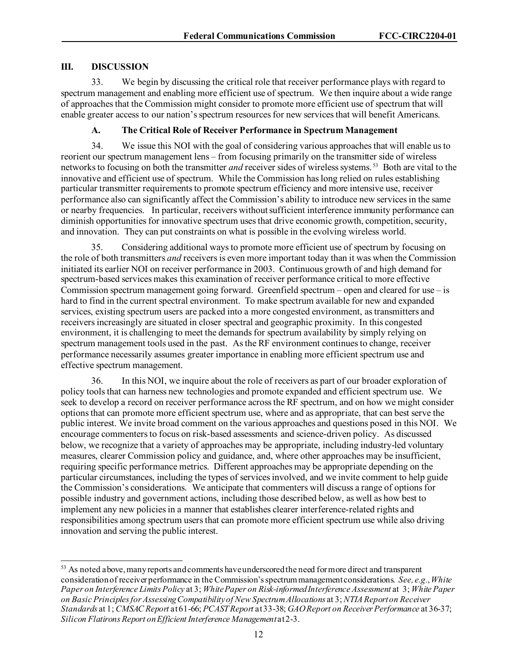### **III. DISCUSSION**

33. We begin by discussing the critical role that receiver performance plays with regard to spectrum management and enabling more efficient use of spectrum. We then inquire about a wide range of approaches that the Commission might consider to promote more efficient use of spectrum that will enable greater access to our nation's spectrum resources for new services that will benefit Americans.

## **A. The Critical Role of Receiver Performance in Spectrum Management**

34. We issue this NOI with the goal of considering various approaches that will enable us to reorient our spectrum management lens – from focusing primarily on the transmitter side of wireless networks to focusing on both the transmitter *and* receiver sides of wireless systems. [53](#page-12-0) Both are vital to the innovative and efficient use of spectrum. While the Commission has long relied on rules establishing particular transmitter requirements to promote spectrum efficiency and more intensive use, receiver performance also can significantly affect the Commission's ability to introduce new services in the same or nearby frequencies. In particular, receivers without sufficient interference immunity performance can diminish opportunities for innovative spectrum uses that drive economic growth, competition, security, and innovation. They can put constraints on what is possible in the evolving wireless world.

35. Considering additional ways to promote more efficient use of spectrum by focusing on the role of both transmitters *and* receivers is even more important today than it was when the Commission initiated its earlier NOI on receiver performance in 2003. Continuous growth of and high demand for spectrum-based services makes this examination of receiver performance critical to more effective Commission spectrum management going forward. Greenfield spectrum – open and cleared for use – is hard to find in the current spectral environment. To make spectrum available for new and expanded services, existing spectrum users are packed into a more congested environment, as transmitters and receivers increasingly are situated in closer spectral and geographic proximity. In this congested environment, it is challenging to meet the demands for spectrum availability by simply relying on spectrum management tools used in the past. As the RF environment continues to change, receiver performance necessarily assumes greater importance in enabling more efficient spectrum use and effective spectrum management.

36. In this NOI, we inquire about the role of receivers as part of our broader exploration of policy tools that can harness new technologies and promote expanded and efficient spectrum use. We seek to develop a record on receiver performance across the RF spectrum, and on how we might consider optionsthat can promote more efficient spectrum use, where and as appropriate, that can best serve the public interest. We invite broad comment on the various approaches and questions posed in this NOI. We encourage commenters to focus on risk-based assessments and science-driven policy. As discussed below, we recognize that a variety of approaches may be appropriate, including industry-led voluntary measures, clearer Commission policy and guidance, and, where other approaches may be insufficient, requiring specific performance metrics. Different approaches may be appropriate depending on the particular circumstances, including the types of services involved, and we invite comment to help guide the Commission's considerations. We anticipate that commenters will discuss a range of options for possible industry and government actions, including those described below, as well as how best to implement any new policies in a manner that establishes clearer interference-related rights and responsibilities among spectrum users that can promote more efficient spectrum use while also driving innovation and serving the public interest.

<span id="page-12-0"></span><sup>&</sup>lt;sup>53</sup> As noted above, many reports and comments have underscored the need for more direct and transparent consideration of receiver performance in the Commission's spectrum management considerations. *See, e.g.*, *White Paper on Interference Limits Policy* at 3; *White Paper on Risk-informed Interference Assessment* at 3; *White Paper on Basic Principles for Assessing Compatibility of New Spectrum Allocations* at 3; *NTIA Report on Receiver Standards* at 1; *CMSAC Report* at 61-66; *PCAST Report* at 33-38; *GAO Report on Receiver Performance* at 36-37; *Silicon Flatirons Report on Efficient Interference Management* at 2-3.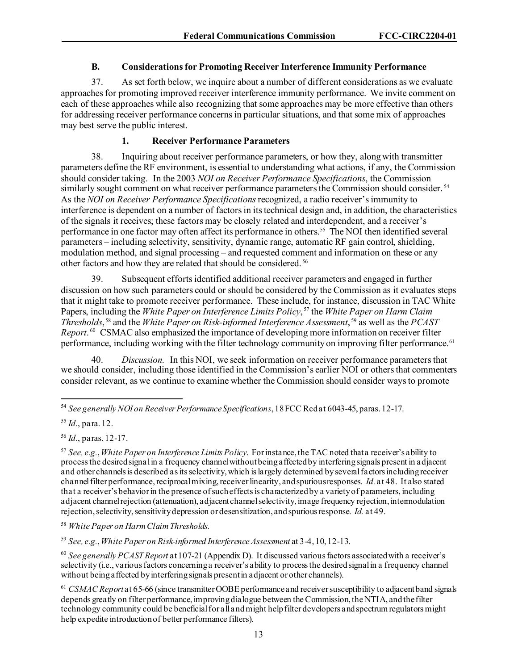#### **B. Considerations for Promoting Receiver Interference Immunity Performance**

37. As set forth below, we inquire about a number of different considerations as we evaluate approaches for promoting improved receiver interference immunity performance. We invite comment on each of these approaches while also recognizing that some approaches may be more effective than others for addressing receiver performance concerns in particular situations, and that some mix of approaches may best serve the public interest.

#### **1. Receiver Performance Parameters**

38. Inquiring about receiver performance parameters, or how they, along with transmitter parameters define the RF environment, is essential to understanding what actions, if any, the Commission should consider taking. In the 2003 *NOI on Receiver Performance Specifications*, the Commission similarly sought comment on what receiver performance parameters the Commission should consider.<sup>[54](#page-13-0)</sup> As the *NOI on Receiver Performance Specifications*recognized, a radio receiver's immunity to interference is dependent on a number of factors in its technical design and, in addition, the characteristics of the signals it receives; these factors may be closely related and interdependent, and a receiver's performance in one factor may often affect its performance in others[.55](#page-13-1) The NOI then identified several parameters – including selectivity, sensitivity, dynamic range, automatic RF gain control, shielding, modulation method, and signal processing – and requested comment and information on these or any other factors and how they are related that should be considered. [56](#page-13-2)

39. Subsequent effortsidentified additional receiver parameters and engaged in further discussion on how such parameters could or should be considered by the Commission as it evaluates steps that it might take to promote receiver performance. These include, for instance, discussion in TAC White Papers, including the *White Paper on Interference Limits Policy*, [57](#page-13-3) the *White Paper on Harm Claim Thresholds*, [58](#page-13-4) and the *White Paper on Risk-informed Interference Assessment*, [59](#page-13-5) as well as the *PCAST Report*. [60](#page-13-6) CSMAC also emphasized the importance of developing more information on receiver filter performance, including working with the filter technology community on improving filter performance.<sup>61</sup>

40. *Discussion.* In this NOI, we seek information on receiver performance parameters that we should consider, including those identified in the Commission's earlier NOI or others that commenters consider relevant, as we continue to examine whether the Commission should consider ways to promote

<span id="page-13-5"></span><sup>59</sup> *See, e.g.*, *White Paper on Risk-informed Interference Assessment* at 3-4, 10, 12-13.

<span id="page-13-0"></span><sup>54</sup> *See generally NOI on Receiver Performance Specifications*, 18 FCC Rcd at 6043-45, paras. 12-17.

<span id="page-13-1"></span><sup>55</sup> *Id.*, para. 12.

<span id="page-13-2"></span><sup>56</sup> *Id.*, paras. 12-17.

<span id="page-13-3"></span><sup>57</sup> *See, e.g.*, *White Paper on Interference Limits Policy*. For instance, the TAC noted that a receiver's ability to process the desired signal in a frequency channel without being affected by interfering signals present in adjacent and other channels is described as its selectivity, which is largely determined by several factors including receiver channel filter performance, reciprocal mixing, receiver linearity, and spurious responses. *Id.* at 48. It also stated that a receiver's behavior in the presence of such effects is characterized by a variety of parameters, including adjacent channel rejection (attenuation), adjacent channel selectivity, image frequency rejection, intermodulation rejection, selectivity, sensitivity depression or desensitization, and spurious response. *Id.* at 49.

<span id="page-13-4"></span><sup>58</sup> *White Paper on Harm Claim Thresholds.*

<span id="page-13-6"></span><sup>60</sup> *See generally PCAST Report* at 107-21 (Appendix D). It discussed various factors associated with a receiver's selectivity (i.e., various factors concerning a receiver's ability to process the desired signal in a frequency channel without being affected by interfering signals present in adjacent or other channels).

<span id="page-13-7"></span><sup>&</sup>lt;sup>61</sup> *CSMAC Report* at 65-66 (since transmitter OOBE performance and receiver susceptibility to adjacent band signals depends greatly on filter performance, improving dialogue between the Commission, the NTIA, and the filter technology community could be beneficial for alland might help filter developers and spectrum regulators might help expedite introduction of better performance filters).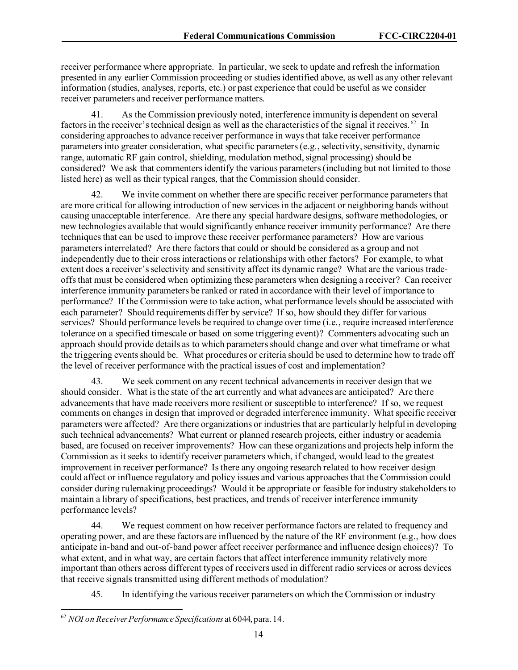receiver performance where appropriate. In particular, we seek to update and refresh the information presented in any earlier Commission proceeding or studiesidentified above, as well as any other relevant information (studies, analyses, reports, etc.) or past experience that could be useful as we consider receiver parameters and receiver performance matters.

41. As the Commission previously noted, interference immunity is dependent on several factors in the receiver's technical design as well as the characteristics of the signal it receives.<sup>[62](#page-14-0)</sup> In considering approaches to advance receiver performance in ways that take receiver performance parameters into greater consideration, what specific parameters (e.g., selectivity, sensitivity, dynamic range, automatic RF gain control, shielding, modulation method, signal processing) should be considered? We ask that commenters identify the various parameters (including but not limited to those listed here) as well as their typical ranges, that the Commission should consider.

42. We invite comment on whether there are specific receiver performance parameters that are more critical for allowing introduction of new services in the adjacent or neighboring bands without causing unacceptable interference. Are there any special hardware designs, software methodologies, or new technologies available that would significantly enhance receiver immunity performance? Are there techniques that can be used to improve these receiver performance parameters? How are various parameters interrelated? Are there factors that could or should be considered as a group and not independently due to their cross interactions or relationships with other factors? For example, to what extent does a receiver's selectivity and sensitivity affect its dynamic range? What are the various tradeoffs that must be considered when optimizing these parameters when designing a receiver? Can receiver interference immunity parameters be ranked or rated in accordance with their level of importance to performance? If the Commission were to take action, what performance levels should be associated with each parameter? Should requirements differ by service? If so, how should they differ for various services? Should performance levels be required to change over time (i.e., require increased interference tolerance on a specified timescale or based on some triggering event)? Commenters advocating such an approach should provide details as to which parameters should change and over what timeframe or what the triggering events should be. What procedures or criteria should be used to determine how to trade off the level of receiver performance with the practical issues of cost and implementation?

43. We seek comment on any recent technical advancements in receiver design that we should consider. What is the state of the art currently and what advances are anticipated? Are there advancements that have made receivers more resilient or susceptible to interference? If so, we request comments on changes in design that improved or degraded interference immunity. What specific receiver parameters were affected? Are there organizations or industries that are particularly helpful in developing such technical advancements? What current or planned research projects, either industry or academia based, are focused on receiver improvements? How can these organizations and projects help inform the Commission as it seeks to identify receiver parameters which, if changed, would lead to the greatest improvement in receiver performance? Is there any ongoing research related to how receiver design could affect or influence regulatory and policy issues and various approaches that the Commission could consider during rulemaking proceedings? Would it be appropriate or feasible for industry stakeholders to maintain a library of specifications, best practices, and trends of receiver interference immunity performance levels?

44. We request comment on how receiver performance factors are related to frequency and operating power, and are these factors are influenced by the nature of the RF environment (e.g., how does anticipate in-band and out-of-band power affect receiver performance and influence design choices)? To what extent, and in what way, are certain factors that affect interference immunity relatively more important than others across different types of receivers used in different radio services or across devices that receive signals transmitted using different methods of modulation?

45. In identifying the various receiver parameters on which the Commission or industry

<span id="page-14-0"></span><sup>62</sup> *NOI on Receiver Performance Specifications* at 6044, para. 14.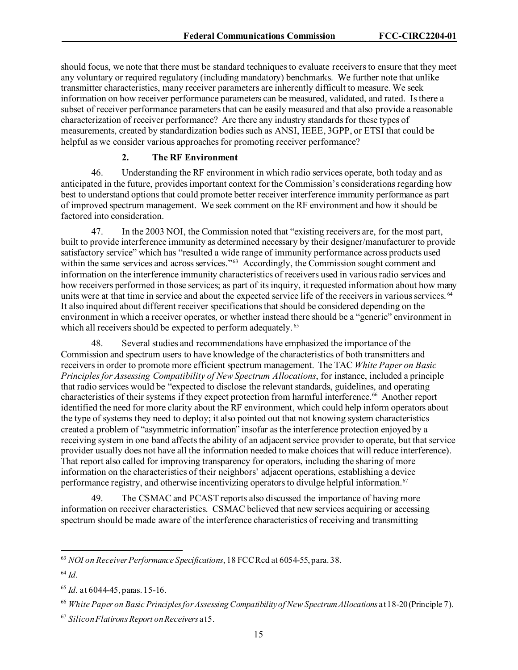should focus, we note that there must be standard techniques to evaluate receivers to ensure that they meet any voluntary or required regulatory (including mandatory) benchmarks. We further note that unlike transmitter characteristics, many receiver parameters are inherently difficult to measure. We seek information on how receiver performance parameters can be measured, validated, and rated. Is there a subset of receiver performance parameters that can be easily measured and that also provide a reasonable characterization of receiver performance? Are there any industry standards for these types of measurements, created by standardization bodies such as ANSI, IEEE, 3GPP, or ETSI that could be helpful as we consider various approaches for promoting receiver performance?

### **2. The RF Environment**

46. Understanding the RF environment in which radio services operate, both today and as anticipated in the future, providesimportant context for the Commission's considerations regarding how best to understand options that could promote better receiver interference immunity performance as part of improved spectrum management. We seek comment on the RF environment and how it should be factored into consideration.

47. In the 2003 NOI, the Commission noted that "existing receivers are, for the most part, built to provide interference immunity as determined necessary by their designer/manufacturer to provide satisfactory service" which has "resulted a wide range of immunity performance across products used within the same services and across services."<sup>63</sup> Accordingly, the Commission sought comment and information on the interference immunity characteristics of receivers used in various radio services and how receivers performed in those services; as part of its inquiry, it requested information about how many units were at that time in service and about the expected service life of the receivers in various services. <sup>[64](#page-15-1)</sup> It also inquired about different receiver specifications that should be considered depending on the environment in which a receiver operates, or whether instead there should be a "generic" environment in which all receivers should be expected to perform adequately.<sup>[65](#page-15-2)</sup>

48. Several studies and recommendations have emphasized the importance of the Commission and spectrum users to have knowledge of the characteristics of both transmitters and receivers in order to promote more efficient spectrum management. The TAC *White Paper on Basic Principles for Assessing Compatibility of New Spectrum Allocations*, for instance, included a principle that radio services would be "expected to disclose the relevant standards, guidelines, and operating characteristics of their systems if they expect protection from harmful interference. [66](#page-15-3) Another report identified the need for more clarity about the RF environment, which could help inform operators about the type of systems they need to deploy; it also pointed out that not knowing system characteristics created a problem of "asymmetric information" insofar as the interference protection enjoyed by a receiving system in one band affects the ability of an adjacent service provider to operate, but that service provider usually does not have all the information needed to make choices that will reduce interference). That report also called for improving transparency for operators, including the sharing of more information on the characteristics of their neighbors' adjacent operations, establishing a device performance registry, and otherwise incentivizing operators to divulge helpful information.<sup>[67](#page-15-4)</sup>

49. The CSMAC and PCAST reports also discussed the importance of having more information on receiver characteristics. CSMAC believed that new services acquiring or accessing spectrum should be made aware of the interference characteristics of receiving and transmitting

<span id="page-15-0"></span><sup>63</sup> *NOI on Receiver Performance Specifications*, 18 FCC Rcd at 6054-55, para. 38.

<span id="page-15-1"></span><sup>64</sup> *Id.* 

<span id="page-15-2"></span><sup>65</sup> *Id.* at 6044-45, paras. 15-16.

<span id="page-15-3"></span><sup>66</sup> *White Paper on Basic Principles for Assessing Compatibility of New Spectrum Allocations* at 18-20(Principle 7).

<span id="page-15-4"></span><sup>67</sup> *Silicon FlatironsReport on Receivers* at 5.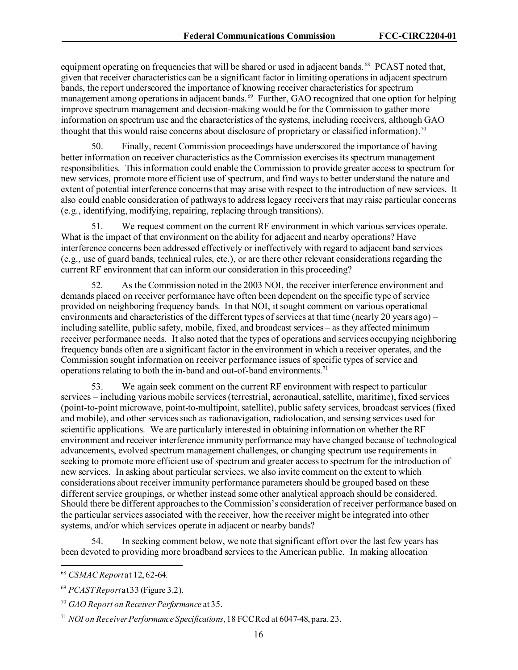equipment operating on frequencies that will be shared or used in adjacent bands. <sup>68</sup> PCAST noted that, given that receiver characteristics can be a significant factor in limiting operations in adjacent spectrum bands, the report underscored the importance of knowing receiver characteristics for spectrum management among operations in adjacent bands.<sup>[69](#page-16-1)</sup> Further, GAO recognized that one option for helping improve spectrum management and decision-making would be for the Commission to gather more information on spectrum use and the characteristics of the systems, including receivers, although GAO thought that this would raise concerns about disclosure of proprietary or classified information).<sup>[70](#page-16-2)</sup>

50. Finally, recent Commission proceedings have underscored the importance of having better information on receiver characteristics as the Commission exercises its spectrum management responsibilities. This information could enable the Commission to provide greater access to spectrum for new services, promote more efficient use of spectrum, and find ways to better understand the nature and extent of potential interference concerns that may arise with respect to the introduction of new services. It also could enable consideration of pathways to address legacy receivers that may raise particular concerns (e.g., identifying, modifying, repairing, replacing through transitions).

51. We request comment on the current RF environment in which various services operate. What is the impact of that environment on the ability for adjacent and nearby operations? Have interference concerns been addressed effectively or ineffectively with regard to adjacent band services (e.g., use of guard bands, technical rules, etc.), or are there other relevant considerations regarding the current RF environment that can inform our consideration in this proceeding?

52. As the Commission noted in the 2003 NOI, the receiver interference environment and demands placed on receiver performance have often been dependent on the specific type of service provided on neighboring frequency bands. In that NOI, it sought comment on various operational environments and characteristics of the different types of services at that time (nearly 20 years ago) – including satellite, public safety, mobile, fixed, and broadcast services – as they affected minimum receiver performance needs. It also noted that the types of operations and services occupying neighboring frequency bands often are a significant factor in the environment in which a receiver operates, and the Commission sought information on receiver performance issues of specific types of service and operations relating to both the in-band and out-of-band environments. [71](#page-16-3)

53. We again seek comment on the current RF environment with respect to particular services – including various mobile services (terrestrial, aeronautical, satellite, maritime), fixed services (point-to-point microwave, point-to-multipoint, satellite), public safety services, broadcast services (fixed and mobile), and other services such as radionavigation, radiolocation, and sensing services used for scientific applications. We are particularly interested in obtaining information on whether the RF environment and receiver interference immunity performance may have changed because of technological advancements, evolved spectrum management challenges, or changing spectrum use requirements in seeking to promote more efficient use of spectrum and greater access to spectrum for the introduction of new services. In asking about particular services, we also invite comment on the extent to which considerations about receiver immunity performance parameters should be grouped based on these different service groupings, or whether instead some other analytical approach should be considered. Should there be different approaches to the Commission's consideration of receiver performance based on the particular services associated with the receiver, how the receiver might be integrated into other systems, and/or which services operate in adjacent or nearby bands?

54. In seeking comment below, we note that significant effort over the last few years has been devoted to providing more broadband services to the American public. In making allocation

<span id="page-16-0"></span><sup>68</sup> *CSMAC Report* at 12, 62-64.

<span id="page-16-1"></span><sup>69</sup> *PCAST Report*at 33 (Figure 3.2).

<span id="page-16-2"></span><sup>70</sup> *GAO Report on Receiver Performance* at 35.

<span id="page-16-3"></span><sup>71</sup> *NOI on Receiver Performance Specifications*, 18 FCC Rcd at 6047-48, para. 23.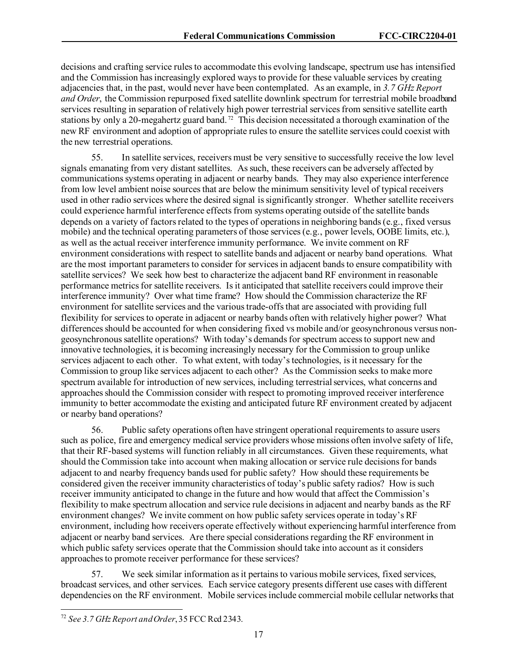decisions and crafting service rules to accommodate this evolving landscape, spectrum use has intensified and the Commission has increasingly explored ways to provide for these valuable services by creating adjacencies that, in the past, would never have been contemplated. As an example, in *3.7 GHz Report and Order*, the Commission repurposed fixed satellite downlink spectrum for terrestrial mobile broadband services resulting in separation of relatively high power terrestrial services from sensitive satellite earth stations by only a 20-megahertz guard band. [72](#page-17-0) This decision necessitated a thorough examination of the new RF environment and adoption of appropriate rules to ensure the satellite services could coexist with the new terrestrial operations.

55. In satellite services, receivers must be very sensitive to successfully receive the low level signals emanating from very distant satellites. As such, these receivers can be adversely affected by communications systems operating in adjacent or nearby bands. They may also experience interference from low level ambient noise sources that are below the minimum sensitivity level of typical receivers used in other radio services where the desired signal is significantly stronger. Whether satellite receivers could experience harmful interference effects from systems operating outside of the satellite bands depends on a variety of factors related to the types of operations in neighboring bands (e.g., fixed versus mobile) and the technical operating parameters of those services (e.g., power levels, OOBE limits, etc.), as well as the actual receiver interference immunity performance. We invite comment on RF environment considerations with respect to satellite bands and adjacent or nearby band operations. What are the most important parameters to consider for services in adjacent bands to ensure compatibility with satellite services? We seek how best to characterize the adjacent band RF environment in reasonable performance metricsfor satellite receivers. Is it anticipated that satellite receivers could improve their interference immunity? Over what time frame? How should the Commission characterize the RF environment for satellite services and the various trade-offs that are associated with providing full flexibility for services to operate in adjacent or nearby bands often with relatively higher power? What differences should be accounted for when considering fixed vs mobile and/or geosynchronous versus nongeosynchronous satellite operations? With today's demands for spectrum access to support new and innovative technologies, it is becoming increasingly necessary for the Commission to group unlike services adjacent to each other. To what extent, with today's technologies, is it necessary for the Commission to group like services adjacent to each other? As the Commission seeks to make more spectrum available for introduction of new services, including terrestrial services, what concerns and approaches should the Commission consider with respect to promoting improved receiver interference immunity to better accommodate the existing and anticipated future RF environment created by adjacent or nearby band operations?

56. Public safety operations often have stringent operational requirements to assure users such as police, fire and emergency medical service providers whose missions often involve safety of life, that their RF-based systems will function reliably in all circumstances. Given these requirements, what should the Commission take into account when making allocation or service rule decisions for bands adjacent to and nearby frequency bands used for public safety? How should these requirements be considered given the receiver immunity characteristics of today's public safety radios? How is such receiver immunity anticipated to change in the future and how would that affect the Commission's flexibility to make spectrum allocation and service rule decisions in adjacent and nearby bands as the RF environment changes? We invite comment on how public safety services operate in today's RF environment, including how receivers operate effectively without experiencing harmful interference from adjacent or nearby band services. Are there special considerations regarding the RF environment in which public safety services operate that the Commission should take into account as it considers approaches to promote receiver performance for these services?

57. We seek similar information as it pertains to various mobile services, fixed services, broadcast services, and other services. Each service category presents different use cases with different dependencies on the RF environment. Mobile services include commercial mobile cellular networks that

<span id="page-17-0"></span><sup>72</sup> *See 3.7 GHz Report and Order*, 35 FCC Rcd 2343.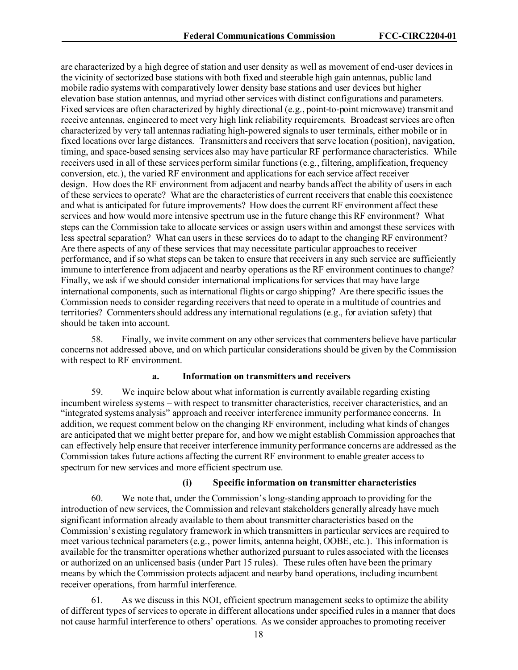are characterized by a high degree of station and user density as well as movement of end-user devices in the vicinity of sectorized base stations with both fixed and steerable high gain antennas, public land mobile radio systems with comparatively lower density base stations and user devices but higher elevation base station antennas, and myriad other services with distinct configurations and parameters. Fixed services are often characterized by highly directional (e.g., point-to-point microwave) transmit and receive antennas, engineered to meet very high link reliability requirements. Broadcast services are often characterized by very tall antennas radiating high-powered signals to user terminals, either mobile or in fixed locations over large distances. Transmitters and receivers that serve location (position), navigation, timing, and space-based sensing services also may have particular RF performance characteristics. While receivers used in all of these services perform similar functions (e.g., filtering, amplification, frequency conversion, etc.), the varied RF environment and applications for each service affect receiver design. How does the RF environment from adjacent and nearby bands affect the ability of users in each of these services to operate? What are the characteristics of current receivers that enable this coexistence and what is anticipated for future improvements? How does the current RF environment affect these services and how would more intensive spectrum use in the future change this RF environment? What steps can the Commission take to allocate services or assign users within and amongst these services with less spectral separation? What can users in these services do to adapt to the changing RF environment? Are there aspects of any of these services that may necessitate particular approaches to receiver performance, and if so what steps can be taken to ensure that receivers in any such service are sufficiently immune to interference from adjacent and nearby operations as the RF environment continues to change? Finally, we ask if we should consider international implications for services that may have large international components, such as international flights or cargo shipping? Are there specific issues the Commission needs to consider regarding receivers that need to operate in a multitude of countries and territories? Commenters should address any international regulations (e.g., for aviation safety) that should be taken into account.

58. Finally, we invite comment on any other services that commenters believe have particular concerns not addressed above, and on which particular considerations should be given by the Commission with respect to RF environment.

#### **a. Information on transmitters and receivers**

59. We inquire below about what information is currently available regarding existing incumbent wireless systems – with respect to transmitter characteristics, receiver characteristics, and an "integrated systems analysis" approach and receiver interference immunity performance concerns. In addition, we request comment below on the changing RF environment, including what kinds of changes are anticipated that we might better prepare for, and how we might establish Commission approaches that can effectively help ensure that receiver interference immunity performance concerns are addressed as the Commission takes future actions affecting the current RF environment to enable greater access to spectrum for new services and more efficient spectrum use.

#### **(i) Specific information on transmitter characteristics**

60. We note that, under the Commission's long-standing approach to providing for the introduction of new services, the Commission and relevant stakeholders generally already have much significant information already available to them about transmitter characteristics based on the Commission's existing regulatory framework in which transmitters in particular services are required to meet various technical parameters (e.g., power limits, antenna height, OOBE, etc.). This information is available for the transmitter operations whether authorized pursuant to rules associated with the licenses or authorized on an unlicensed basis (under Part 15 rules). These rules often have been the primary means by which the Commission protects adjacent and nearby band operations, including incumbent receiver operations, from harmful interference.

61. As we discuss in this NOI, efficient spectrum management seeksto optimize the ability of different types of services to operate in different allocations under specified rules in a manner that does not cause harmful interference to others' operations. As we consider approaches to promoting receiver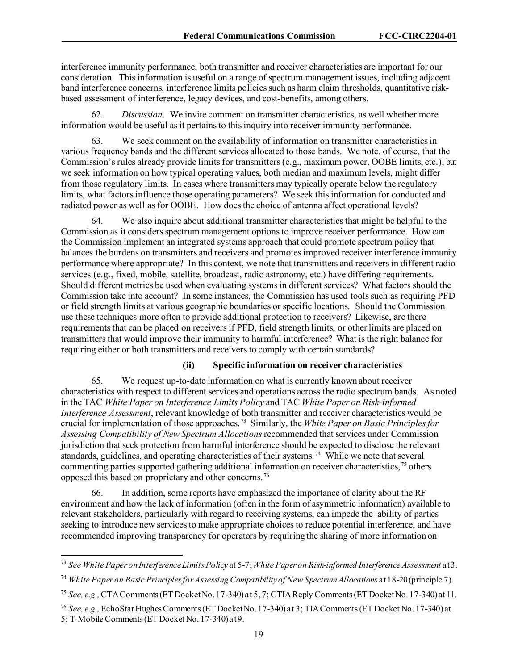interference immunity performance, both transmitter and receiver characteristics are important for our consideration. This information is useful on a range of spectrum management issues, including adjacent band interference concerns, interference limits policies such as harm claim thresholds, quantitative riskbased assessment of interference, legacy devices, and cost-benefits, among others.

62. *Discussion*. We invite comment on transmitter characteristics, as well whether more information would be useful as it pertains to this inquiry into receiver immunity performance.

We seek comment on the availability of information on transmitter characteristics in various frequency bands and the different services allocated to those bands. We note, of course, that the Commission's rules already provide limits for transmitters (e.g., maximum power, OOBE limits, etc.), but we seek information on how typical operating values, both median and maximum levels, might differ from those regulatory limits. In cases where transmitters may typically operate below the regulatory limits, what factors influence those operating parameters? We seek this information for conducted and radiated power as well as for OOBE. How does the choice of antenna affect operational levels?

64. We also inquire about additional transmitter characteristics that might be helpful to the Commission as it considers spectrum management options to improve receiver performance. How can the Commission implement an integrated systems approach that could promote spectrum policy that balances the burdens on transmitters and receivers and promotes improved receiver interference immunity performance where appropriate? In this context, we note that transmitters and receiversin different radio services (e.g., fixed, mobile, satellite, broadcast, radio astronomy, etc.) have differing requirements. Should different metrics be used when evaluating systems in different services? What factors should the Commission take into account? In some instances, the Commission has used tools such as requiring PFD or field strength limits at various geographic boundaries or specific locations. Should the Commission use these techniques more often to provide additional protection to receivers? Likewise, are there requirements that can be placed on receivers if PFD, field strength limits, or other limits are placed on transmitters that would improve their immunity to harmful interference? What is the right balance for requiring either or both transmitters and receivers to comply with certain standards?

#### **(ii) Specific information on receiver characteristics**

65. We request up-to-date information on what is currently known about receiver characteristics with respect to different services and operations across the radio spectrum bands. As noted in the TAC *White Paper on Interference Limits Policy* and TAC *White Paper on Risk-informed Interference Assessment*, relevant knowledge of both transmitter and receiver characteristics would be crucial for implementation of those approaches. [73](#page-19-0) Similarly, the *White Paper on Basic Principles for Assessing Compatibility of New Spectrum Allocations* recommended that services under Commission jurisdiction that seek protection from harmful interference should be expected to disclose the relevant standards, guidelines, and operating characteristics of their systems.<sup>[74](#page-19-1)</sup> While we note that several commenting parties supported gathering additional information on receiver characteristics, [75](#page-19-2) others opposed this based on proprietary and other concerns. [76](#page-19-3)

66. In addition, some reports have emphasized the importance of clarity about the RF environment and how the lack of information (often in the form of asymmetric information) available to relevant stakeholders, particularly with regard to receiving systems, can impede the ability of parties seeking to introduce new services to make appropriate choices to reduce potential interference, and have recommended improving transparency for operators by requiring the sharing of more information on

<span id="page-19-0"></span><sup>73</sup> *See White Paper onInterference LimitsPolicy* at 5-7; *White Paper on Risk-informed Interference Assessment* at 3.

<span id="page-19-1"></span><sup>74</sup> *White Paper on Basic Principles for Assessing Compatibility of New Spectrum Allocations* at 18-20(principle 7).

<span id="page-19-2"></span><sup>75</sup> *See, e.g.,* CTA Comments (ET Docket No. 17-340) at 5, 7; CTIA Reply Comments(ET Docket No. 17-340) at 11.

<span id="page-19-3"></span><sup>76</sup> *See, e.g.,* EchoStar Hughes Comments (ET Docket No. 17-340) at 3; TIA Comments (ET Docket No. 17-340) at 5; T-Mobile Comments(ET Docket No. 17-340) at 9.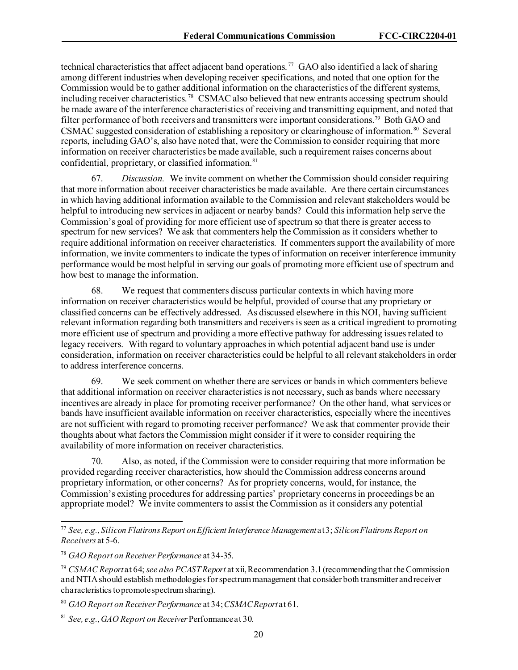technical characteristics that affect adjacent band operations.<sup>[77](#page-20-0)</sup> GAO also identified a lack of sharing among different industries when developing receiver specifications, and noted that one option for the Commission would be to gather additional information on the characteristics of the different systems, including receiver characteristics. [78](#page-20-1) CSMAC also believed that new entrants accessing spectrum should be made aware of the interference characteristics of receiving and transmitting equipment, and noted that filter performance of both receivers and transmitters were important considerations.<sup>[79](#page-20-2)</sup> Both GAO and CSMAC suggested consideration of establishing a repository or clearinghouse of information. [80](#page-20-3) Several reports, including GAO's, also have noted that, were the Commission to consider requiring that more information on receiver characteristics be made available, such a requirement raises concerns about confidential, proprietary, or classified information.<sup>81</sup>

67. *Discussion.* We invite comment on whether the Commission should consider requiring that more information about receiver characteristics be made available. Are there certain circumstances in which having additional information available to the Commission and relevant stakeholders would be helpful to introducing new services in adjacent or nearby bands? Could this information help serve the Commission's goal of providing for more efficient use of spectrum so that there is greater access to spectrum for new services? We ask that commenters help the Commission as it considers whether to require additional information on receiver characteristics. If commenters support the availability of more information, we invite commenters to indicate the types of information on receiver interference immunity performance would be most helpful in serving our goals of promoting more efficient use of spectrum and how best to manage the information.

68. We request that commenters discuss particular contexts in which having more information on receiver characteristics would be helpful, provided of course that any proprietary or classified concerns can be effectively addressed. As discussed elsewhere in this NOI, having sufficient relevant information regarding both transmitters and receivers is seen as a critical ingredient to promoting more efficient use of spectrum and providing a more effective pathway for addressing issues related to legacy receivers. With regard to voluntary approaches in which potential adjacent band use is under consideration, information on receiver characteristics could be helpful to all relevant stakeholdersin order to address interference concerns.

69. We seek comment on whether there are services or bands in which commenters believe that additional information on receiver characteristics is not necessary, such as bands where necessary incentives are already in place for promoting receiver performance? On the other hand, what services or bands have insufficient available information on receiver characteristics, especially where the incentives are not sufficient with regard to promoting receiver performance? We ask that commenter provide their thoughts about what factors the Commission might consider if it were to consider requiring the availability of more information on receiver characteristics.

70. Also, as noted, if the Commission were to consider requiring that more information be provided regarding receiver characteristics, how should the Commission address concerns around proprietary information, or other concerns? As for propriety concerns, would, for instance, the Commission's existing procedures for addressing parties' proprietary concerns in proceedings be an appropriate model? We invite commenters to assist the Commission as it considers any potential

<span id="page-20-0"></span><sup>77</sup> *See, e.g.*, *Silicon Flatirons Report on Efficient Interference Management* at 3; *Silicon Flatirons Report on Receivers* at 5-6.

<span id="page-20-1"></span><sup>78</sup> *GAO Report on Receiver Performance* at 34-35.

<span id="page-20-2"></span><sup>79</sup> *CSMAC Report* at 64; *see also PCAST Report* at xii, Recommendation 3.1 (recommendingthat the Commission and NTIA should establish methodologies for spectrum management that consider both transmitter and receiver characteristics to promote spectrum sharing).

<span id="page-20-3"></span><sup>80</sup> *GAO Report on Receiver Performance* at 34; *CSMAC Report*at 61.

<span id="page-20-4"></span><sup>81</sup> *See, e.g.*, *GAO Report on Receiver* Performanceat 30.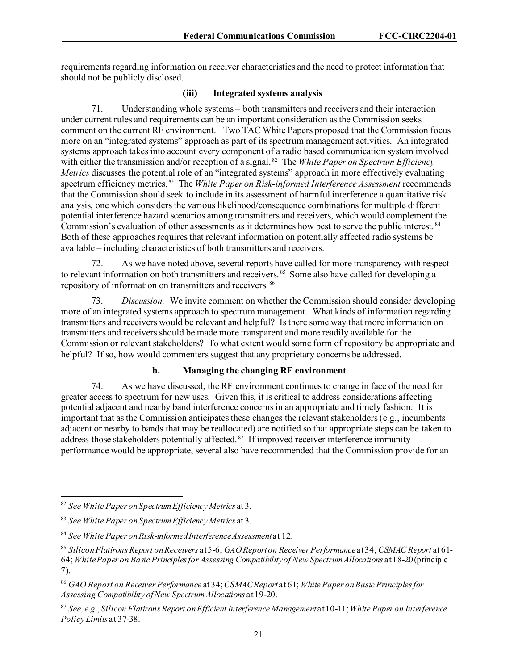requirements regarding information on receiver characteristics and the need to protect information that should not be publicly disclosed.

### **(iii) Integrated systems analysis**

71. Understanding whole systems – both transmitters and receivers and their interaction under current rules and requirements can be an important consideration as the Commission seeks comment on the current RF environment. Two TAC White Papers proposed that the Commission focus more on an "integrated systems" approach as part of its spectrum management activities. An integrated systems approach takes into account every component of a radio based communication system involved with either the transmission and/or reception of a signal.<sup>[82](#page-21-0)</sup> The *White Paper on Spectrum Efficiency Metrics* discusses the potential role of an "integrated systems" approach in more effectively evaluating spectrum efficiency metrics.<sup>83</sup> The *White Paper on Risk-informed Interference Assessment* recommends that the Commission should seek to include in its assessment of harmful interference a quantitative risk analysis, one which considers the various likelihood/consequence combinations for multiple different potential interference hazard scenarios among transmitters and receivers, which would complement the Commission's evaluation of other assessments as it determines how best to serve the public interest. <sup>84</sup> Both of these approaches requires that relevant information on potentially affected radio systems be available – including characteristics of both transmitters and receivers.

72. As we have noted above, several reports have called for more transparency with respect to relevant information on both transmitters and receivers.<sup>85</sup> Some also have called for developing a repository of information on transmitters and receivers. [86](#page-21-4)

73. *Discussion.* We invite comment on whether the Commission should consider developing more of an integrated systems approach to spectrum management. What kinds of information regarding transmitters and receivers would be relevant and helpful? Is there some way that more information on transmitters and receivers should be made more transparent and more readily available for the Commission or relevant stakeholders? To what extent would some form of repository be appropriate and helpful? If so, how would commenters suggest that any proprietary concerns be addressed.

#### **b. Managing the changing RF environment**

74. As we have discussed, the RF environment continues to change in face of the need for greater access to spectrum for new uses. Given this, it is critical to address considerations affecting potential adjacent and nearby band interference concerns in an appropriate and timely fashion. It is important that as the Commission anticipates these changes the relevant stakeholders (e.g., incumbents adjacent or nearby to bands that may be reallocated) are notified so that appropriate steps can be taken to address those stakeholders potentially affected.<sup>[87](#page-21-5)</sup> If improved receiver interference immunity performance would be appropriate, several also have recommended that the Commission provide for an

<span id="page-21-0"></span><sup>82</sup> *See White Paper on Spectrum Efficiency Metrics* at 3*.*

<span id="page-21-1"></span><sup>83</sup> *See White Paper on Spectrum Efficiency Metrics* at 3*.*

<span id="page-21-2"></span><sup>84</sup> *See White Paper on Risk-informed Interference Assessment*at 12*.*

<span id="page-21-3"></span><sup>85</sup> *Silicon Flatirons Report on Receivers* at 5-6; *GAO Reporton Receiver Performance*at34; *CSMAC Report* at 61- 64; *White Paper on Basic Principles for Assessing Compatibility of New Spectrum Allocations* at 18-20 (principle 7).

<span id="page-21-4"></span><sup>86</sup> *GAO Report on Receiver Performance* at 34; *CSMAC Report*at 61; *White Paper on Basic Principles for Assessing Compatibility of New Spectrum Allocations* at 19-20.

<span id="page-21-5"></span><sup>87</sup> *See, e.g.*, *Silicon Flatirons Report on Efficient Interference Management* at 10-11; *White Paper on Interference Policy Limits* at 37-38.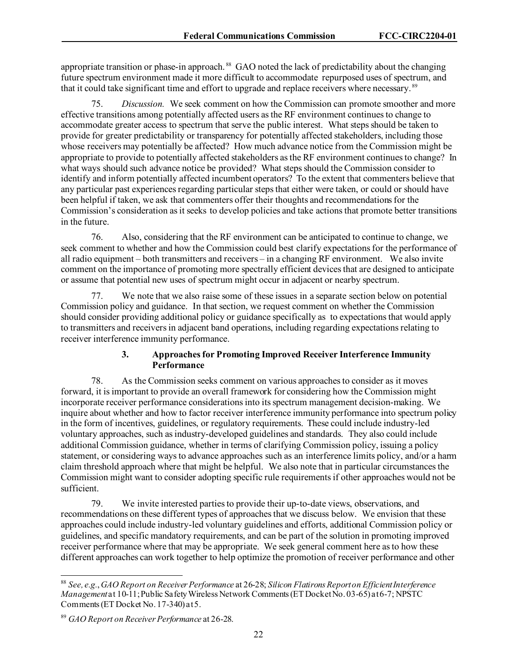appropriate transition or phase-in approach. [88](#page-22-0) GAO noted the lack of predictability about the changing future spectrum environment made it more difficult to accommodate repurposed uses of spectrum, and that it could take significant time and effort to upgrade and replace receivers where necessary.<sup>89</sup>

75. *Discussion.* We seek comment on how the Commission can promote smoother and more effective transitions among potentially affected users as the RF environment continues to change to accommodate greater access to spectrum that serve the public interest. What steps should be taken to provide for greater predictability or transparency for potentially affected stakeholders, including those whose receivers may potentially be affected? How much advance notice from the Commission might be appropriate to provide to potentially affected stakeholders as the RF environment continues to change? In what ways should such advance notice be provided? What steps should the Commission consider to identify and inform potentially affected incumbent operators? To the extent that commenters believe that any particular past experiences regarding particular steps that either were taken, or could or should have been helpful if taken, we ask that commenters offer their thoughts and recommendations for the Commission's consideration as it seeks to develop policies and take actions that promote better transitions in the future.

76. Also, considering that the RF environment can be anticipated to continue to change, we seek comment to whether and how the Commission could best clarify expectations for the performance of all radio equipment – both transmitters and receivers – in a changing RF environment. We also invite comment on the importance of promoting more spectrally efficient devices that are designed to anticipate or assume that potential new uses of spectrum might occur in adjacent or nearby spectrum.

77. We note that we also raise some of these issues in a separate section below on potential Commission policy and guidance. In that section, we request comment on whether the Commission should consider providing additional policy or guidance specifically as to expectations that would apply to transmitters and receivers in adjacent band operations, including regarding expectations relating to receiver interference immunity performance.

## **3. Approaches for Promoting Improved Receiver Interference Immunity Performance**

78. As the Commission seeks comment on various approaches to consider as it moves forward, it is important to provide an overall framework for considering how the Commission might incorporate receiver performance considerations into its spectrum management decision-making. We inquire about whether and how to factor receiver interference immunity performance into spectrum policy in the form of incentives, guidelines, or regulatory requirements. These could include industry-led voluntary approaches, such as industry-developed guidelines and standards. They also could include additional Commission guidance, whether in terms of clarifying Commission policy, issuing a policy statement, or considering ways to advance approaches such as an interference limits policy, and/or a harm claim threshold approach where that might be helpful. We also note that in particular circumstances the Commission might want to consider adopting specific rule requirementsif other approaches would not be sufficient.

79. We invite interested parties to provide their up-to-date views, observations, and recommendations on these different types of approaches that we discuss below. We envision that these approaches could include industry-led voluntary guidelines and efforts, additional Commission policy or guidelines, and specific mandatory requirements, and can be part of the solution in promoting improved receiver performance where that may be appropriate. We seek general comment here as to how these different approaches can work together to help optimize the promotion of receiver performance and other

<span id="page-22-0"></span><sup>88</sup> *See, e.g.*, *GAO Report on Receiver Performance* at 26-28; *Silicon Flatirons Report on Efficient Interference Management* at 10-11; Public Safety Wireless Network Comments (ET Docket No. 03-65) at 6-7; NPSTC Comments (ET Docket No. 17-340) at 5.

<span id="page-22-1"></span><sup>89</sup> *GAO Report on Receiver Performance* at 26-28.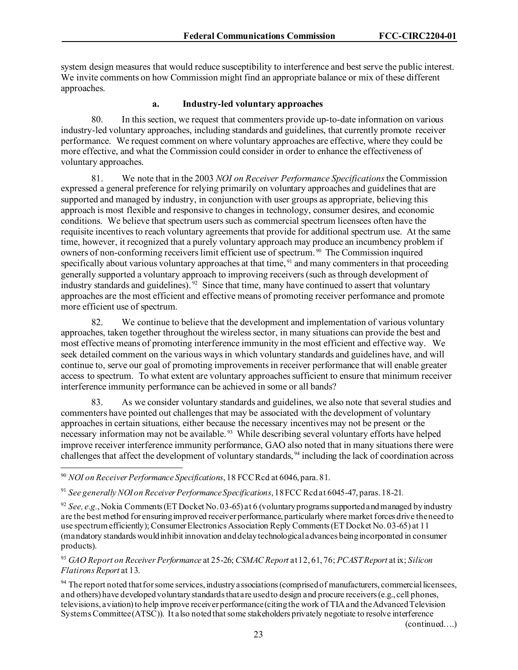system design measures that would reduce susceptibility to interference and best serve the public interest. We invite comments on how Commission might find an appropriate balance or mix of these different approaches.

### **a. Industry-led voluntary approaches**

80. In this section, we request that commenters provide up-to-date information on various industry-led voluntary approaches, including standards and guidelines, that currently promote receiver performance. We request comment on where voluntary approaches are effective, where they could be more effective, and what the Commission could consider in order to enhance the effectiveness of voluntary approaches.

81. We note that in the 2003 *NOI on Receiver Performance Specifications*the Commission expressed a general preference for relying primarily on voluntary approaches and guidelines that are supported and managed by industry, in conjunction with user groups as appropriate, believing this approach is most flexible and responsive to changes in technology, consumer desires, and economic conditions. We believe that spectrum userssuch as commercial spectrum licensees often have the requisite incentives to reach voluntary agreements that provide for additional spectrum use. At the same time, however, it recognized that a purely voluntary approach may produce an incumbency problem if owners of non-conforming receivers limit efficient use of spectrum. [90](#page-23-0) The Commission inquired specifically about various voluntary approaches at that time, <sup>[91](#page-23-1)</sup> and many commenters in that proceeding generally supported a voluntary approach to improving receivers(such as through development of industry standards and guidelines).  $92$  Since that time, many have continued to assert that voluntary approaches are the most efficient and effective means of promoting receiver performance and promote more efficient use of spectrum.

82. We continue to believe that the development and implementation of various voluntary approaches, taken together throughout the wireless sector, in many situations can provide the best and most effective means of promoting interference immunity in the most efficient and effective way. We seek detailed comment on the various ways in which voluntary standards and guidelines have, and will continue to, serve our goal of promoting improvements in receiver performance that will enable greater access to spectrum. To what extent are voluntary approaches sufficient to ensure that minimum receiver interference immunity performance can be achieved in some or all bands?

83. As we consider voluntary standards and guidelines, we also note that several studies and commenters have pointed out challenges that may be associated with the development of voluntary approaches in certain situations, either because the necessary incentives may not be present or the necessary information may not be available.<sup>[93](#page-23-3)</sup> While describing several voluntary efforts have helped improve receiver interference immunity performance, GAO also noted that in many situations there were challenges that affect the development of voluntary standards, [94](#page-23-4) including the lack of coordination across

(continued….)

<span id="page-23-0"></span><sup>90</sup> *NOI on Receiver Performance Specifications*, 18 FCC Rcd at 6046, para. 81.

<span id="page-23-1"></span><sup>91</sup> *See generally NOI on Receiver Performance Specifications*, 18 FCC Rcd at 6045-47, paras. 18-21*.* 

<span id="page-23-2"></span><sup>92</sup> *See, e.g.*, Nokia Comments(ET Docket No. 03-65) at 6 (voluntary programs supportedand managed by industry are the best method for ensuring improved receiver performance, particularly where market forces drive the need to use spectrum efficiently); Consumer Electronics Association Reply Comments (ET Docket No. 03-65) at 11 (mandatory standards would inhibit innovation and delay technological advances being incorporated in consumer products).

<span id="page-23-3"></span><sup>93</sup> *GAO Report on Receiver Performance* at 25-26; *CSMAC Report* at 12, 61, 76; *PCAST Report* at ix; *Silicon Flatirons Report* at 13.

<span id="page-23-4"></span> $94$  The report noted that for some services, industry associations (comprised of manufacturers, commercial licensees, and others) have developed voluntary standards that are used to design and procure receivers(e.g., cell phones, televisions, aviation) to help improve receiver performance(citing the work of TIA and the Advanced Television Systems Committee (ATSC)). It also noted that some stakeholders privately negotiate to resolve interference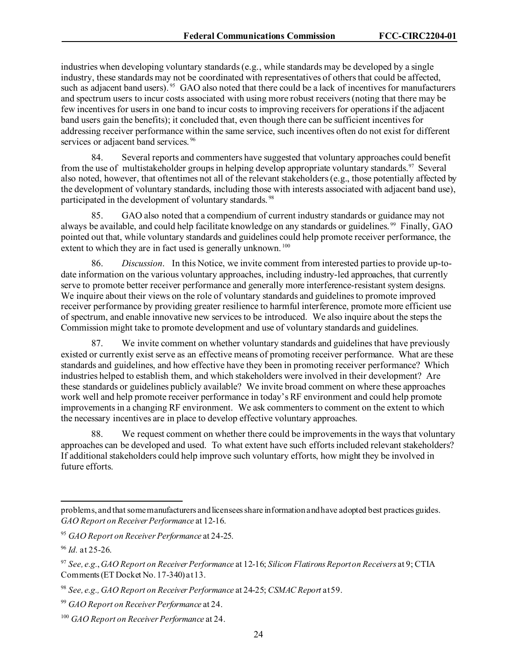industries when developing voluntary standards (e.g., while standards may be developed by a single industry, these standards may not be coordinated with representatives of others that could be affected, such as adjacent band users). <sup>[95](#page-24-0)</sup> GAO also noted that there could be a lack of incentives for manufacturers and spectrum users to incur costs associated with using more robust receivers (noting that there may be few incentives for users in one band to incur costs to improving receivers for operations if the adjacent band users gain the benefits); it concluded that, even though there can be sufficient incentives for addressing receiver performance within the same service, such incentives often do not exist for different services or adjacent band services.<sup>[96](#page-24-1)</sup>

84. Several reports and commenters have suggested that voluntary approaches could benefit from the use of multistakeholder groups in helping develop appropriate voluntary standards.<sup>97</sup> Several also noted, however, that oftentimes not all of the relevant stakeholders(e.g., those potentially affected by the development of voluntary standards, including those with interests associated with adjacent band use), participated in the development of voluntary standards. [98](#page-24-3)

85. GAO also noted that a compendium of current industry standards or guidance may not always be available, and could help facilitate knowledge on any standards or guidelines. [99](#page-24-4) Finally, GAO pointed out that, while voluntary standards and guidelines could help promote receiver performance, the extent to which they are in fact used is generally unknown.<sup>[100](#page-24-5)</sup>

86. *Discussion*. In this Notice, we invite comment from interested parties to provide up-todate information on the various voluntary approaches, including industry-led approaches, that currently serve to promote better receiver performance and generally more interference-resistant system designs. We inquire about their views on the role of voluntary standards and guidelines to promote improved receiver performance by providing greater resilience to harmful interference, promote more efficient use of spectrum, and enable innovative new services to be introduced. We also inquire about the steps the Commission might take to promote development and use of voluntary standards and guidelines.

87. We invite comment on whether voluntary standards and guidelines that have previously existed or currently exist serve as an effective means of promoting receiver performance. What are these standards and guidelines, and how effective have they been in promoting receiver performance? Which industries helped to establish them, and which stakeholders were involved in their development? Are these standards or guidelines publicly available? We invite broad comment on where these approaches work well and help promote receiver performance in today's RF environment and could help promote improvements in a changing RF environment. We ask commenters to comment on the extent to which the necessary incentives are in place to develop effective voluntary approaches.

88. We request comment on whether there could be improvements in the ways that voluntary approaches can be developed and used. To what extent have such efforts included relevant stakeholders? If additional stakeholders could help improve such voluntary efforts, how might they be involved in future efforts.

problems, and that some manufacturers and licensees share information and have adopted best practices guides. *GAO Report on Receiver Performance* at 12-16.

<span id="page-24-0"></span><sup>95</sup> *GAO Report on Receiver Performance* at 24-25.

<span id="page-24-1"></span><sup>96</sup> *Id.* at 25-26.

<span id="page-24-2"></span><sup>97</sup> *See, e.g.*,*GAO Report on Receiver Performance* at 12-16; *Silicon Flatirons Report on Receivers* at 9; CTIA Comments (ET Docket No. 17-340) at 13.

<span id="page-24-3"></span><sup>98</sup> *See, e.g., GAO Report on Receiver Performance* at 24-25; *CSMAC Report* at 59.

<span id="page-24-4"></span><sup>99</sup> *GAO Report on Receiver Performance* at 24.

<span id="page-24-5"></span><sup>100</sup> *GAO Report on Receiver Performance* at 24.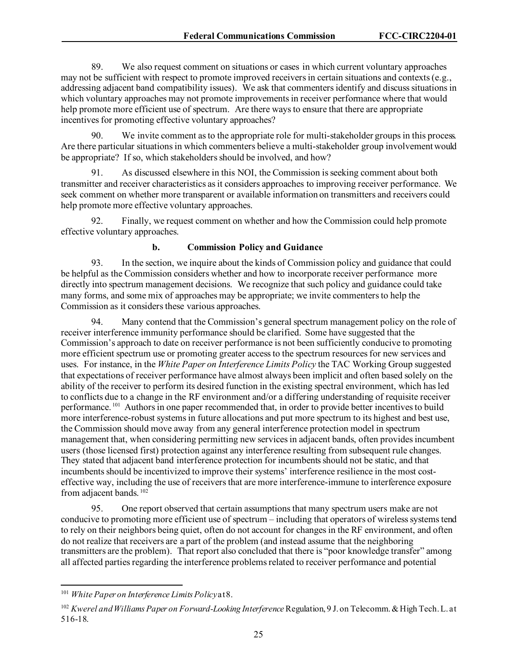89. We also request comment on situations or cases in which current voluntary approaches may not be sufficient with respect to promote improved receivers in certain situations and contexts(e.g., addressing adjacent band compatibility issues). We ask that commenters identify and discuss situations in which voluntary approaches may not promote improvements in receiver performance where that would help promote more efficient use of spectrum. Are there ways to ensure that there are appropriate incentives for promoting effective voluntary approaches?

90. We invite comment as to the appropriate role for multi-stakeholder groups in this process. Are there particular situations in which commenters believe a multi-stakeholder group involvement would be appropriate? If so, which stakeholders should be involved, and how?

91. As discussed elsewhere in this NOI, the Commission is seeking comment about both transmitter and receiver characteristics as it considers approaches to improving receiver performance. We seek comment on whether more transparent or available information on transmitters and receivers could help promote more effective voluntary approaches.

92. Finally, we request comment on whether and how the Commission could help promote effective voluntary approaches.

#### **b. Commission Policy and Guidance**

93. In the section, we inquire about the kinds of Commission policy and guidance that could be helpful as the Commission considers whether and how to incorporate receiver performance more directly into spectrum management decisions. We recognize that such policy and guidance could take many forms, and some mix of approaches may be appropriate; we invite commenters to help the Commission as it considers these various approaches.

94. Many contend that the Commission's general spectrum management policy on the role of receiver interference immunity performance should be clarified. Some have suggested that the Commission's approach to date on receiver performance is not been sufficiently conducive to promoting more efficient spectrum use or promoting greater access to the spectrum resources for new services and uses. For instance, in the *White Paper on Interference Limits Policy* the TAC Working Group suggested that expectations of receiver performance have almost always been implicit and often based solely on the ability of the receiver to perform its desired function in the existing spectral environment, which has led to conflicts due to a change in the RF environment and/or a differing understanding of requisite receiver performance.<sup>[101](#page-25-0)</sup> Authors in one paper recommended that, in order to provide better incentives to build more interference-robust systems in future allocations and put more spectrum to its highest and best use, the Commission should move away from any general interference protection model in spectrum management that, when considering permitting new services in adjacent bands, often provides incumbent users (those licensed first) protection against any interference resulting from subsequent rule changes. They stated that adjacent band interference protection for incumbents should not be static, and that incumbents should be incentivized to improve their systems' interference resilience in the most costeffective way, including the use of receivers that are more interference-immune to interference exposure from adjacent bands.<sup>[102](#page-25-1)</sup>

95. One report observed that certain assumptions that many spectrum users make are not conducive to promoting more efficient use of spectrum – including that operators of wireless systems tend to rely on their neighbors being quiet, often do not account for changes in the RF environment, and often do not realize that receivers are a part of the problem (and instead assume that the neighboring transmitters are the problem). That report also concluded that there is "poor knowledge transfer" among all affected parties regarding the interference problems related to receiver performance and potential

<span id="page-25-0"></span><sup>&</sup>lt;sup>101</sup> White Paper on Interference Limits Policy at 8.

<span id="page-25-1"></span><sup>102</sup> *Kwerel and Williams Paper on Forward-Looking Interference* Regulation, 9 J. on Telecomm. & High Tech. L. at 516-18.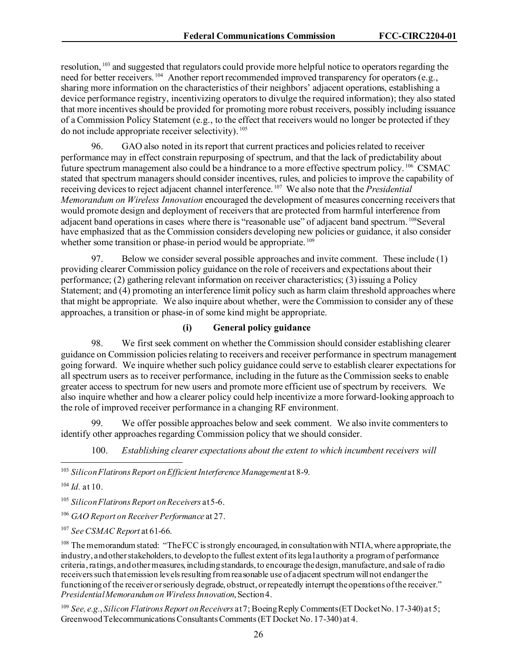resolution, [103](#page-26-0) and suggested that regulators could provide more helpful notice to operators regarding the need for better receivers.<sup>104</sup> Another report recommended improved transparency for operators (e.g., sharing more information on the characteristics of their neighbors' adjacent operations, establishing a device performance registry, incentivizing operators to divulge the required information); they also stated that more incentives should be provided for promoting more robust receivers, possibly including issuance of a Commission Policy Statement (e.g., to the effect that receivers would no longer be protected if they do not include appropriate receiver selectivity). [105](#page-26-2) 

96. GAO also noted in its report that current practices and policies related to receiver performance may in effect constrain repurposing of spectrum, and that the lack of predictability about future spectrum management also could be a hindrance to a more effective spectrum policy. [106](#page-26-3) CSMAC stated that spectrum managers should consider incentives, rules, and policies to improve the capability of receiving devices to reject adjacent channel interference. [107](#page-26-4) We also note that the *Presidential Memorandum on Wireless Innovation* encouraged the development of measures concerning receivers that would promote design and deployment of receivers that are protected from harmful interference from adjacent band operations in cases where there is "reasonable use" of adjacent band spectrum. <sup>108</sup>Several have emphasized that as the Commission considers developing new policies or guidance, it also consider whether some transition or phase-in period would be appropriate. <sup>[109](#page-26-6)</sup>

97. Below we consider several possible approaches and invite comment. These include (1) providing clearer Commission policy guidance on the role of receivers and expectations about their performance; (2) gathering relevant information on receiver characteristics; (3) issuing a Policy Statement; and (4) promoting an interference limit policy such as harm claim threshold approaches where that might be appropriate. We also inquire about whether, were the Commission to consider any of these approaches, a transition or phase-in of some kind might be appropriate.

### **(i) General policy guidance**

98. We first seek comment on whether the Commission should consider establishing clearer guidance on Commission policies relating to receivers and receiver performance in spectrum management going forward. We inquire whether such policy guidance could serve to establish clearer expectationsfor all spectrum users as to receiver performance, including in the future as the Commission seeks to enable greater access to spectrum for new users and promote more efficient use of spectrum by receivers. We also inquire whether and how a clearer policy could help incentivize a more forward-looking approach to the role of improved receiver performance in a changing RF environment.

We offer possible approaches below and seek comment. We also invite commenters to identify other approaches regarding Commission policy that we should consider.

100. *Establishing clearer expectations about the extent to which incumbent receivers will* 

<span id="page-26-0"></span><sup>103</sup> Silicon Flatirons Report on Efficient Interference Management at 8-9.

<span id="page-26-1"></span><sup>104</sup> *Id.* at 10.

<span id="page-26-2"></span><sup>105</sup> *Silicon Flatirons Report on Receivers* at 5-6.

<span id="page-26-3"></span><sup>106</sup> *GAO Report on Receiver Performance* at 27.

<span id="page-26-4"></span><sup>107</sup> *See CSMAC Report* at 61-66.

<span id="page-26-5"></span><sup>108</sup> The memorandum stated: "The FCC is strongly encouraged, in consultation with NTIA, where appropriate, the industry, and other stakeholders, to develop to the fullest extent of its legal authority a program of performance criteria, ratings, and other measures, including standards, to encourage the design, manufacture, and sale of radio receivers such that emission levels resulting from reasonable use of adjacent spectrum will not endanger the functioning of the receiver or seriously degrade, obstruct, or repeatedly interrupt the operations of the receiver." *Presidential Memorandum on Wireless Innovation*, Section 4.

<span id="page-26-6"></span><sup>109</sup> *See, e.g.*, *Silicon Flatirons Report on Receivers* at 7; Boeing Reply Comments (ET Docket No. 17-340) at 5; Greenwood Telecommunications Consultants Comments (ET Docket No. 17-340) at 4.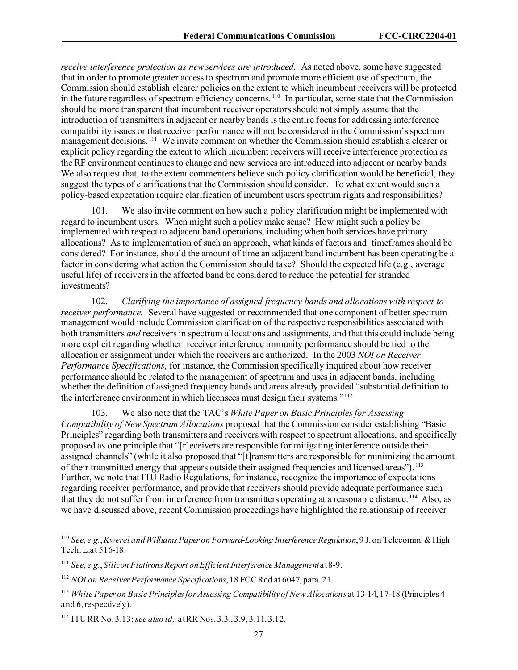*receive interference protection as new services are introduced.* As noted above, some have suggested that in order to promote greater access to spectrum and promote more efficient use of spectrum, the Commission should establish clearer policies on the extent to which incumbent receivers will be protected in the future regardless of spectrum efficiency concerns.<sup>[110](#page-27-0)</sup> In particular, some state that the Commission in the future regardless of spectrum efficiency concerns.<sup>110</sup> should be more transparent that incumbent receiver operators should not simply assume that the introduction of transmitters in adjacent or nearby bands is the entire focus for addressing interference compatibility issues or that receiver performance will not be considered in the Commission's spectrum management decisions.<sup>[111](#page-27-1)</sup> We invite comment on whether the Commission should establish a clearer or explicit policy regarding the extent to which incumbent receivers will receive interference protection as the RF environment continues to change and new services are introduced into adjacent or nearby bands. We also request that, to the extent commenters believe such policy clarification would be beneficial, they suggest the types of clarifications that the Commission should consider. To what extent would such a policy-based expectation require clarification of incumbent users spectrum rights and responsibilities?

101. We also invite comment on how such a policy clarification might be implemented with regard to incumbent users. When might such a policy make sense? How might such a policy be implemented with respect to adjacent band operations, including when both services have primary allocations? Asto implementation of such an approach, what kinds of factors and timeframes should be considered? For instance, should the amount of time an adjacent band incumbent has been operating be a factor in considering what action the Commission should take? Should the expected life (e.g., average useful life) of receivers in the affected band be considered to reduce the potential for stranded investments?

102. *Clarifying the importance of assigned frequency bands and allocations with respect to receiver performance.* Several have suggested or recommended that one component of better spectrum management would include Commission clarification of the respective responsibilities associated with both transmitters *and* receivers in spectrum allocations and assignments, and that this could include being more explicit regarding whether receiver interference immunity performance should be tied to the allocation or assignment under which the receivers are authorized. In the 2003 *NOI on Receiver Performance Specifications*, for instance, the Commission specifically inquired about how receiver performance should be related to the management of spectrum and uses in adjacent bands, including whether the definition of assigned frequency bands and areas already provided "substantial definition to the interference environment in which licensees must design their systems."[112](#page-27-2) 

103. We also note that the TAC's *White Paper on Basic Principles for Assessing Compatibility of New Spectrum Allocations* proposed that the Commission consider establishing "Basic Principles" regarding both transmitters and receivers with respect to spectrum allocations, and specifically proposed as one principle that "[r]eceivers are responsible for mitigating interference outside their assigned channels" (while it also proposed that "[t]ransmitters are responsible for minimizing the amount of their transmitted energy that appears outside their assigned frequencies and licensed areas"). <sup>113</sup> Further, we note that ITU Radio Regulations, for instance, recognize the importance of expectations regarding receiver performance, and provide that receivers should provide adequate performance such that they do not suffer from interference from transmitters operating at a reasonable distance. [114](#page-27-4) Also, as we have discussed above, recent Commission proceedings have highlighted the relationship of receiver

<span id="page-27-0"></span><sup>110</sup> *See, e.g.*, *Kwerel and WilliamsPaper on Forward-Looking Interference Regulation*, 9 J. on Telecomm. & High Tech. L.at 516-18.

<span id="page-27-1"></span><sup>&</sup>lt;sup>111</sup> *See, e.g., Silicon Flatirons Report on Efficient Interference Management* at 8-9.

<span id="page-27-2"></span><sup>112</sup> *NOI on Receiver Performance Specifications*, 18 FCC Rcd at 6047, para. 21.

<span id="page-27-3"></span><sup>113</sup> *White Paper on Basic Principles for Assessing Compatibility of New Allocations* at 13-14, 17-18 (Principles 4 and 6, respectively).

<span id="page-27-4"></span><sup>114</sup> ITU RR No. 3.13; *see also id,.* at RR Nos. 3.3., 3.9, 3.11, 3.12.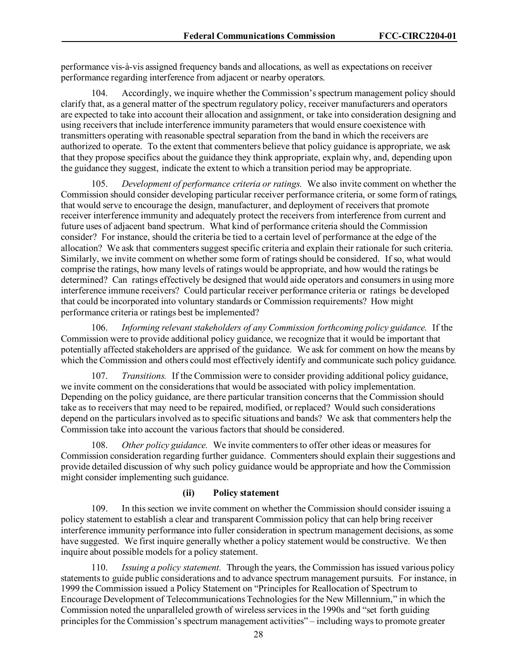performance vis-à-vis assigned frequency bands and allocations, as well as expectations on receiver performance regarding interference from adjacent or nearby operators.

104. Accordingly, we inquire whether the Commission's spectrum management policy should clarify that, as a general matter of the spectrum regulatory policy, receiver manufacturers and operators are expected to take into account their allocation and assignment, or take into consideration designing and using receivers that include interference immunity parameters that would ensure coexistence with transmitters operating with reasonable spectral separation from the band in which the receivers are authorized to operate. To the extent that commenters believe that policy guidance is appropriate, we ask that they propose specifics about the guidance they think appropriate, explain why, and, depending upon the guidance they suggest, indicate the extent to which a transition period may be appropriate.

105. *Development of performance criteria or ratings.* We also invite comment on whether the Commission should consider developing particular receiver performance criteria, or some form of ratings, that would serve to encourage the design, manufacturer, and deployment of receivers that promote receiver interference immunity and adequately protect the receivers from interference from current and future uses of adjacent band spectrum. What kind of performance criteria should the Commission consider? For instance, should the criteria be tied to a certain level of performance at the edge of the allocation? We ask that commenters suggest specific criteria and explain their rationale for such criteria. Similarly, we invite comment on whether some form of ratings should be considered. If so, what would comprise the ratings, how many levels of ratings would be appropriate, and how would the ratings be determined? Can ratings effectively be designed that would aide operators and consumers in using more interference immune receivers? Could particular receiver performance criteria or ratings be developed that could be incorporated into voluntary standards or Commission requirements? How might performance criteria or ratings best be implemented?

106. *Informing relevant stakeholders of any Commission forthcoming policy guidance.* If the Commission were to provide additional policy guidance, we recognize that it would be important that potentially affected stakeholders are apprised of the guidance. We ask for comment on how the means by which the Commission and others could most effectively identify and communicate such policy guidance.

107. *Transitions.* If the Commission were to consider providing additional policy guidance, we invite comment on the considerations that would be associated with policy implementation. Depending on the policy guidance, are there particular transition concerns that the Commission should take as to receivers that may need to be repaired, modified, or replaced? Would such considerations depend on the particulars involved as to specific situations and bands? We ask that commenters help the Commission take into account the various factors that should be considered.

*Other policy guidance.* We invite commenters to offer other ideas or measures for Commission consideration regarding further guidance. Commenters should explain their suggestions and provide detailed discussion of why such policy guidance would be appropriate and how the Commission might consider implementing such guidance.

#### **(ii) Policy statement**

109. In this section we invite comment on whether the Commission should consider issuing a policy statement to establish a clear and transparent Commission policy that can help bring receiver interference immunity performance into fuller consideration in spectrum management decisions, as some have suggested. We first inquire generally whether a policy statement would be constructive. We then inquire about possible models for a policy statement.

110. *Issuing a policy statement.* Through the years, the Commission has issued various policy statements to guide public considerations and to advance spectrum management pursuits. For instance, in 1999 the Commission issued a Policy Statement on "Principles for Reallocation of Spectrum to Encourage Development of Telecommunications Technologies for the New Millennium," in which the Commission noted the unparalleled growth of wireless services in the 1990s and "set forth guiding principles for the Commission's spectrum management activities" – including ways to promote greater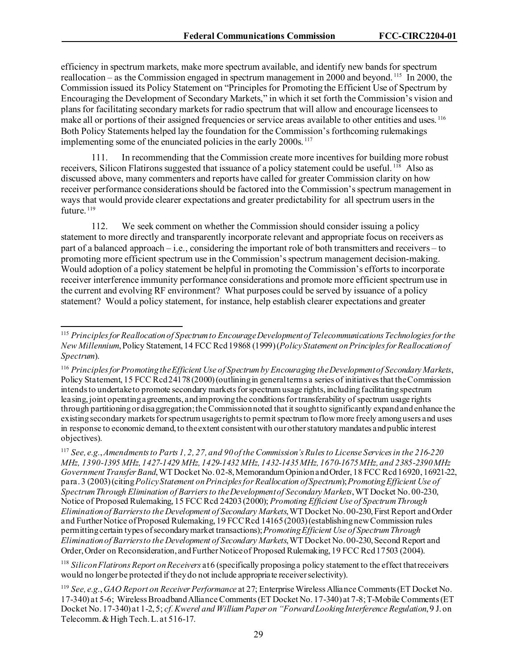efficiency in spectrum markets, make more spectrum available, and identify new bands for spectrum reallocation – as the Commission engaged in spectrum management in 2000 and beyond. <sup>[115](#page-29-0)</sup> In 2000, the Commission issued its Policy Statement on "Principles for Promoting the Efficient Use of Spectrum by Encouraging the Development of Secondary Markets," in which it set forth the Commission's vision and plans for facilitating secondary markets for radio spectrum that will allow and encourage licensees to make all or portions of their assigned frequencies or service areas available to other entities and uses. <sup>[116](#page-29-1)</sup> Both Policy Statements helped lay the foundation for the Commission's forthcoming rulemakings implementing some of the enunciated policies in the early 2000s.<sup>[117](#page-29-2)</sup>

111. In recommending that the Commission create more incentives for building more robust receivers, Silicon Flatirons suggested that issuance of a policy statement could be useful. <sup>[118](#page-29-3)</sup> Also as discussed above, many commenters and reports have called for greater Commission clarity on how receiver performance considerations should be factored into the Commission's spectrum management in ways that would provide clearer expectations and greater predictability for all spectrum users in the future.<sup>119</sup>

112. We seek comment on whether the Commission should consider issuing a policy statement to more directly and transparently incorporate relevant and appropriate focus on receivers as part of a balanced approach – i.e., considering the important role of both transmitters and receivers – to promoting more efficient spectrum use in the Commission's spectrum management decision-making. Would adoption of a policy statement be helpful in promoting the Commission's efforts to incorporate receiver interference immunity performance considerations and promote more efficient spectrum use in the current and evolving RF environment? What purposes could be served by issuance of a policy statement? Would a policy statement, for instance, help establish clearer expectations and greater

<span id="page-29-0"></span><sup>115</sup> *Principles for Reallocation of Spectrum to Encourage Development of Telecommunications Technologies for the New Millennium*, Policy Statement, 14 FCC Rcd 19868 (1999)(*Policy Statement on Principles for Reallocation of Spectrum*).

<span id="page-29-1"></span><sup>116</sup> *Principles for Promoting the Efficient Use of Spectrum by Encouraging the Development of Secondary Markets*, Policy Statement, 15 FCC Rcd 24178(2000) (outlining in general terms a series of initiatives that the Commission intends to undertake to promote secondary markets for spectrum usage rights, including facilitating spectrum leasing, joint operating agreements, and improving the conditions for transferability of spectrum usage rights through partitioning or disaggregation; the Commission noted that it sought to significantly expand and enhance the existing secondary markets for spectrum usage rights to permit spectrum to flow more freely among users and uses in response to economic demand, to the extent consistent with our other statutory mandates and public interest objectives).

<span id="page-29-2"></span><sup>117</sup> *See, e.g.*, *Amendments to Parts 1, 2, 27, and 90 of the Commission's Rules to License Services in the 216-220 MHz, 1390-1395 MHz, 1427-1429 MHz, 1429-1432 MHz, 1432-1435 MHz, 1670-1675 MHz, and 2385-2390 MHz Government Transfer Band*, WT Docket No. 02-8, Memorandum Opinion and Order, 18 FCC Rcd 16920, 16921-22, para. 3 (2003)(citing *Policy Statement on Principles for Reallocation of Spectrum*); *Promoting Efficient Use of Spectrum Through Elimination of Barriers to the Development of Secondary Markets*, WT Docket No. 00-230, Notice of Proposed Rulemaking, 15 FCC Rcd 24203 (2000); *Promoting Efficient Use of Spectrum Through Elimination of Barriers to the Development of Secondary Markets*, WT Docket No. 00-230, First Report and Order and Further Notice of Proposed Rulemaking, 19 FCC Rcd 14165(2003) (establishing new Commission rules permitting certain types of secondary market transactions); *Promoting Efficient Use of Spectrum Through Elimination of Barriers to the Development of Secondary Markets*, WT Docket No. 00-230, Second Report and Order, Order on Reconsideration, and Further Notice of Proposed Rulemaking, 19 FCC Rcd 17503 (2004).

<span id="page-29-3"></span><sup>118</sup> *Silicon Flatirons Report on Receivers* at 6 (specifically proposing a policy statement to the effect that receivers would no longer be protected if they do not include appropriate receiver selectivity).

<span id="page-29-4"></span><sup>119</sup> *See, e.g.*, *GAO Report on Receiver Performance* at 27; Enterprise Wireless Alliance Comments (ET Docket No. 17-340) at 5-6; Wireless Broadband Alliance Comments (ET Docket No. 17-340) at 7-8; T-Mobile Comments (ET Docket No. 17-340) at 1-2, 5; *cf. Kwerel and William Paper on "Forward Looking Interference Regulation*, 9 J. on Telecomm. & High Tech. L. at 516-17.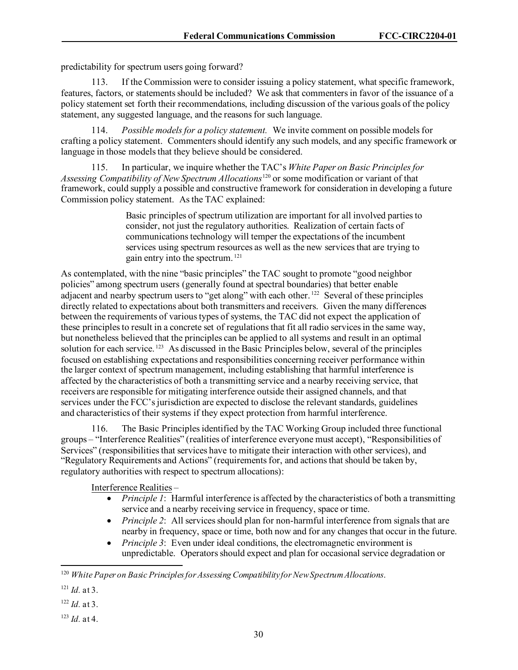predictability for spectrum users going forward?

113. If the Commission were to consider issuing a policy statement, what specific framework, features, factors, or statements should be included? We ask that commenters in favor of the issuance of a policy statement set forth their recommendations, including discussion of the various goals of the policy statement, any suggested language, and the reasons for such language.

114. *Possible models for a policy statement.* We invite comment on possible models for crafting a policy statement. Commenters should identify any such models, and any specific framework or language in those models that they believe should be considered.

115. In particular, we inquire whether the TAC's *White Paper on Basic Principles for Assessing Compatibility of New Spectrum Allocations*[120](#page-30-0) or some modification or variant of that framework, could supply a possible and constructive framework for consideration in developing a future Commission policy statement. As the TAC explained:

> Basic principles of spectrum utilization are important for all involved parties to consider, not just the regulatory authorities. Realization of certain facts of communications technology will temper the expectations of the incumbent services using spectrum resources as well as the new services that are trying to gain entry into the spectrum. [121](#page-30-1)

As contemplated, with the nine "basic principles" the TAC sought to promote "good neighbor policies" among spectrum users (generally found at spectral boundaries) that better enable adjacent and nearby spectrum users to "get along" with each other.<sup>122</sup> Several of these principles directly related to expectations about both transmitters and receivers. Given the many differences between the requirements of various types of systems, the TAC did not expect the application of these principles to result in a concrete set of regulations that fit all radio services in the same way, but nonetheless believed that the principles can be applied to all systems and result in an optimal solution for each service.<sup>123</sup> As discussed in the Basic Principles below, several of the principles focused on establishing expectations and responsibilities concerning receiver performance within the larger context of spectrum management, including establishing that harmful interference is affected by the characteristics of both a transmitting service and a nearby receiving service, that receivers are responsible for mitigating interference outside their assigned channels, and that services under the FCC's jurisdiction are expected to disclose the relevant standards, guidelines and characteristics of their systems if they expect protection from harmful interference.

116. The Basic Principles identified by the TAC Working Group included three functional groups – "Interference Realities" (realities of interference everyone must accept), "Responsibilities of Services" (responsibilities that services have to mitigate their interaction with other services), and "Regulatory Requirements and Actions" (requirements for, and actions that should be taken by, regulatory authorities with respect to spectrum allocations):

Interference Realities –

- *Principle 1*: Harmful interference is affected by the characteristics of both a transmitting service and a nearby receiving service in frequency, space or time.
- *Principle 2*: All services should plan for non-harmful interference from signals that are nearby in frequency, space or time, both now and for any changes that occur in the future.
- *Principle 3*: Even under ideal conditions, the electromagnetic environment is unpredictable. Operators should expect and plan for occasional service degradation or

- <span id="page-30-2"></span><sup>122</sup> *Id.* at 3.
- <span id="page-30-3"></span><sup>123</sup> *Id.* at 4.

<span id="page-30-0"></span><sup>120</sup> *White Paper on Basic Principles for Assessing Compatibility for New Spectrum Allocations*.

<span id="page-30-1"></span> $121$  *Id.* at 3.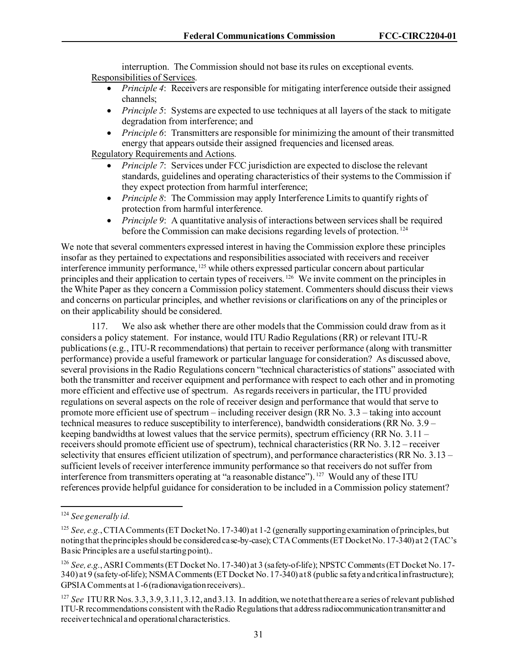interruption. The Commission should not base its rules on exceptional events. Responsibilities of Services.

- *Principle 4*: Receivers are responsible for mitigating interference outside their assigned channels;
- *Principle 5*: Systems are expected to use techniques at all layers of the stack to mitigate degradation from interference; and
- *Principle 6*: Transmitters are responsible for minimizing the amount of their transmitted energy that appears outside their assigned frequencies and licensed areas.

Regulatory Requirements and Actions.

- *Principle 7*: Services under FCC jurisdiction are expected to disclose the relevant standards, guidelines and operating characteristics of their systems to the Commission if they expect protection from harmful interference;
- *Principle 8*: The Commission may apply Interference Limits to quantify rights of protection from harmful interference.
- *Principle 9*: A quantitative analysis of interactions between services shall be required before the Commission can make decisions regarding levels of protection. [124](#page-31-0)

We note that several commenters expressed interest in having the Commission explore these principles insofar as they pertained to expectations and responsibilities associated with receivers and receiver interference immunity performance, [125](#page-31-1) while others expressed particular concern about particular principles and their application to certain types of receivers.<sup>[126](#page-31-2)</sup> We invite comment on the principles in the White Paper as they concern a Commission policy statement. Commenters should discuss their views and concerns on particular principles, and whether revisions or clarifications on any of the principles or on their applicability should be considered.

117. We also ask whether there are other models that the Commission could draw from as it considers a policy statement. For instance, would ITU Radio Regulations (RR) or relevant ITU-R publications (e.g., ITU-R recommendations) that pertain to receiver performance (along with transmitter performance) provide a useful framework or particular language for consideration? As discussed above, several provisions in the Radio Regulations concern "technical characteristics of stations" associated with both the transmitter and receiver equipment and performance with respect to each other and in promoting more efficient and effective use of spectrum. As regards receivers in particular, the ITU provided regulations on several aspects on the role of receiver design and performance that would that serve to promote more efficient use of spectrum – including receiver design (RR No. 3.3 – taking into account technical measures to reduce susceptibility to interference), bandwidth considerations (RR No. 3.9 – keeping bandwidths at lowest values that the service permits), spectrum efficiency (RR No.  $3.11$ receivers should promote efficient use of spectrum), technical characteristics (RR No. 3.12 – receiver selectivity that ensures efficient utilization of spectrum), and performance characteristics (RR No. 3.13 – sufficient levels of receiver interference immunity performance so that receivers do not suffer from interference from transmitters operating at "a reasonable distance"). [127](#page-31-3) Would any of these ITU references provide helpful guidance for consideration to be included in a Commission policy statement?

<span id="page-31-0"></span><sup>124</sup> *See generally id.* 

<span id="page-31-1"></span><sup>&</sup>lt;sup>125</sup> *See, e.g.*, CTIA Comments (ET Docket No. 17-340) at 1-2 (generally supporting examination of principles, but noting that the principles should be considered case-by-case); CTA Comments (ET Docket No. 17-340) at 2 (TAC's Basic Principles are a useful starting point)..

<span id="page-31-2"></span><sup>126</sup> *See, e.g.*, ASRI Comments (ET Docket No. 17-340) at 3 (safety-of-life); NPSTC Comments (ET Docket No. 17- 340) at 9 (safety-of-life); NSMA Comments(ET Docket No. 17-340) at 8 (public safety and critical infrastructure); GPSIA Comments at 1-6 (radionavigation receivers)..

<span id="page-31-3"></span><sup>127</sup> *See* ITU RR Nos. 3.3, 3.9, 3.11, 3.12, and 3.13. In addition, we note that there are a series of relevant published ITU-R recommendations consistent with the Radio Regulations that address radiocommunication transmitter and receiver technical and operational characteristics.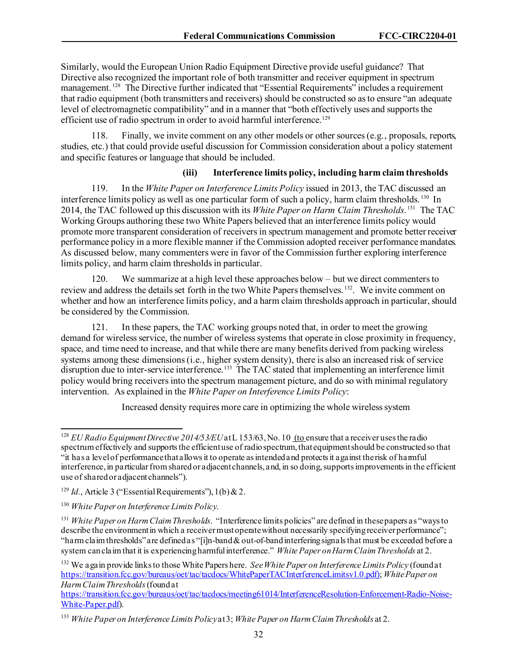Similarly, would the European Union Radio Equipment Directive provide useful guidance? That Directive also recognized the important role of both transmitter and receiver equipment in spectrum management.<sup>[128](#page-32-0)</sup> The Directive further indicated that "Essential Requirements" includes a requirement that radio equipment (both transmitters and receivers) should be constructed so as to ensure "an adequate level of electromagnetic compatibility" and in a manner that "both effectively uses and supports the efficient use of radio spectrum in order to avoid harmful interference.<sup>[129](#page-32-1)</sup>

118. Finally, we invite comment on any other models or other sources (e.g., proposals, reports, studies, etc.) that could provide useful discussion for Commission consideration about a policy statement and specific features or language that should be included.

#### **(iii) Interference limits policy, including harm claim thresholds**

119. In the *White Paper on Interference Limits Policy* issued in 2013, the TAC discussed an interference limits policy as well as one particular form of such a policy, harm claim thresholds. [130](#page-32-2) In 2014, the TAC followed up this discussion with its *White Paper on Harm Claim Thresholds*. [131](#page-32-3) The TAC Working Groups authoring these two White Papers believed that an interference limits policy would promote more transparent consideration of receivers in spectrum management and promote better receiver performance policy in a more flexible manner if the Commission adopted receiver performance mandates. As discussed below, many commenters were in favor of the Commission further exploring interference limits policy, and harm claim thresholds in particular.

120. We summarize at a high level these approaches below – but we direct commenters to review and address the details set forth in the two White Papers themselves. [132.](#page-32-4) We invite comment on whether and how an interference limits policy, and a harm claim thresholds approach in particular, should be considered by the Commission.

121. In these papers, the TAC working groups noted that, in order to meet the growing demand for wireless service, the number of wireless systems that operate in close proximity in frequency, space, and time need to increase, and that while there are many benefits derived from packing wireless systems among these dimensions (i.e., higher system density), there is also an increased risk of service disruption due to inter-service interference.<sup>[133](#page-32-5)</sup> The TAC stated that implementing an interference limit policy would bring receivers into the spectrum management picture, and do so with minimal regulatory intervention. As explained in the *White Paper on Interference Limits Policy*:

Increased density requires more care in optimizing the whole wireless system

<span id="page-32-4"></span><sup>132</sup> We again provide links to those White Papers here. *See White Paper on Interference Limits Policy* (found at [https://transition.fcc.gov/bureaus/oet/tac/tacdocs/WhitePaperTACInterferenceLimitsv1.0.pdf\)](https://transition.fcc.gov/bureaus/oet/tac/tacdocs/WhitePaperTACInterferenceLimitsv1.0.pdf); *White Paper on Harm Claim Thresholds*(found at

[https://transition.fcc.gov/bureaus/oet/tac/tacdocs/meeting61014/InterferenceResolution-Enforcement-Radio-Noise-](https://transition.fcc.gov/bureaus/oet/tac/tacdocs/meeting61014/InterferenceResolution-Enforcement-Radio-Noise-White-Paper.pdf)[White-Paper.pdf\)](https://transition.fcc.gov/bureaus/oet/tac/tacdocs/meeting61014/InterferenceResolution-Enforcement-Radio-Noise-White-Paper.pdf).

<span id="page-32-0"></span><sup>&</sup>lt;sup>128</sup> *EU Radio Equipment Directive 2014/53/EU* at L 153/63, No. 10 (to ensure that a receiver uses the radio spectrum effectively and supports the efficient use of radio spectrum, that equipment should be constructed so that "it has a level of performance that allows it to operate as intended and protects it against the risk of harmful interference, in particular from shared or adjacent channels, and, in so doing, supports improvements in the efficient use of shared or adjacent channels").

<span id="page-32-1"></span><sup>&</sup>lt;sup>129</sup> *Id.*, Article 3 ("Essential Requirements"), 1(b) & 2.

<span id="page-32-2"></span><sup>130</sup> *White Paper on Interference Limits Policy*.

<span id="page-32-3"></span><sup>131</sup> *White Paper on Harm Claim Thresholds*. "Interference limits policies" are defined in these papers as "ways to describe the environment in which a receiver must operate without necessarily specifying receiver performance"; "harm claim thresholds" are defined as "[i]n-band & out-of-band interfering signals that must be exceeded before a system can claim that it is experiencing harmful interference." *White Paper on Harm Claim Thresholds* at 2.

<span id="page-32-5"></span><sup>133</sup> *White Paper on Interference Limits Policy*at 3; *White Paper on Harm Claim Thresholds* at 2.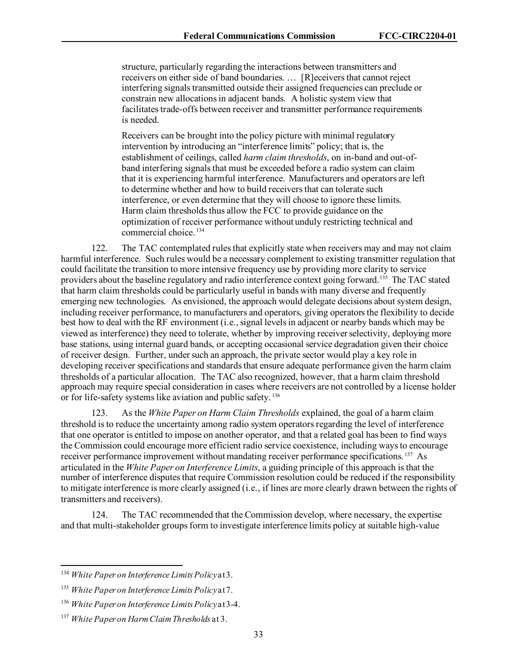structure, particularly regarding the interactions between transmitters and receivers on either side of band boundaries. … [R]eceivers that cannot reject interfering signals transmitted outside their assigned frequencies can preclude or constrain new allocations in adjacent bands. A holistic system view that facilitates trade-offs between receiver and transmitter performance requirements is needed.

Receivers can be brought into the policy picture with minimal regulatory intervention by introducing an "interference limits" policy; that is, the establishment of ceilings, called *harm claim thresholds*, on in-band and out-ofband interfering signals that must be exceeded before a radio system can claim that it is experiencing harmful interference. Manufacturers and operators are left to determine whether and how to build receivers that can tolerate such interference, or even determine that they will choose to ignore these limits. Harm claim thresholds thus allow the FCC to provide guidance on the optimization of receiver performance without unduly restricting technical and commercial choice. [134](#page-33-0) 

122. The TAC contemplated rules that explicitly state when receivers may and may not claim harmful interference. Such rules would be a necessary complement to existing transmitter regulation that could facilitate the transition to more intensive frequency use by providing more clarity to service providers about the baseline regulatory and radio interference context going forward.[135](#page-33-1) The TAC stated that harm claim thresholds could be particularly useful in bands with many diverse and frequently emerging new technologies. As envisioned, the approach would delegate decisions about system design, including receiver performance, to manufacturers and operators, giving operatorsthe flexibility to decide best how to deal with the RF environment (i.e., signal levels in adjacent or nearby bands which may be viewed as interference) they need to tolerate, whether by improving receiver selectivity, deploying more base stations, using internal guard bands, or accepting occasional service degradation given their choice of receiver design. Further, under such an approach, the private sector would play a key role in developing receiver specifications and standards that ensure adequate performance given the harm claim thresholds of a particular allocation. The TAC also recognized, however, that a harm claim threshold approach may require special consideration in cases where receivers are not controlled by a license holder or for life-safety systems like aviation and public safety.<sup>[136](#page-33-2)</sup>

123. As the *White Paper on Harm Claim Thresholds* explained, the goal of a harm claim threshold is to reduce the uncertainty among radio system operators regarding the level of interference that one operator is entitled to impose on another operator, and that a related goal has been to find ways the Commission could encourage more efficient radio service coexistence, including ways to encourage receiver performance improvement without mandating receiver performance specifications.<sup>[137](#page-33-3)</sup> As articulated in the *White Paper on Interference Limits*, a guiding principle of this approach is that the number of interference disputes that require Commission resolution could be reduced if the responsibility to mitigate interference is more clearly assigned (i.e., if lines are more clearly drawn between the rights of transmitters and receivers).

124. The TAC recommended that the Commission develop, where necessary, the expertise and that multi-stakeholder groups form to investigate interference limits policy at suitable high-value

<span id="page-33-0"></span><sup>134</sup> *White Paper on Interference Limits Policy*at 3.

<span id="page-33-1"></span><sup>135</sup> *White Paper on Interference Limits Policy*at 7.

<span id="page-33-2"></span><sup>136</sup> *White Paper on Interference Limits Policy*at 3-4.

<span id="page-33-3"></span><sup>137</sup> *White Paper on Harm Claim Thresholds* at 3.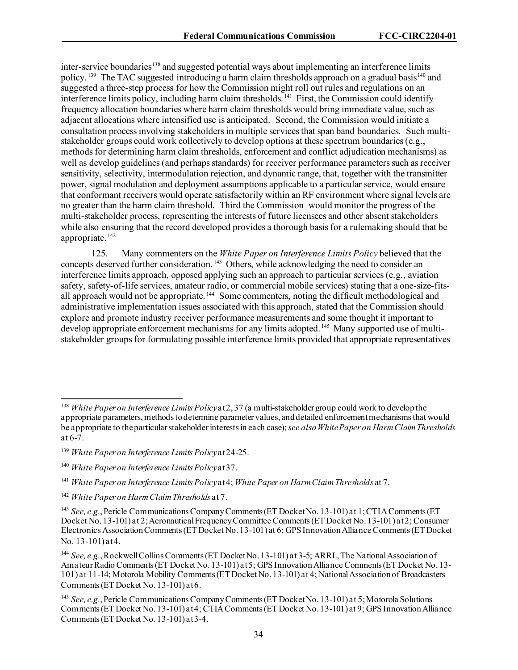inter-service boundaries<sup>[138](#page-34-0)</sup> and suggested potential ways about implementing an interference limits policy.<sup>[139](#page-34-1)</sup> The TAC suggested introducing a harm claim thresholds approach on a gradual basis<sup>[140](#page-34-2)</sup> and suggested a three-step process for how the Commission might roll out rules and regulations on an interference limits policy, including harm claim thresholds.<sup>141</sup> First, the Commission could identify frequency allocation boundaries where harm claim thresholds would bring immediate value, such as adjacent allocations where intensified use is anticipated. Second, the Commission would initiate a consultation processinvolving stakeholders in multiple services that span band boundaries. Such multistakeholder groups could work collectively to develop options at these spectrum boundaries (e.g., methods for determining harm claim thresholds, enforcement and conflict adjudication mechanisms) as well as develop guidelines (and perhaps standards) for receiver performance parameters such as receiver sensitivity, selectivity, intermodulation rejection, and dynamic range, that, together with the transmitter power, signal modulation and deployment assumptions applicable to a particular service, would ensure that conformant receivers would operate satisfactorily within an RF environment where signal levels are no greater than the harm claim threshold. Third the Commission would monitor the progress of the multi-stakeholder process, representing the interests of future licensees and other absent stakeholders while also ensuring that the record developed provides a thorough basis for a rulemaking should that be appropriate. [142](#page-34-4) 

125. Many commenters on the *White Paper on Interference Limits Policy* believed that the concepts deserved further consideration.<sup>[143](#page-34-5)</sup> Others, while acknowledging the need to consider an interference limits approach, opposed applying such an approach to particular services (e.g., aviation safety, safety-of-life services, amateur radio, or commercial mobile services) stating that a one-size-fitsall approach would not be appropriate.<sup>144</sup> Some commenters, noting the difficult methodological and administrative implementation issues associated with this approach, stated that the Commission should explore and promote industry receiver performance measurements and some thought it important to develop appropriate enforcement mechanisms for any limits adopted. <sup>[145](#page-34-7)</sup> Many supported use of multistakeholder groups for formulating possible interference limits provided that appropriate representatives

<span id="page-34-0"></span><sup>138</sup> *White Paper on Interference Limits Policy*at 2, 37 (a multi-stakeholder group could work to develop the appropriate parameters, methods to determine parameter values, and detailed enforcement mechanisms that would be appropriate to the particular stakeholder interests in each case); *see also White Paper on Harm Claim Thresholds*  at 6-7.

<span id="page-34-1"></span><sup>139</sup> *White Paper on Interference Limits Policy*at 24-25.

<span id="page-34-2"></span><sup>140</sup> *White Paper on Interference Limits Policy*at 37.

<span id="page-34-3"></span><sup>141</sup> *White Paper on Interference Limits Policy*at 4; *White Paper on Harm Claim Thresholds* at 7.

<span id="page-34-4"></span><sup>142</sup> *White Paper on Harm ClaimThresholds* at 7.

<span id="page-34-5"></span><sup>143</sup> *See, e.g.*, Pericle Communications Company Comments (ET Docket No. 13-101) at 1; CTIA Comments (ET Docket No. 13-101) at 2; Aeronautical Frequency Committee Comments (ET Docket No. 13-101) at 2; Consumer Electronics Association Comments (ET Docket No. 13-101) at 6; GPS Innovation Alliance Comments (ET Docket No. 13-101) at 4.

<span id="page-34-6"></span><sup>144</sup> *See, e.g.*, Rockwell Collins Comments(ET Docket No. 13-101) at 3-5; ARRL, The National Association of Amateur Radio Comments (ET Docket No. 13-101) at 5; GPS Innovation Alliance Comments (ET Docket No. 13- 101) at 11-14; Motorola Mobility Comments (ET Docket No. 13-101) at 4; National Association of Broadcasters Comments (ET Docket No. 13-101) at 6.

<span id="page-34-7"></span><sup>145</sup> *See, e.g.*, Pericle Communications Company Comments (ET Docket No. 13-101) at 5; Motorola Solutions Comments (ET Docket No. 13-101) at 4; CTIA Comments (ET Docket No. 13-101) at 9; GPS Innovation Alliance Comments (ET Docket No. 13-101) at 3-4.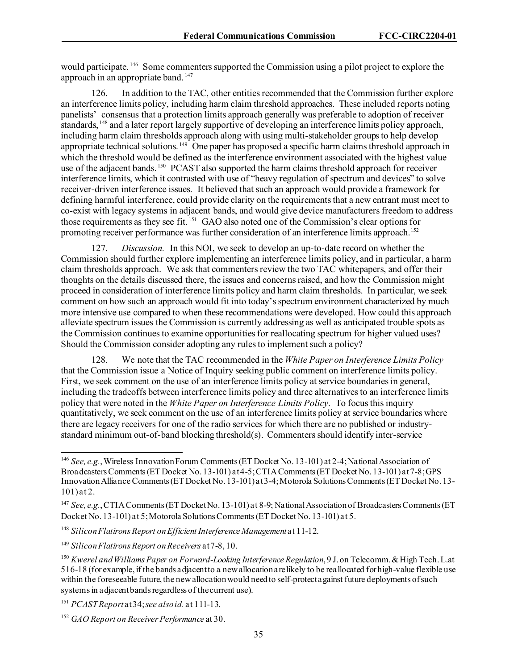would participate. [146](#page-35-0) Some commenters supported the Commission using a pilot project to explore the approach in an appropriate band. [147](#page-35-1)

126. In addition to the TAC, other entities recommended that the Commission further explore an interference limits policy, including harm claim threshold approaches. These included reports noting panelists' consensus that a protection limits approach generally was preferable to adoption of receiver standards, [148](#page-35-2) and a later report largely supportive of developing an interference limits policy approach, including harm claim thresholds approach along with using multi-stakeholder groups to help develop appropriate technical solutions.<sup>[149](#page-35-3)</sup> One paper has proposed a specific harm claims threshold approach in which the threshold would be defined as the interference environment associated with the highest value use of the adjacent bands. <sup>[150](#page-35-4)</sup> PCAST also supported the harm claims threshold approach for receiver interference limits, which it contrasted with use of "heavy regulation of spectrum and devices" to solve receiver-driven interference issues. It believed that such an approach would provide a framework for defining harmful interference, could provide clarity on the requirements that a new entrant must meet to co-exist with legacy systems in adjacent bands, and would give device manufacturers freedom to address those requirements as they see fit. [151](#page-35-5) GAO also noted one of the Commission's clear options for promoting receiver performance was further consideration of an interference limits approach. [152](#page-35-6)

127. *Discussion.* In this NOI, we seek to develop an up-to-date record on whether the Commission should further explore implementing an interference limits policy, and in particular, a harm claim thresholds approach. We ask that commenters review the two TAC whitepapers, and offer their thoughts on the details discussed there, the issues and concerns raised, and how the Commission might proceed in consideration of interference limits policy and harm claim thresholds. In particular, we seek comment on how such an approach would fit into today's spectrum environment characterized by much more intensive use compared to when these recommendations were developed. How could this approach alleviate spectrum issues the Commission is currently addressing as well as anticipated trouble spots as the Commission continues to examine opportunities for reallocating spectrum for higher valued uses? Should the Commission consider adopting any rules to implement such a policy?

128. We note that the TAC recommended in the *White Paper on Interference Limits Policy* that the Commission issue a Notice of Inquiry seeking public comment on interference limits policy. First, we seek comment on the use of an interference limits policy at service boundaries in general, including the tradeoffs between interference limits policy and three alternatives to an interference limits policy that were noted in the *White Paper on Interference Limits Policy*. To focus this inquiry quantitatively, we seek comment on the use of an interference limits policy at service boundaries where there are legacy receivers for one of the radio services for which there are no published or industrystandard minimum out-of-band blocking threshold(s). Commenters should identify inter-service

<span id="page-35-0"></span><sup>146</sup> *See, e.g.*, Wireless Innovation Forum Comments (ET Docket No. 13-101) at 2-4; National Association of Broadcasters Comments (ET Docket No. 13-101) at 4-5; CTIAComments (ET Docket No. 13-101) at 7-8; GPS Innovation Alliance Comments (ET Docket No. 13-101) at 3-4; Motorola Solutions Comments (ET Docket No. 13- 101) at 2.

<span id="page-35-1"></span><sup>&</sup>lt;sup>147</sup> See, e.g., CTIA Comments (ET Docket No. 13-101) at 8-9; National Association of Broadcasters Comments (ET Docket No. 13-101) at 5; Motorola Solutions Comments (ET Docket No. 13-101) at 5.

<span id="page-35-2"></span><sup>148</sup> *Silicon Flatirons Report on Efficient Interference Management*at 11-12.

<span id="page-35-3"></span><sup>149</sup> *Silicon Flatirons Report on Receivers* at 7-8, 10.

<span id="page-35-4"></span><sup>150</sup> *Kwerel and Williams Paper on Forward-Looking Interference Regulation*, 9 J. on Telecomm. & High Tech. L.at 516-18 (for example, if the bands adjacent to a new allocation are likely to be reallocated for high-value flexible use within the foreseeable future, the new allocation would need to self-protect against future deployments of such systems in adjacent bands regardless of the current use).

<span id="page-35-5"></span><sup>151</sup> *PCAST Report* at 34; *see also id.* at 111-13.

<span id="page-35-6"></span><sup>152</sup> *GAO Report on Receiver Performance* at 30.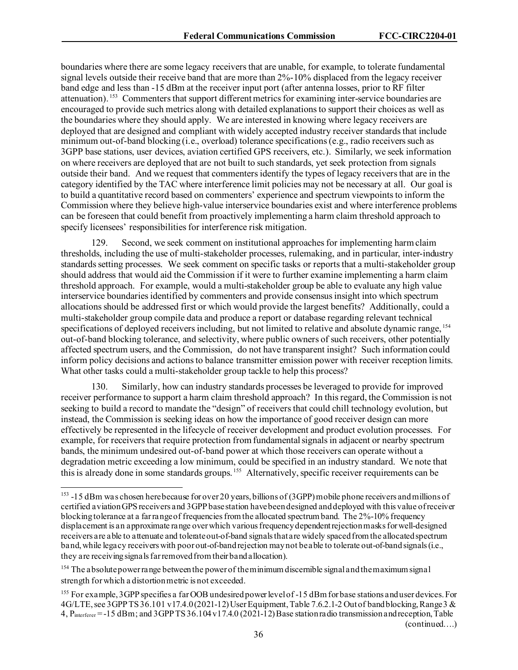boundaries where there are some legacy receivers that are unable, for example, to tolerate fundamental signal levels outside their receive band that are more than 2%-10% displaced from the legacy receiver band edge and less than -15 dBm at the receiver input port (after antenna losses, prior to RF filter attenuation). [153](#page-36-0) Commenters that support different metrics for examining inter-service boundaries are encouraged to provide such metrics along with detailed explanations to support their choices as well as the boundaries where they should apply. We are interested in knowing where legacy receivers are deployed that are designed and compliant with widely accepted industry receiver standards that include minimum out-of-band blocking (i.e., overload) tolerance specifications (e.g., radio receivers such as 3GPP base stations, user devices, aviation certified GPS receivers, etc.). Similarly, we seek information on where receivers are deployed that are not built to such standards, yet seek protection from signals outside their band. And we request that commenters identify the types of legacy receivers that are in the category identified by the TAC where interference limit policies may not be necessary at all. Our goal is to build a quantitative record based on commenters' experience and spectrum viewpoints to inform the Commission where they believe high-value interservice boundaries exist and where interference problems can be foreseen that could benefit from proactively implementing a harm claim threshold approach to specify licensees' responsibilities for interference risk mitigation.

129. Second, we seek comment on institutional approaches for implementing harm claim thresholds, including the use of multi-stakeholder processes, rulemaking, and in particular, inter-industry standards setting processes. We seek comment on specific tasks or reports that a multi-stakeholder group should address that would aid the Commission if it were to further examine implementing a harm claim threshold approach. For example, would a multi-stakeholder group be able to evaluate any high value interservice boundaries identified by commenters and provide consensus insight into which spectrum allocations should be addressed first or which would provide the largest benefits? Additionally, could a multi-stakeholder group compile data and produce a report or database regarding relevant technical specifications of deployed receivers including, but not limited to relative and absolute dynamic range, [154](#page-36-1) out-of-band blocking tolerance, and selectivity, where public owners of such receivers, other potentially affected spectrum users, and the Commission, do not have transparent insight? Such information could inform policy decisions and actions to balance transmitter emission power with receiver reception limits. What other tasks could a multi-stakeholder group tackle to help this process?

130. Similarly, how can industry standards processes be leveraged to provide for improved receiver performance to support a harm claim threshold approach? In this regard, the Commission is not seeking to build a record to mandate the "design" of receivers that could chill technology evolution, but instead, the Commission is seeking ideas on how the importance of good receiver design can more effectively be represented in the lifecycle of receiver development and product evolution processes. For example, for receivers that require protection from fundamental signals in adjacent or nearby spectrum bands, the minimum undesired out-of-band power at which those receivers can operate without a degradation metric exceeding a low minimum, could be specified in an industry standard. We note that this is already done in some standards groups. [155](#page-36-2) Alternatively, specific receiver requirements can be

(continued….)

<span id="page-36-0"></span><sup>&</sup>lt;sup>153</sup> -15 dBm was chosen here because for over 20 years, billions of (3GPP) mobile phone receivers and millions of certified aviation GPS receivers and 3GPP base station have been designed and deployed with this value of receiver blocking tolerance at a far range of frequencies from the allocated spectrum band. The 2%-10% frequency displacement is an approximate range over which various frequency dependent rejectionmasks for well-designed receivers are able to attenuate and tolerate out-of-band signals that are widely spaced from the allocated spectrum band, while legacy receivers with poor out-of-band rejection may not be able to tolerate out-of-band signals (i.e., they are receiving signals far removed from their band allocation).

<span id="page-36-1"></span><sup>&</sup>lt;sup>154</sup> The absolute power range between the power of the minimum discernible signal and the maximum signal strength for which a distortion metric is not exceeded.

<span id="page-36-2"></span><sup>&</sup>lt;sup>155</sup> For example, 3GPP specifies a far OOB undesired power level of -15 dBm for base stations and user devices. For 4G/LTE, see 3GPP TS 36.101 v17.4.0 (2021-12) User Equipment, Table 7.6.2.1-2 Out of band blocking, Range 3 & 4, Pinterferer = -15 dBm; and 3GPP TS 36.104 v17.4.0 (2021-12) Base station radio transmission and reception, Table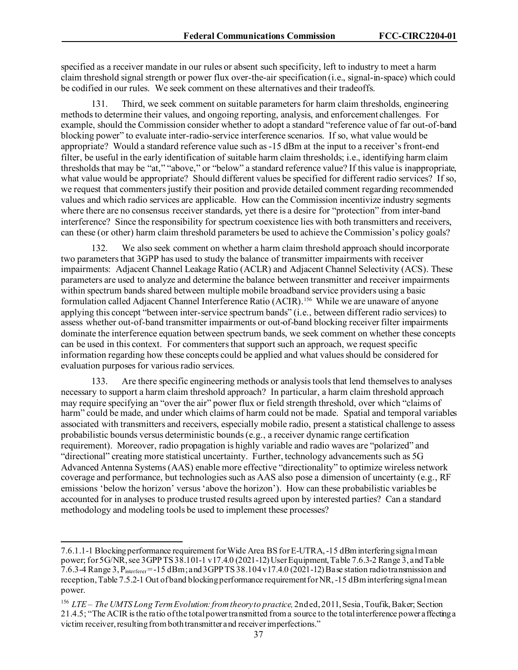specified as a receiver mandate in our rules or absent such specificity, left to industry to meet a harm claim threshold signal strength or power flux over-the-air specification (i.e., signal-in-space) which could be codified in our rules. We seek comment on these alternatives and their tradeoffs.

131. Third, we seek comment on suitable parameters for harm claim thresholds, engineering methods to determine their values, and ongoing reporting, analysis, and enforcement challenges. For example, should the Commission consider whether to adopt a standard "reference value of far out-of-band blocking power" to evaluate inter-radio-service interference scenarios. If so, what value would be appropriate? Would a standard reference value such as -15 dBm at the input to a receiver's front-end filter, be useful in the early identification of suitable harm claim thresholds; i.e., identifying harm claim thresholds that may be "at," "above," or "below" a standard reference value? If this value is inappropriate, what value would be appropriate? Should different values be specified for different radio services? If so, we request that commenters justify their position and provide detailed comment regarding recommended values and which radio services are applicable. How can the Commission incentivize industry segments where there are no consensus receiver standards, yet there is a desire for "protection" from inter-band interference? Since the responsibility for spectrum coexistence lies with both transmitters and receivers, can these (or other) harm claim threshold parameters be used to achieve the Commission's policy goals?

We also seek comment on whether a harm claim threshold approach should incorporate two parameters that 3GPP has used to study the balance of transmitter impairments with receiver impairments: Adjacent Channel Leakage Ratio (ACLR) and Adjacent Channel Selectivity (ACS). These parameters are used to analyze and determine the balance between transmitter and receiver impairments within spectrum bands shared between multiple mobile broadband service providers using a basic formulation called Adjacent Channel Interference Ratio (ACIR).[156](#page-37-0) While we are unaware of anyone applying this concept "between inter-service spectrum bands" (i.e., between different radio services) to assess whether out-of-band transmitter impairments or out-of-band blocking receiver filter impairments dominate the interference equation between spectrum bands, we seek comment on whether these concepts can be used in this context. For commenters that support such an approach, we request specific information regarding how these concepts could be applied and what values should be considered for evaluation purposes for various radio services.

133. Are there specific engineering methods or analysis tools that lend themselves to analyses necessary to support a harm claim threshold approach? In particular, a harm claim threshold approach may require specifying an "over the air" power flux or field strength threshold, over which "claims of harm" could be made, and under which claims of harm could not be made. Spatial and temporal variables associated with transmitters and receivers, especially mobile radio, present a statistical challenge to assess probabilistic bounds versus deterministic bounds (e.g., a receiver dynamic range certification requirement). Moreover, radio propagation is highly variable and radio waves are "polarized" and "directional" creating more statistical uncertainty. Further, technology advancements such as 5G Advanced Antenna Systems (AAS) enable more effective "directionality" to optimize wireless network coverage and performance, but technologies such as AAS also pose a dimension of uncertainty (e.g., RF emissions 'below the horizon' versus 'above the horizon'). How can these probabilistic variables be accounted for in analyses to produce trusted results agreed upon by interested parties? Can a standard methodology and modeling tools be used to implement these processes?

<sup>7.6.1.1-1</sup> Blocking performance requirement for Wide Area BS for E-UTRA, -15 dBm interfering signal mean power; for 5G/NR, see 3GPP TS 38.101-1 v17.4.0 (2021-12) User Equipment, Table 7.6.3-2 Range 3, and Table 7.6.3-4 Range 3,  $P_{interferer}$  = -15 dBm; and 3GPP TS 38.104 v17.4.0 (2021-12) Base station radio transmission and reception, Table 7.5.2-1 Out of band blocking performance requirement for NR, -15 dBm interfering signal mean power.

<span id="page-37-0"></span><sup>156</sup> *LTE – The UMTS Long Term Evolution: from theory to practice,* 2nd ed, 2011, Sesia, Toufik, Baker; Section 21.4.5; "The ACIR is the ratio of the total power transmitted from a source to the total interference power affecting a victim receiver, resulting from both transmitter and receiver imperfections."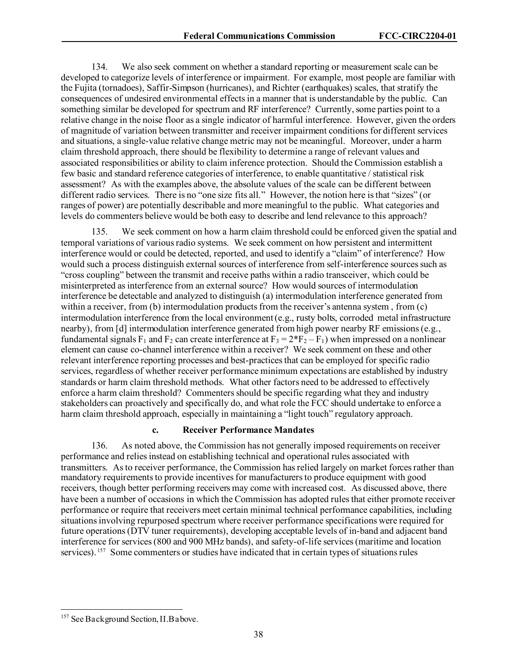134. We also seek comment on whether a standard reporting or measurement scale can be developed to categorize levels of interference or impairment. For example, most people are familiar with the Fujita (tornadoes), Saffir-Simpson (hurricanes), and Richter (earthquakes) scales, that stratify the consequences of undesired environmental effects in a manner that is understandable by the public. Can something similar be developed for spectrum and RF interference? Currently, some parties point to a relative change in the noise floor as a single indicator of harmful interference. However, given the orders of magnitude of variation between transmitter and receiver impairment conditions for different services and situations, a single-value relative change metric may not be meaningful. Moreover, under a harm claim threshold approach, there should be flexibility to determine a range of relevant values and associated responsibilities or ability to claim inference protection. Should the Commission establish a few basic and standard reference categories of interference, to enable quantitative / statistical risk assessment? As with the examples above, the absolute values of the scale can be different between different radio services. There is no "one size fits all." However, the notion here is that "sizes" (or ranges of power) are potentially describable and more meaningful to the public. What categories and levels do commenters believe would be both easy to describe and lend relevance to this approach?

135. We seek comment on how a harm claim threshold could be enforced given the spatial and temporal variations of various radio systems. We seek comment on how persistent and intermittent interference would or could be detected, reported, and used to identify a "claim" of interference? How would such a process distinguish external sources of interference from self-interference sources such as "cross coupling" between the transmit and receive paths within a radio transceiver, which could be misinterpreted as interference from an external source? How would sources of intermodulation interference be detectable and analyzed to distinguish (a) intermodulation interference generated from within a receiver, from (b) intermodulation products from the receiver's antenna system , from (c) intermodulation interference from the local environment (e.g., rusty bolts, corroded metal infrastructure nearby), from [d] intermodulation interference generated from high power nearby RF emissions (e.g., fundamental signals  $F_1$  and  $F_2$  can create interference at  $F_3 = 2*F_2 - F_1$ ) when impressed on a nonlinear element can cause co-channel interference within a receiver? We seek comment on these and other relevant interference reporting processes and best-practices that can be employed for specific radio services, regardless of whether receiver performance minimum expectations are established by industry standards or harm claim threshold methods. What other factors need to be addressed to effectively enforce a harm claim threshold? Commenters should be specific regarding what they and industry stakeholders can proactively and specifically do, and what role the FCC should undertake to enforce a harm claim threshold approach, especially in maintaining a "light touch" regulatory approach.

#### **c. Receiver Performance Mandates**

136. As noted above, the Commission has not generally imposed requirements on receiver performance and relies instead on establishing technical and operational rules associated with transmitters. Asto receiver performance, the Commission has relied largely on market forces rather than mandatory requirements to provide incentives for manufacturers to produce equipment with good receivers, though better performing receivers may come with increased cost. As discussed above, there have been a number of occasions in which the Commission has adopted rules that either promote receiver performance or require that receivers meet certain minimal technical performance capabilities, including situations involving repurposed spectrum where receiver performance specifications were required for future operations(DTV tuner requirements), developing acceptable levels of in-band and adjacent band interference for services(800 and 900 MHz bands), and safety-of-life services (maritime and location services). <sup>[157](#page-38-0)</sup> Some commenters or studies have indicated that in certain types of situations rules

<span id="page-38-0"></span><sup>&</sup>lt;sup>157</sup> See Background Section, II.B above.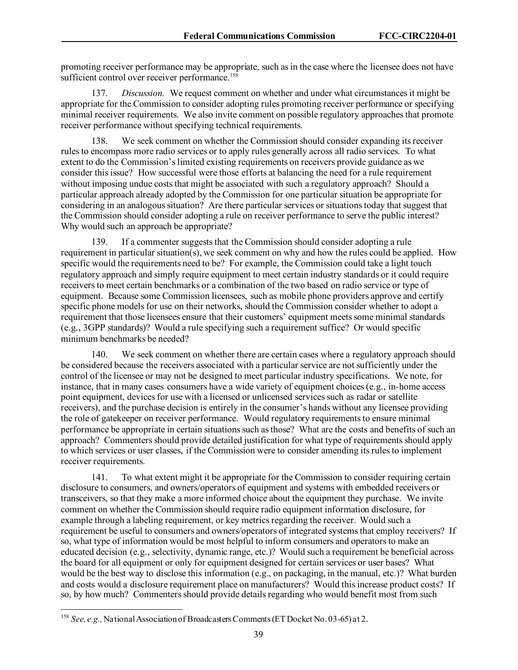promoting receiver performance may be appropriate, such as in the case where the licensee does not have sufficient control over receiver performance.<sup>158</sup>

137. *Discussion.* We request comment on whether and under what circumstances it might be appropriate for the Commission to consider adopting rules promoting receiver performance or specifying minimal receiver requirements. We also invite comment on possible regulatory approaches that promote receiver performance without specifying technical requirements.

138. We seek comment on whether the Commission should consider expanding its receiver rules to encompass more radio services or to apply rules generally across all radio services. To what extent to do the Commission's limited existing requirements on receivers provide guidance as we consider this issue? How successful were those efforts at balancing the need for a rule requirement without imposing undue costs that might be associated with such a regulatory approach? Should a particular approach already adopted by the Commission for one particular situation be appropriate for considering in an analogous situation? Are there particular services or situations today that suggest that the Commission should consider adopting a rule on receiver performance to serve the public interest? Why would such an approach be appropriate?

139. If a commenter suggests that the Commission should consider adopting a rule requirement in particular situation(s), we seek comment on why and how the rules could be applied. How specific would the requirements need to be? For example, the Commission could take a light touch regulatory approach and simply require equipment to meet certain industry standards or it could require receivers to meet certain benchmarks or a combination of the two based on radio service or type of equipment. Because some Commission licensees, such as mobile phone providers approve and certify specific phone models for use on their networks, should the Commission consider whether to adopt a requirement that those licensees ensure that their customers' equipment meets some minimal standards (e.g., 3GPP standards)? Would a rule specifying such a requirement suffice? Or would specific minimum benchmarks be needed?

140. We seek comment on whether there are certain cases where a regulatory approach should be considered because the receivers associated with a particular service are not sufficiently under the control of the licensee or may not be designed to meet particular industry specifications. We note, for instance, that in many cases consumers have a wide variety of equipment choices(e.g., in-home access point equipment, devices for use with a licensed or unlicensed services such as radar or satellite receivers), and the purchase decision is entirely in the consumer's hands without any licensee providing the role of gatekeeper on receiver performance. Would regulatory requirements to ensure minimal performance be appropriate in certain situations such as those? What are the costs and benefits of such an approach? Commenters should provide detailed justification for what type of requirements should apply to which services or user classes, if the Commission were to consider amending its rules to implement receiver requirements.

141. To what extent might it be appropriate for the Commission to consider requiring certain disclosure to consumers, and owners/operators of equipment and systems with embedded receivers or transceivers, so that they make a more informed choice about the equipment they purchase. We invite comment on whether the Commission should require radio equipment information disclosure, for example through a labeling requirement, or key metrics regarding the receiver. Would such a requirement be useful to consumers and owners/operators of integrated systems that employ receivers? If so, what type of information would be most helpful to inform consumers and operators to make an educated decision (e.g., selectivity, dynamic range, etc.)? Would such a requirement be beneficial across the board for all equipment or only for equipment designed for certain services or user bases? What would be the best way to disclose this information (e.g., on packaging, in the manual, etc.)? What burden and costs would a disclosure requirement place on manufacturers? Would this increase product costs? If so, by how much? Commenters should provide details regarding who would benefit most from such

<span id="page-39-0"></span><sup>&</sup>lt;sup>158</sup> *See, e.g.,* National Association of Broadcasters Comments (ET Docket No. 03-65) at 2.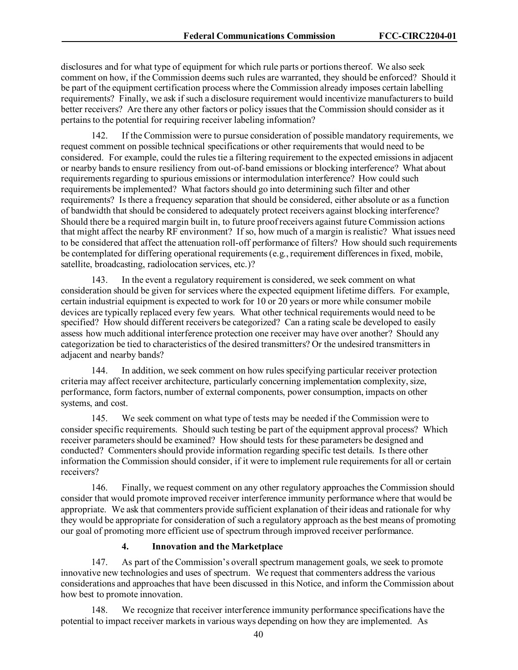disclosures and for what type of equipment for which rule parts or portions thereof. We also seek comment on how, if the Commission deems such rules are warranted, they should be enforced? Should it be part of the equipment certification process where the Commission already imposes certain labelling requirements? Finally, we ask if such a disclosure requirement would incentivize manufacturers to build better receivers? Are there any other factors or policy issues that the Commission should consider as it pertains to the potential for requiring receiver labeling information?

142. If the Commission were to pursue consideration of possible mandatory requirements, we request comment on possible technical specifications or other requirements that would need to be considered. For example, could the rules tie a filtering requirement to the expected emissions in adjacent or nearby bands to ensure resiliency from out-of-band emissions or blocking interference? What about requirements regarding to spurious emissions or intermodulation interference? How could such requirements be implemented? What factors should go into determining such filter and other requirements? Is there a frequency separation that should be considered, either absolute or as a function of bandwidth that should be considered to adequately protect receivers against blocking interference? Should there be a required margin built in, to future proof receivers against future Commission actions that might affect the nearby RF environment? If so, how much of a margin is realistic? What issues need to be considered that affect the attenuation roll-off performance of filters? How should such requirements be contemplated for differing operational requirements (e.g., requirement differences in fixed, mobile, satellite, broadcasting, radiolocation services, etc.)?

143. In the event a regulatory requirement is considered, we seek comment on what consideration should be given for services where the expected equipment lifetime differs. For example, certain industrial equipment is expected to work for 10 or 20 years or more while consumer mobile devices are typically replaced every few years. What other technical requirements would need to be specified? How should different receivers be categorized? Can a rating scale be developed to easily assess how much additional interference protection one receiver may have over another? Should any categorization be tied to characteristics of the desired transmitters? Or the undesired transmitters in adjacent and nearby bands?

144. In addition, we seek comment on how rules specifying particular receiver protection criteria may affect receiver architecture, particularly concerning implementation complexity, size, performance, form factors, number of external components, power consumption, impacts on other systems, and cost.

145. We seek comment on what type of tests may be needed if the Commission were to consider specific requirements. Should such testing be part of the equipment approval process? Which receiver parameters should be examined? How should tests for these parameters be designed and conducted? Commenters should provide information regarding specific test details. Is there other information the Commission should consider, if it were to implement rule requirements for all or certain receivers?

146. Finally, we request comment on any other regulatory approachesthe Commission should consider that would promote improved receiver interference immunity performance where that would be appropriate. We ask that commenters provide sufficient explanation of their ideas and rationale for why they would be appropriate for consideration of such a regulatory approach as the best means of promoting our goal of promoting more efficient use of spectrum through improved receiver performance.

### **4. Innovation and the Marketplace**

147. As part of the Commission's overall spectrum management goals, we seek to promote innovative new technologies and uses of spectrum. We request that commenters address the various considerations and approaches that have been discussed in this Notice, and inform the Commission about how best to promote innovation.

148. We recognize that receiver interference immunity performance specifications have the potential to impact receiver markets in various ways depending on how they are implemented. As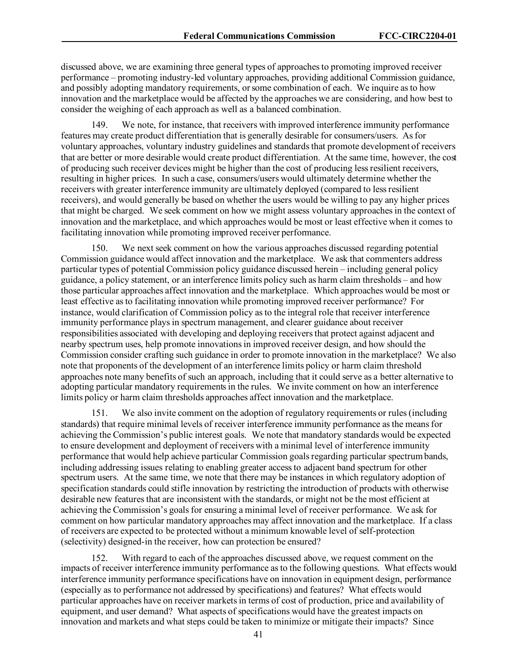discussed above, we are examining three general types of approaches to promoting improved receiver performance – promoting industry-led voluntary approaches, providing additional Commission guidance, and possibly adopting mandatory requirements, or some combination of each. We inquire as to how innovation and the marketplace would be affected by the approaches we are considering, and how best to consider the weighing of each approach as well as a balanced combination.

We note, for instance, that receivers with improved interference immunity performance features may create product differentiation that is generally desirable for consumers/users. As for voluntary approaches, voluntary industry guidelines and standards that promote development of receivers that are better or more desirable would create product differentiation. At the same time, however, the cost of producing such receiver devices might be higher than the cost of producing less resilient receivers, resulting in higher prices. In such a case, consumers/users would ultimately determine whether the receivers with greater interference immunity are ultimately deployed (compared to less resilient receivers), and would generally be based on whether the users would be willing to pay any higher prices that might be charged. We seek comment on how we might assess voluntary approaches in the context of innovation and the marketplace, and which approaches would be most or least effective when it comes to facilitating innovation while promoting improved receiver performance.

We next seek comment on how the various approaches discussed regarding potential Commission guidance would affect innovation and the marketplace. We ask that commenters address particular types of potential Commission policy guidance discussed herein – including general policy guidance, a policy statement, or an interference limits policy such as harm claim thresholds – and how those particular approaches affect innovation and the marketplace. Which approaches would be most or least effective as to facilitating innovation while promoting improved receiver performance? For instance, would clarification of Commission policy as to the integral role that receiver interference immunity performance plays in spectrum management, and clearer guidance about receiver responsibilities associated with developing and deploying receivers that protect against adjacent and nearby spectrum uses, help promote innovations in improved receiver design, and how should the Commission consider crafting such guidance in order to promote innovation in the marketplace? We also note that proponents of the development of an interference limits policy or harm claim threshold approaches note many benefits of such an approach, including that it could serve as a better alternative to adopting particular mandatory requirements in the rules. We invite comment on how an interference limits policy or harm claim thresholds approaches affect innovation and the marketplace.

151. We also invite comment on the adoption of regulatory requirements or rules (including standards) that require minimal levels of receiver interference immunity performance as the means for achieving the Commission's public interest goals. We note that mandatory standards would be expected to ensure development and deployment of receivers with a minimal level of interference immunity performance that would help achieve particular Commission goals regarding particular spectrum bands, including addressing issues relating to enabling greater access to adjacent band spectrum for other spectrum users. At the same time, we note that there may be instances in which regulatory adoption of specification standards could stifle innovation by restricting the introduction of products with otherwise desirable new features that are inconsistent with the standards, or might not be the most efficient at achieving the Commission's goals for ensuring a minimal level of receiver performance. We ask for comment on how particular mandatory approaches may affect innovation and the marketplace. If a class of receivers are expected to be protected without a minimum knowable level of self-protection (selectivity) designed-in the receiver, how can protection be ensured?

152. With regard to each of the approaches discussed above, we request comment on the impacts of receiver interference immunity performance asto the following questions. What effects would interference immunity performance specifications have on innovation in equipment design, performance (especially as to performance not addressed by specifications) and features? What effects would particular approaches have on receiver markets in terms of cost of production, price and availability of equipment, and user demand? What aspects of specifications would have the greatest impacts on innovation and markets and what steps could be taken to minimize or mitigate their impacts? Since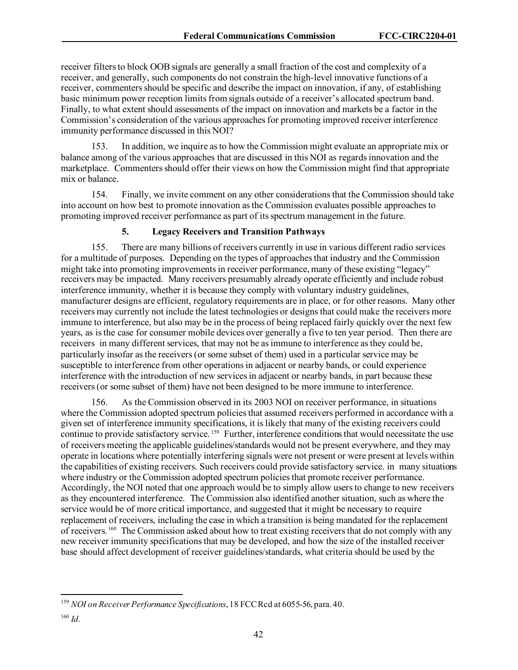receiver filters to block OOB signals are generally a small fraction of the cost and complexity of a receiver, and generally, such components do not constrain the high-level innovative functions of a receiver, commenters should be specific and describe the impact on innovation, if any, of establishing basic minimum power reception limits from signals outside of a receiver's allocated spectrum band. Finally, to what extent should assessments of the impact on innovation and markets be a factor in the Commission's consideration of the various approaches for promoting improved receiver interference immunity performance discussed in this NOI?

153. In addition, we inquire as to how the Commission might evaluate an appropriate mix or balance among of the various approaches that are discussed in this NOI as regards innovation and the marketplace. Commenters should offer their views on how the Commission might find that appropriate mix or balance.

154. Finally, we invite comment on any other considerations that the Commission should take into account on how best to promote innovation as the Commission evaluates possible approaches to promoting improved receiver performance as part of its spectrum management in the future.

## **5. Legacy Receivers and Transition Pathways**

155. There are many billions of receivers currently in use in various different radio services for a multitude of purposes. Depending on the types of approaches that industry and the Commission might take into promoting improvements in receiver performance, many of these existing "legacy" receivers may be impacted. Many receivers presumably already operate efficiently and include robust interference immunity, whether it is because they comply with voluntary industry guidelines, manufacturer designs are efficient, regulatory requirements are in place, or for other reasons. Many other receivers may currently not include the latest technologies or designs that could make the receivers more immune to interference, but also may be in the process of being replaced fairly quickly over the next few years, as is the case for consumer mobile devices over generally a five to ten year period. Then there are receivers in many different services, that may not be as immune to interference as they could be, particularly insofar as the receivers (or some subset of them) used in a particular service may be susceptible to interference from other operations in adjacent or nearby bands, or could experience interference with the introduction of new services in adjacent or nearby bands, in part because these receivers(or some subset of them) have not been designed to be more immune to interference.

156. As the Commission observed in its 2003 NOI on receiver performance, in situations where the Commission adopted spectrum policies that assumed receivers performed in accordance with a given set of interference immunity specifications, it is likely that many of the existing receivers could continue to provide satisfactory service.<sup>[159](#page-42-0)</sup> Further, interference conditions that would necessitate the use of receivers meeting the applicable guidelines/standards would not be present everywhere, and they may operate in locations where potentially interfering signals were not present or were present at levels within the capabilities of existing receivers. Such receivers could provide satisfactory service. in many situations where industry or the Commission adopted spectrum policies that promote receiver performance. Accordingly, the NOI noted that one approach would be to simply allow users to change to new receivers as they encountered interference. The Commission also identified another situation, such as where the service would be of more critical importance, and suggested that it might be necessary to require replacement of receivers, including the case in which a transition is being mandated for the replacement of receivers.<sup>160</sup> The Commission asked about how to treat existing receivers that do not comply with any new receiver immunity specifications that may be developed, and how the size of the installed receiver base should affect development of receiver guidelines/standards, what criteria should be used by the

<span id="page-42-0"></span><sup>159</sup> *NOI on Receiver Performance Specifications*, 18 FCC Rcd at 6055-56, para. 40.

<span id="page-42-1"></span><sup>160</sup> *Id.*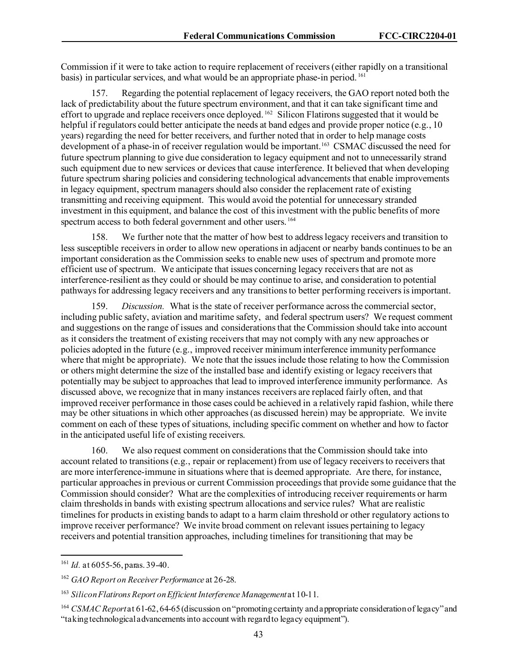Commission if it were to take action to require replacement of receivers (either rapidly on a transitional basis) in particular services, and what would be an appropriate phase-in period. [161](#page-43-0) 

157. Regarding the potential replacement of legacy receivers, the GAO report noted both the lack of predictability about the future spectrum environment, and that it can take significant time and effort to upgrade and replace receivers once deployed. <sup>[162](#page-43-1)</sup> Silicon Flatirons suggested that it would be helpful if regulators could better anticipate the needs at band edges and provide proper notice (e.g., 10 years) regarding the need for better receivers, and further noted that in order to help manage costs development of a phase-in of receiver regulation would be important. [163](#page-43-2) CSMAC discussed the need for future spectrum planning to give due consideration to legacy equipment and not to unnecessarily strand such equipment due to new services or devices that cause interference. It believed that when developing future spectrum sharing policies and considering technological advancements that enable improvements in legacy equipment, spectrum managers should also consider the replacement rate of existing transmitting and receiving equipment. This would avoid the potential for unnecessary stranded investment in this equipment, and balance the cost of this investment with the public benefits of more spectrum access to both federal government and other users. [164](#page-43-3)

158. We further note that the matter of how best to address legacy receivers and transition to less susceptible receivers in order to allow new operations in adjacent or nearby bands continues to be an important consideration as the Commission seeks to enable new uses of spectrum and promote more efficient use of spectrum. We anticipate that issues concerning legacy receivers that are not as interference-resilient as they could or should be may continue to arise, and consideration to potential pathways for addressing legacy receivers and any transitions to better performing receivers is important.

159. *Discussion.* What is the state of receiver performance across the commercial sector, including public safety, aviation and maritime safety, and federal spectrum users? We request comment and suggestions on the range of issues and considerations that the Commission should take into account as it considers the treatment of existing receivers that may not comply with any new approaches or policies adopted in the future (e.g., improved receiver minimum interference immunity performance where that might be appropriate). We note that the issues include those relating to how the Commission or others might determine the size of the installed base and identify existing or legacy receivers that potentially may be subject to approaches that lead to improved interference immunity performance. As discussed above, we recognize that in many instances receivers are replaced fairly often, and that improved receiver performance in those cases could be achieved in a relatively rapid fashion, while there may be other situations in which other approaches (as discussed herein) may be appropriate. We invite comment on each of these types of situations, including specific comment on whether and how to factor in the anticipated useful life of existing receivers.

160. We also request comment on considerations that the Commission should take into account related to transitions (e.g., repair or replacement) from use of legacy receivers to receivers that are more interference-immune in situations where that is deemed appropriate. Are there, for instance, particular approaches in previous or current Commission proceedings that provide some guidance that the Commission should consider? What are the complexities of introducing receiver requirements or harm claim thresholds in bands with existing spectrum allocations and service rules? What are realistic timelines for products in existing bands to adapt to a harm claim threshold or other regulatory actions to improve receiver performance? We invite broad comment on relevant issues pertaining to legacy receivers and potential transition approaches, including timelines for transitioning that may be

<span id="page-43-0"></span><sup>161</sup> *Id.* at 6055-56, paras. 39-40.

<span id="page-43-1"></span><sup>162</sup> *GAO Report on Receiver Performance* at 26-28.

<span id="page-43-2"></span><sup>163</sup> *Silicon Flatirons Report on Efficient Interference Management*at 10-11.

<span id="page-43-3"></span><sup>164</sup> *CSMAC Report*at 61-62, 64-65(discussion on "promoting certainty and appropriate consideration of legacy" and "taking technological advancements into account with regard to legacy equipment").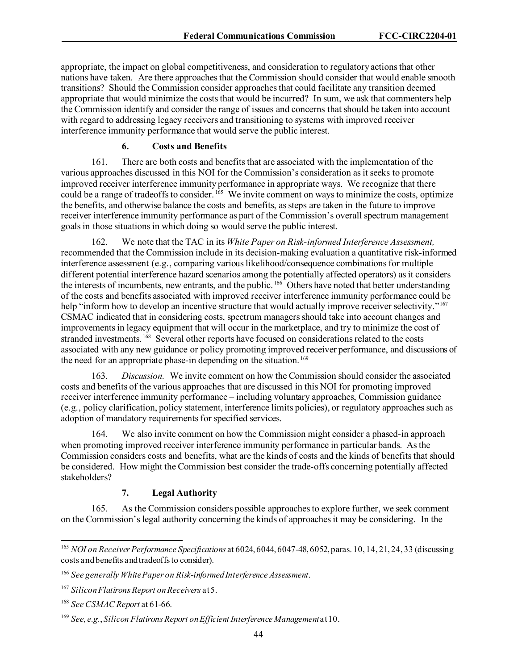appropriate, the impact on global competitiveness, and consideration to regulatory actions that other nations have taken. Are there approaches that the Commission should consider that would enable smooth transitions? Should the Commission consider approaches that could facilitate any transition deemed appropriate that would minimize the costs that would be incurred? In sum, we ask that commenters help the Commission identify and consider the range of issues and concerns that should be taken into account with regard to addressing legacy receivers and transitioning to systems with improved receiver interference immunity performance that would serve the public interest.

### **6. Costs and Benefits**

161. There are both costs and benefits that are associated with the implementation of the various approaches discussed in this NOI for the Commission's consideration as it seeks to promote improved receiver interference immunity performance in appropriate ways. We recognize that there could be a range of tradeoffs to consider. <sup>[165](#page-44-0)</sup> We invite comment on ways to minimize the costs, optimize the benefits, and otherwise balance the costs and benefits, as steps are taken in the future to improve receiver interference immunity performance as part of the Commission's overall spectrum management goals in those situations in which doing so would serve the public interest.

162. We note that the TAC in its *White Paper on Risk-informed Interference Assessment,* recommended that the Commission include in its decision-making evaluation a quantitative risk-informed interference assessment (e.g., comparing various likelihood/consequence combinations for multiple different potential interference hazard scenarios among the potentially affected operators) as it considers the interests of incumbents, new entrants, and the public.<sup>[166](#page-44-1)</sup> Others have noted that better understanding of the costs and benefits associated with improved receiver interference immunity performance could be help "inform how to develop an incentive structure that would actually improve receiver selectivity."<sup>167</sup> CSMAC indicated that in considering costs, spectrum managers should take into account changes and improvements in legacy equipment that will occur in the marketplace, and try to minimize the cost of stranded investments. [168](#page-44-3) Several other reports have focused on considerations related to the costs associated with any new guidance or policy promoting improved receiver performance, and discussions of the need for an appropriate phase-in depending on the situation.<sup>169</sup>

163. *Discussion.* We invite comment on how the Commission should consider the associated costs and benefits of the various approaches that are discussed in this NOI for promoting improved receiver interference immunity performance – including voluntary approaches, Commission guidance (e.g., policy clarification, policy statement, interference limits policies), or regulatory approaches such as adoption of mandatory requirements for specified services.

164. We also invite comment on how the Commission might consider a phased-in approach when promoting improved receiver interference immunity performance in particular bands. As the Commission considers costs and benefits, what are the kinds of costs and the kinds of benefits that should be considered. How might the Commission best consider the trade-offs concerning potentially affected stakeholders?

## **7. Legal Authority**

165. As the Commission considers possible approaches to explore further, we seek comment on the Commission's legal authority concerning the kinds of approaches it may be considering. In the

<span id="page-44-0"></span><sup>&</sup>lt;sup>165</sup> *NOI on Receiver Performance Specifications* at 6024, 6044, 6047-48, 6052, paras. 10, 14, 21, 24, 33 (discussing costs and benefits and tradeoffs to consider).

<span id="page-44-1"></span><sup>166</sup> *See generally White Paper on Risk-informed Interference Assessment*.

<span id="page-44-2"></span><sup>167</sup> *Silicon Flatirons Report on Receivers* at 5.

<span id="page-44-3"></span><sup>168</sup> *See CSMAC Report* at 61-66.

<span id="page-44-4"></span><sup>169</sup> *See, e.g.*, *Silicon Flatirons Report on Efficient Interference Management*at 10.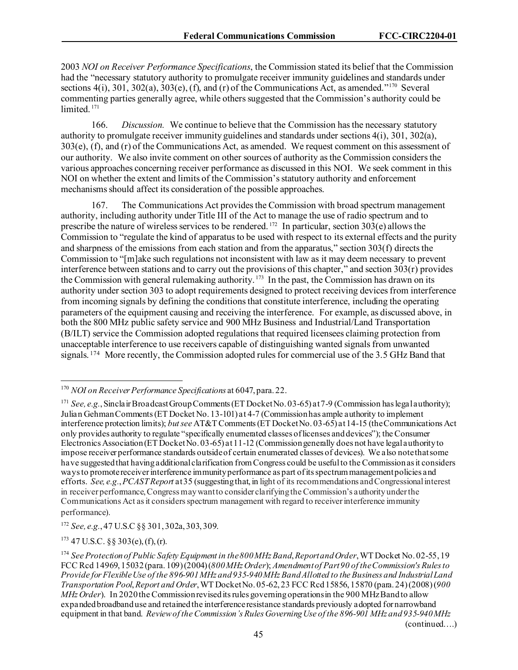2003 *NOI on Receiver Performance Specifications*, the Commission stated its belief that the Commission had the "necessary statutory authority to promulgate receiver immunity guidelines and standards under sections  $4(i)$ ,  $301$ ,  $302(a)$ ,  $303(e)$ ,  $(f)$ , and  $(r)$  of the Communications Act, as amended."<sup>[170](#page-45-0)</sup> Several commenting parties generally agree, while others suggested that the Commission's authority could be limited.<sup>171</sup>

166. *Discussion.* We continue to believe that the Commission has the necessary statutory authority to promulgate receiver immunity guidelines and standards under sections 4(i), 301, 302(a), 303(e), (f), and (r) of the Communications Act, as amended. We request comment on this assessment of our authority. We also invite comment on other sources of authority as the Commission considers the various approaches concerning receiver performance as discussed in this NOI. We seek comment in this NOI on whether the extent and limits of the Commission's statutory authority and enforcement mechanisms should affect its consideration of the possible approaches.

167. The Communications Act provides the Commission with broad spectrum management authority, including authority under Title III of the Act to manage the use of radio spectrum and to prescribe the nature of wireless services to be rendered. <sup>[172](#page-45-2)</sup> In particular, section  $30\overline{3}$ (e) allows the Commission to "regulate the kind of apparatus to be used with respect to its external effects and the purity and sharpness of the emissions from each station and from the apparatus," section 303(f) directs the Commission to "[m]ake such regulations not inconsistent with law as it may deem necessary to prevent interference between stations and to carry out the provisions of this chapter," and section 303(r) provides the Commission with general rulemaking authority.<sup>[173](#page-45-3)</sup> In the past, the Commission has drawn on its authority under section 303 to adopt requirements designed to protect receiving devices from interference from incoming signals by defining the conditions that constitute interference, including the operating parameters of the equipment causing and receiving the interference. For example, as discussed above, in both the 800 MHz public safety service and 900 MHz Business and Industrial/Land Transportation (B/ILT) service the Commission adopted regulations that required licensees claiming protection from unacceptable interference to use receivers capable of distinguishing wanted signals from unwanted signals. <sup>[174](#page-45-4)</sup> More recently, the Commission adopted rules for commercial use of the 3.5 GHz Band that

<span id="page-45-2"></span><sup>172</sup> *See, e.g.*, 47 U.S.C §§ 301, 302a, 303, 309.

<span id="page-45-3"></span> $173$  47 U.S.C. §§ 303(e), (f), (r).

(continued….)

<span id="page-45-0"></span><sup>170</sup> *NOI on Receiver Performance Specifications* at 6047, para. 22.

<span id="page-45-1"></span><sup>&</sup>lt;sup>171</sup> *See, e.g.*, Sincla ir Broadcast Group Comments (ET Docket No. 03-65) at 7-9 (Commission has legal authority); Julian Gehman Comments (ET Docket No. 13-101) at 4-7 (Commission has ample authority to implement interference protection limits); *but see* AT&T Comments (ET Docket No. 03-65) at 14-15 (the Communications Act only provides authority to regulate "specifically enumerated classes of licenses and devices"); the Consumer Electronics Association (ET Docket No. 03-65) at11-12 (Commission generally does not have legal authority to impose receiver performance standards outside of certain enumerated classes of devices). We also note that some have suggested that having additional clarification from Congress could be useful to the Commission as it considers ways to promote receiver interference immunity performance as part of its spectrum management policies and efforts. *See, e.g.*, *PCAST Report* at 35 (suggesting that, in light of its recommendations and Congressional interest in receiver performance, Congress may want to consider clarifying the Commission's authority under the Communications Act as it considers spectrum management with regard to receiver interference immunity performance).

<span id="page-45-4"></span><sup>174</sup> *See Protection of Public Safety Equipment in the 800 MHz Band*, *Report and Order*, WT Docket No. 02-55, 19 FCC Rcd 14969, 15032 (para. 109) (2004) (*800 MHz Order*); *Amendment of Part 90 of the Commission's Rules to Provide for Flexible Use of the 896-901 MHz and 935-940 MHz Band Allotted to the Business and Industrial Land Transportation Pool*, *Report and Order*, WT Docket No. 05-62, 23 FCC Rcd 15856, 15870 (para. 24) (2008) (*900 MHz Order*). In 2020 the Commission revised its rules governing operations in the 900 MHz Band to allow expanded broadband use and retained the interference resistance standards previously adopted for narrowband equipment in that band. *Review of the Commission's Rules GoverningUse of the 896-901 MHz and 935-940 MHz*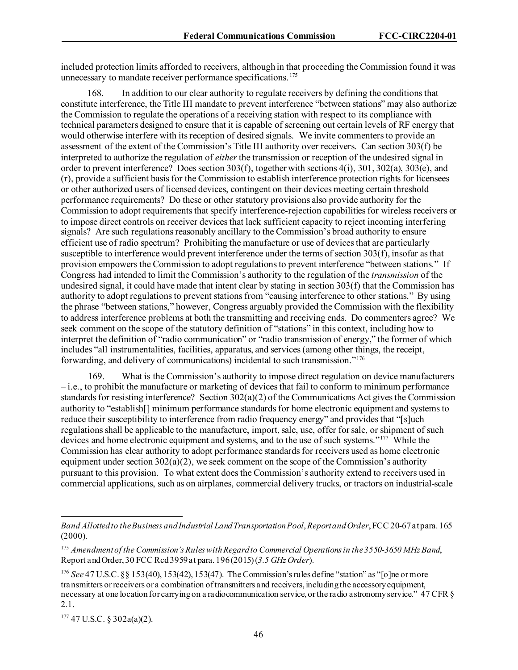included protection limits afforded to receivers, although in that proceeding the Commission found it was unnecessary to mandate receiver performance specifications.<sup>[175](#page-46-0)</sup>

168. In addition to our clear authority to regulate receivers by defining the conditions that constitute interference, the Title III mandate to prevent interference "between stations" may also authorize the Commission to regulate the operations of a receiving station with respect to its compliance with technical parameters designed to ensure that it is capable of screening out certain levels of RF energy that would otherwise interfere with its reception of desired signals. We invite commenters to provide an assessment of the extent of the Commission's Title III authority over receivers. Can section 303(f) be interpreted to authorize the regulation of *either* the transmission or reception of the undesired signal in order to prevent interference? Does section 303(f), together with sections 4(i), 301, 302(a), 303(e), and  $(r)$ , provide a sufficient basis for the Commission to establish interference protection rights for licensees or other authorized users of licensed devices, contingent on their devices meeting certain threshold performance requirements? Do these or other statutory provisions also provide authority for the Commission to adopt requirements that specify interference-rejection capabilities for wireless receivers or to impose direct controls on receiver devices that lack sufficient capacity to reject incoming interfering signals? Are such regulations reasonably ancillary to the Commission's broad authority to ensure efficient use of radio spectrum? Prohibiting the manufacture or use of devices that are particularly susceptible to interference would prevent interference under the terms of section 303(f), insofar as that provision empowers the Commission to adopt regulations to prevent interference "between stations." If Congress had intended to limit the Commission's authority to the regulation of the *transmission* of the undesired signal, it could have made that intent clear by stating in section 303(f) that the Commission has authority to adopt regulations to prevent stations from "causing interference to other stations." By using the phrase "between stations," however, Congress arguably provided the Commission with the flexibility to address interference problems at both the transmitting and receiving ends. Do commenters agree? We seek comment on the scope of the statutory definition of "stations" in this context, including how to interpret the definition of "radio communication" or "radio transmission of energy," the former of which includes "all instrumentalities, facilities, apparatus, and services (among other things, the receipt, forwarding, and delivery of communications) incidental to such transmission."[176](#page-46-1)

169. What is the Commission's authority to impose direct regulation on device manufacturers – i.e., to prohibit the manufacture or marketing of devices that fail to conform to minimum performance standards for resisting interference? Section  $302(a)(2)$  of the Communications Act gives the Commission authority to "establish[] minimum performance standards for home electronic equipment and systems to reduce their susceptibility to interference from radio frequency energy" and provides that "[s]uch regulations shall be applicable to the manufacture, import, sale, use, offer for sale, or shipment of such devices and home electronic equipment and systems, and to the use of such systems."[177](#page-46-2) While the Commission has clear authority to adopt performance standards for receivers used as home electronic equipment under section  $302(a)(2)$ , we seek comment on the scope of the Commission's authority pursuant to this provision. To what extent does the Commission's authority extend to receivers used in commercial applications, such as on airplanes, commercial delivery trucks, or tractors on industrial-scale

<span id="page-46-2"></span> $177$  47 U.S.C. § 302a(a)(2).

*Band Allotted to the Business and Industrial Land Transportation Pool*, *Report and Order*, FCC 20-67 at para. 165 (2000).

<span id="page-46-0"></span><sup>175</sup> *Amendment of the Commission's Rules with Regard to Commercial Operations in the 3550-3650 MHz Band*, Report and Order, 30 FCC Rcd 3959 at para. 196 (2015) (*3.5 GHz Order*).

<span id="page-46-1"></span><sup>176</sup> *See* 47 U.S.C. §§ 153(40), 153(42), 153(47). The Commission's rules define "station" as "[o]ne or more transmitters or receivers or a combination of transmitters and receivers, including the accessoryequipment, necessary at one location for carrying on a radiocommunication service, or the radio astronomy service." 47 CFR § 2.1.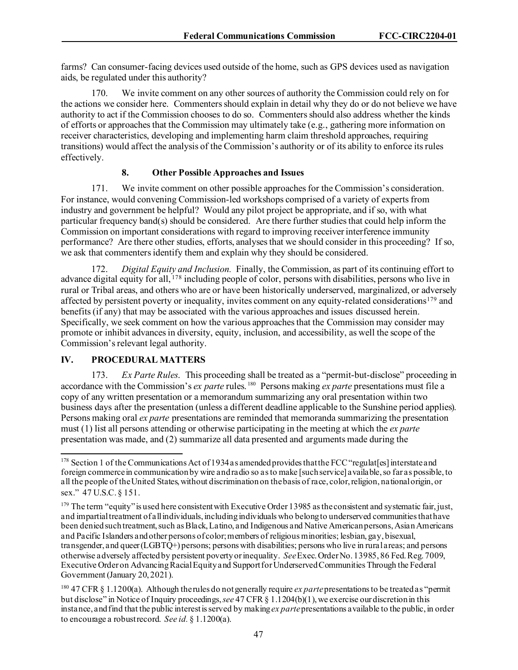farms? Can consumer-facing devices used outside of the home, such as GPS devices used as navigation aids, be regulated under this authority?

170. We invite comment on any other sources of authority the Commission could rely on for the actions we consider here. Commenters should explain in detail why they do or do not believe we have authority to act if the Commission chooses to do so. Commenters should also address whether the kinds of efforts or approaches that the Commission may ultimately take (e.g., gathering more information on receiver characteristics, developing and implementing harm claim threshold approaches, requiring transitions) would affect the analysis of the Commission's authority or of its ability to enforce its rules effectively.

#### **8. Other Possible Approaches and Issues**

171. We invite comment on other possible approaches for the Commission's consideration. For instance, would convening Commission-led workshops comprised of a variety of experts from industry and government be helpful? Would any pilot project be appropriate, and if so, with what particular frequency band(s) should be considered. Are there further studies that could help inform the Commission on important considerations with regard to improving receiver interference immunity performance? Are there other studies, efforts, analyses that we should consider in this proceeding? If so, we ask that commenters identify them and explain why they should be considered.

172. *Digital Equity and Inclusion.* Finally, the Commission, as part of its continuing effort to advance digital equity for all, <sup>[178](#page-47-0)</sup> including people of color, persons with disabilities, persons who live in rural or Tribal areas, and others who are or have been historically underserved, marginalized, or adversely affected by persistent poverty or inequality, invites comment on any equity-related considerations[179](#page-47-1) and benefits (if any) that may be associated with the various approaches and issues discussed herein. Specifically, we seek comment on how the various approaches that the Commission may consider may promote or inhibit advances in diversity, equity, inclusion, and accessibility, as well the scope of the Commission's relevant legal authority.

#### **IV. PROCEDURAL MATTERS**

173. *Ex Parte Rules*. This proceeding shall be treated as a "permit-but-disclose" proceeding in accordance with the Commission's *ex parte* rules. [180](#page-47-2) Persons making *ex parte* presentations must file a copy of any written presentation or a memorandum summarizing any oral presentation within two business days after the presentation (unless a different deadline applicable to the Sunshine period applies). Persons making oral *ex parte* presentations are reminded that memoranda summarizing the presentation must (1) list all persons attending or otherwise participating in the meeting at which the *ex parte*  presentation was made, and (2) summarize all data presented and arguments made during the

<span id="page-47-0"></span><sup>&</sup>lt;sup>178</sup> Section 1 of the Communications Act of 1934 as amended provides that the FCC "regulat[es] interstate and foreign commerce in communication by wire and radio so as to make [such service] available, so far as possible, to all the people of the United States, without discrimination on the basis of race, color, religion, national origin, or sex." 47 U.S.C. § 151.

<span id="page-47-1"></span><sup>&</sup>lt;sup>179</sup> The term "equity" is used here consistent with Executive Order 13985 as the consistent and systematic fair, just, and impartial treatment of all individuals, including individuals who belong to underserved communities that have been denied such treatment, such as Black, Latino, and Indigenous and Native American persons, Asian Americans and Pacific Islanders and other persons of color; members of religious minorities; lesbian, gay, bisexual, transgender, and queer (LGBTQ+) persons; persons with disabilities; persons who live in rural areas; and persons otherwise adversely affected by persistent poverty or inequality. *See*Exec. Order No. 13985, 86 Fed. Reg. 7009, Executive Order on Advancing Racial Equity and Support for Underserved Communities Through the Federal Government (January 20, 2021).

<span id="page-47-2"></span><sup>180</sup> 47 CFR § 1.1200(a). Although the rules do not generally require *ex parte*presentations to be treated as "permit but disclose" in Notice of Inquiry proceedings, *see* 47 CFR § 1.1204(b)(1), we exercise our discretion in this instance, and find that the public interest is served by making *ex parte*presentations available to the public, in order to encourage a robust record. *See id.* § 1.1200(a).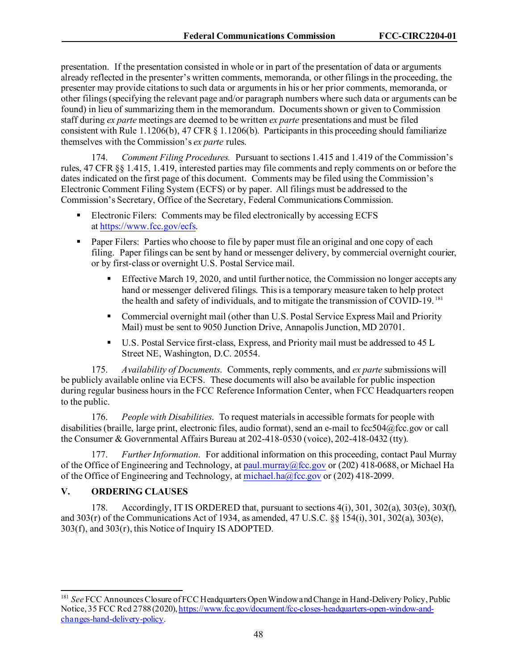presentation. If the presentation consisted in whole or in part of the presentation of data or arguments already reflected in the presenter's written comments, memoranda, or other filings in the proceeding, the presenter may provide citations to such data or arguments in his or her prior comments, memoranda, or other filings (specifying the relevant page and/or paragraph numbers where such data or arguments can be found) in lieu of summarizing them in the memorandum. Documents shown or given to Commission staff during *ex parte* meetings are deemed to be written *ex parte* presentations and must be filed consistent with Rule 1.1206(b), 47 CFR § 1.1206(b). Participants in this proceeding should familiarize themselves with the Commission's *ex parte* rules.

174. *Comment Filing Procedures.* Pursuant to sections 1.415 and 1.419 of the Commission's rules, 47 CFR §§ 1.415, 1.419, interested parties may file comments and reply comments on or before the dates indicated on the first page of this document. Comments may be filed using the Commission's Electronic Comment Filing System (ECFS) or by paper. All filings must be addressed to the Commission's Secretary, Office of the Secretary, Federal Communications Commission.

- Electronic Filers: Comments may be filed electronically by accessing ECFS at [https://www.fcc.gov/ecfs.](https://www.fcc.gov/ecfs)
- **Paper Filers:** Parties who choose to file by paper must file an original and one copy of each filing. Paper filings can be sent by hand or messenger delivery, by commercial overnight courier, or by first-class or overnight U.S. Postal Service mail.
	- Effective March 19, 2020, and until further notice, the Commission no longer accepts any hand or messenger delivered filings. This is a temporary measure taken to help protect the health and safety of individuals, and to mitigate the transmission of COVID-19. [181](#page-48-0)
	- Commercial overnight mail (other than U.S. Postal Service Express Mail and Priority Mail) must be sent to 9050 Junction Drive, Annapolis Junction, MD 20701.
	- U.S. Postal Service first-class, Express, and Priority mail must be addressed to 45 L Street NE, Washington, D.C. 20554.

175. *Availability of Documents*. Comments, reply comments, and *ex parte* submissions will be publicly available online via ECFS. These documents will also be available for public inspection during regular business hours in the FCC Reference Information Center, when FCC Headquarters reopen to the public.

176. *People with Disabilities*. To request materials in accessible formats for people with disabilities (braille, large print, electronic files, audio format), send an e-mail to fcc504@fcc.gov or call the Consumer & Governmental Affairs Bureau at 202-418-0530 (voice), 202-418-0432 (tty).

177. *Further Information*. For additional information on this proceeding, contact Paul Murray of the Office of Engineering and Technology, a[t paul.murray@fcc.gov](mailto:paul.murray@fcc.gov) or (202) 418-0688, or Michael Ha of the Office of Engineering and Technology, a[t michael.ha@fcc.gov](mailto:michael.ha@fcc.gov) or (202) 418-2099.

## **V. ORDERING CLAUSES**

178. Accordingly, IT IS ORDERED that, pursuant to sections 4(i), 301, 302(a), 303(e), 303(f), and 303(r) of the Communications Act of 1934, as amended, 47 U.S.C. §§ 154(i), 301, 302(a), 303(e), 303(f), and 303(r), this Notice of Inquiry IS ADOPTED.

<span id="page-48-0"></span><sup>181</sup> *See* FCC Announces Closure of FCC Headquarters Open Window and Change in Hand-Delivery Policy, Public Notice, 35 FCC Rcd 2788 (2020)[, https://www.fcc.gov/document/fcc-closes-headquarters-open-window-and](https://www.fcc.gov/document/fcc-closes-headquarters-open-window-and-changes-hand-delivery-policy)[changes-hand-delivery-policy.](https://www.fcc.gov/document/fcc-closes-headquarters-open-window-and-changes-hand-delivery-policy)